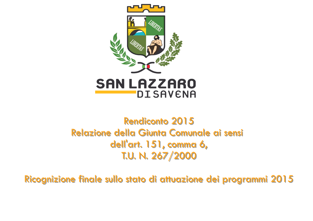

# Rendiconto 2015 Relazione della Giunta Comunale ai sensi dell'art. 151, comma 6, T.U. N. 267/2000

Ricognizione finale sullo stato di attuazione dei programmi 2015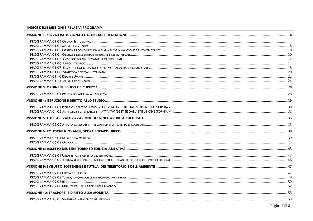## **INDICE DELLE MISSIONI E RELATIVI PROGRAMMI**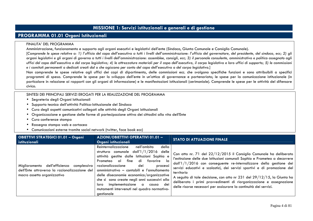# **MISSIONE 1: Servizi istituzionali e generali e di gestione**

# **PROGRAMMA 01.01 Organi Istituzionali**

#### FINALITA' DEL PROGRAMMA

Amministrazione, funzionamento e supporto agli organi esecutivi e legislativi dell'ente (Sindaco, Giunta Comunale e Consiglio Comunale).

 [*Comprende le spese relative a: 1) l'ufficio del capo dell'esecutivo a tutti i livelli dell'amministrazione: l'ufficio del governatore, del presidente, del sindaco, ecc; 2) gli organi legislativi e gli organi di governo a tutti i livelli dell'amministrazione: assemblee, consigli, ecc; 3) il personale consulente, amministrativo e politico assegnato agli uffici del capo dell'esecutivo e del corpo legislativo; 4) le attrezzature materiali per il capo dell'esecutivo, il corpo legislativo e loro uffici di supporto; 5) le commissioni e i comitati permanenti o dedicati creati dal o che agiscono per conto del capo dell'esecutivo o del corpo legislativo.*]

 Non comprende le spese relative agli uffici dei capi di dipartimento, delle commissioni ecc. che svolgono specifiche funzioni e sono attribuibili a specifici programmi di spesa. Comprende le spese per lo sviluppo dell'ente in un'ottica di governance e partenariato; le spese per la comunicazione istituzionale (in particolare in relazione ai rapporti con gli organi di informazione) e le manifestazioni istituzionali (cerimoniale). Comprende le spese per le attività del difensore civico.

- •Segreteria degli Organi Istituzionali
- Supporto tecnico dell'attività Politico-Istituzionale del Sindaco
- Cura degli aspetti comunicativi collegati alle attività degli Organi istituzionali
- •Organizzazione e gestione delle forme di partecipazione attiva dei cittadini alla vita dell'Ente
- Cura conferenze stampa
- Rassegna stampa web e cartacea
- •Comunicazioni esterne tramite social network (twitter, face book ecc)

| <b>OBIETTIVI STRATEGICI 01.01 - Organi</b><br>istituzionali                                                                  | <b>AZIONI/OBIETTIVI OPERATIVI 01.01 -</b><br>Organi istituzionali                                                                                                                                                                                                                                                                                                                                                                                                                              | <b>STATO DI ATTUAZIONE FINALE</b>                                                                                                                                                                                                                                                                                                                                                                                                                                                                                                      |
|------------------------------------------------------------------------------------------------------------------------------|------------------------------------------------------------------------------------------------------------------------------------------------------------------------------------------------------------------------------------------------------------------------------------------------------------------------------------------------------------------------------------------------------------------------------------------------------------------------------------------------|----------------------------------------------------------------------------------------------------------------------------------------------------------------------------------------------------------------------------------------------------------------------------------------------------------------------------------------------------------------------------------------------------------------------------------------------------------------------------------------------------------------------------------------|
| Miglioramento dell'efficienza<br>complessiva<br>dell'Ente attraverso la razionalizzazione del<br>macro assetto organizzativo | Reinternalizzazione<br>nell'ambito<br>della<br>struttura comunale $d$ all' $1/1/2016$<br>delle<br>attività gestite dalle Istituzioni Sophia e<br>fine<br>di<br>la<br>al<br>favorire<br>Prometeo<br>processi<br>razionalizzazione<br>dei<br>amministrativo - contabili e l'annullamento<br>delle diseconomie economico/organizzative<br>che si sono create negli anni successivi alla<br>dei<br>implementazione a<br>loro<br>causa<br>mutamenti intervenuti nel quadro normativo-<br>gestionale | Con atto nr. 71 del 22/12/2015 il Consiglio Comunale ha deliberato<br>l'estinzione delle due Istituzioni comunali Sophia e Prometeo a decorrere<br>dall'1/1/2016 con conseguente re-internalizzare della gestione dei<br>servizi educativi e scolastici, dei servizi sportivi e di promozione del<br>territorio<br>A seguito di tale decisione, con atto nr 231 del 29/12/15, la Giunta ha<br>deliberato i primi provvedimenti di riorganizzazione e assegnazione<br>delle risorse necessari per assicurare la continuità dei servizi. |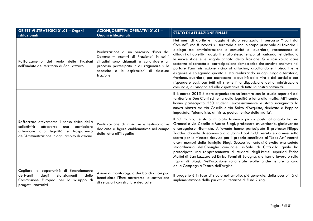| <b>OBIETTIVI STRATEGICI 01.01 - Organi</b><br>istituzionali                                                                                                                                                                     | <b>AZIONI/OBIETTIVI OPERATIVI 01.01 -</b><br>Organi istituzionali                                                                                                                                                                   | <b>STATO DI ATTUAZIONE FINALE</b>                                                                                                                                                                                                                                                                                                                                                                                                                                                                                                                                                                                                                                                                                                                                                                                                                                                          |
|---------------------------------------------------------------------------------------------------------------------------------------------------------------------------------------------------------------------------------|-------------------------------------------------------------------------------------------------------------------------------------------------------------------------------------------------------------------------------------|--------------------------------------------------------------------------------------------------------------------------------------------------------------------------------------------------------------------------------------------------------------------------------------------------------------------------------------------------------------------------------------------------------------------------------------------------------------------------------------------------------------------------------------------------------------------------------------------------------------------------------------------------------------------------------------------------------------------------------------------------------------------------------------------------------------------------------------------------------------------------------------------|
| Rafforzamento del<br>ruolo delle Frazioni<br>nell'ambito del territorio di San Lazzaro                                                                                                                                          | Realizzazione di un percorso "Fuori dal<br>Comune - Incontri di Frazione" in cui i<br>cittadini sono chiamati a condividere un<br>processo partecipato in cui ragionare sulle<br>necessità e le aspirazioni di ciascuna<br>frazione | Nei mesi di aprile e maggio è stato realizzato il percorso "Fuori dal<br>Comune", con 8 incontri sul territorio e con lo scopo principale di favorire il<br>dialogo tra amministrazione e comunità di quartiere, raccontando ai<br>cittadini gli obiettivi raggiunti e, allo stesso tempo, affrontando nel dettaglio<br>le nuove sfide e le singole criticità della frazione. Si è così voluto dare<br>sostanza al concetto di partecipazione democratica che consiste anzitutto nel<br>portare l'amministrazione vicino al cittadino, ascoltandone i bisogni e le<br>esigenze e spiegando quanto si sta realizzando su ogni singolo territorio,<br>frazione, quartiere, per accrescere la qualità della vita e dei servizi e per<br>rispondere così, con tutti gli strumenti a disposizione dell'amministrazione<br>comunale, ai bisogno ed alle aspettative di tutta la nostra comunità. |
|                                                                                                                                                                                                                                 |                                                                                                                                                                                                                                     | Il 6 marzo 2015 è stato organizzato un incontro con le scuole superiori del<br>territorio e Don Ciotti sul tema della legalità e lotta alla mafia. All'incontro<br>hanno partecipato 250 studenti; successivamente è stata inaugurata la<br>nuova piazza tra via Caselle e via Salvo d'Acquisto, dedicata a Peppino<br>Impastato, "giornalista, attivista, poeta, nemico della mafia".<br>Il 27 marzo, è stata intitolata la nuova piazza posta all'angolo tra via                                                                                                                                                                                                                                                                                                                                                                                                                         |
| Rafforzare attivamente il senso civico della<br>collettività<br>particolare<br>attraverso<br>una<br>alla legalità e<br>attenzione<br>trasparenza<br>della lotta all'illegalità<br>dell'Amministrazione in ogni ambito di azione | Realizzazione di iniziative e testimonianze<br>dedicate a figure emblematiche nel campo                                                                                                                                             | Gramsci e via Caselle a Marco Biagi, professore universitario, giuslavorista<br>e coraggioso riformista. All'evento hanno partecipato il professor Filippo<br>Taddei docente di economia alla Johns Hopkins University e da mesi sotto<br>scorta per le minacce ricevute per il proprio contributo al "Jobs Act" nonchè<br>alcuni membri della famiglia Biagi. Successivamente si è svolta una seduta<br>straordinaria del Consiglio comunale in Sala di Città alla quale ha<br>partecipato una rappresentanza di studenti degli istituti superiori Enrico<br>Mattei di San Lazzaro ed Enrico Fermi di Bologna, che hanno lavorato sulla<br>figura di Biagi. Nell'occasione sono state svolte anche letture a cura<br>della Compagnia Teatro dell'Argine.                                                                                                                                  |
| Cogliere le opportunità di finanziamento<br>dagli<br>derivanti<br>stanziamenti<br>delle<br>Commissione Europea per lo sviluppo di<br>progetti innovativi                                                                        | Azioni di monitoraggio dei bandi di cui può<br>beneficiare l'Ente attraverso la costruzione<br>di relazioni con strutture dedicate                                                                                                  | Il progetto è in fase di studio nell'ambito, più generale, della possibilità di<br>implementazione delle più attuali tecniche di Fund Rising.                                                                                                                                                                                                                                                                                                                                                                                                                                                                                                                                                                                                                                                                                                                                              |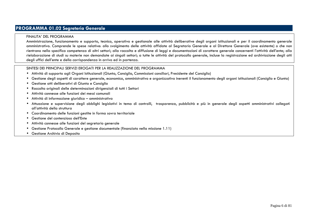# **PROGRAMMA 01.02 Segreteria Generale**

#### FINALITA' DEL PROGRAMMA

Amministrazione, funzionamento e supporto, tecnico, operativo e gestionale alle attività deliberative degli organi istituzionali e per il coordinamento generale amministrativo. Comprende le spese relative: allo svolgimento delle attività affidate al Segretario Generale e al Direttore Generale (ove esistente) o che non rientrano nella specifica competenza di altri settori; alla raccolta e diffusione di leggi e documentazioni di carattere generale concernenti l'attività dell'ente; alla rielaborazione di studi su materie non demandate ai singoli settori; a tutte le attività del protocollo generale, incluse la registrazione ed archiviazione degli atti degli uffici dell'ente e della corrispondenza in arrivo ed in partenza.

- Attività di supporto agli Organi Istituzionali (Giunta, Consiglio, Commissioni consiliari, Presidente del Consiglio)
- $\bullet$ Gestione degli aspetti di carattere generale, economico, amministrativo e organizzativo inerenti il funzionamento degli organi istituzionali (Consiglio e Giunta)
- •Gestione atti deliberativi di Giunta e Consiglio
- •Raccolta originali delle determinazioni dirigenziali di tutti i Settori
- •Attività connesse alle funzioni dei messi comunali
- •Attività di informazione giuridico – amministrativa
- Attuazione e supervisione degli obblighi legislativi in tema di controlli, trasparenza, pubblicità e più in generale degli aspetti amministrativi collegati all'attività della struttura
- Coordinamento delle funzioni gestite in forma sovra territoriale
- •Gestione del contenzioso dell'Ente
- Attività connesse alle funzioni del segretario generale
- •Gestione Protocollo Generale e gestione documentale (finanziato nella missione 1.11)
- Gestione Archivio di Deposito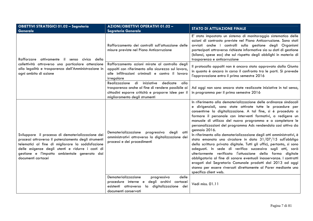| <b>OBIETTIVI STRATEGICI 01.02 - Segreteria</b><br><b>Generale</b>                                                                                                                                                                                                                        | <b>AZIONI/OBIETTIVI OPERATIVI 01.02 -</b><br><b>Segreteria Generale</b>                                                                                                                           | <b>STATO DI ATTUAZIONE FINALE</b>                                                                                                                                                                                                                                                                                                                                                                                                                                                                                                                                                                                                                                                                                                                                                                                                                                                                                                                                                      |
|------------------------------------------------------------------------------------------------------------------------------------------------------------------------------------------------------------------------------------------------------------------------------------------|---------------------------------------------------------------------------------------------------------------------------------------------------------------------------------------------------|----------------------------------------------------------------------------------------------------------------------------------------------------------------------------------------------------------------------------------------------------------------------------------------------------------------------------------------------------------------------------------------------------------------------------------------------------------------------------------------------------------------------------------------------------------------------------------------------------------------------------------------------------------------------------------------------------------------------------------------------------------------------------------------------------------------------------------------------------------------------------------------------------------------------------------------------------------------------------------------|
| Rafforzare attivamente il senso civico della                                                                                                                                                                                                                                             | Rafforzamento dei controlli sull'attuazione delle<br>misure previste nel Piano Anticorruzione                                                                                                     | E' stato impostato un sistema di monitoraggio sistematico delle<br>azioni di contrasto previste nel Piano Anticorruzione. Sono stati<br>avviati anche i controlli sulla gestione degli Organismi<br>partecipati attraverso richieste informative sia su dati di gestione<br>(bilanci, spese ecc) che sul rispetto degli obblighi in materia di<br>trasparenza e anticorruzione                                                                                                                                                                                                                                                                                                                                                                                                                                                                                                                                                                                                         |
| collettività attraverso una particolare attenzione<br>alla legalità e trasparenza dell'Amministrazione in<br>ogni ambito di azione                                                                                                                                                       | Rafforzamento azioni mirate al controllo degli<br>appalti con riferimento alla sicurezza sul lavoro,<br>alle infiltrazioni criminali e contro il lavoro<br>irregolare                             | Il protocollo appalti non è ancora stato approvato dalla Giunta<br>in quanto è ancora in corso il confronto tra le parti. Si prevede<br>l'approvazione entro il primo semestre 2016                                                                                                                                                                                                                                                                                                                                                                                                                                                                                                                                                                                                                                                                                                                                                                                                    |
|                                                                                                                                                                                                                                                                                          | di<br>dedicate<br>Realizzazione<br>iniziative<br>alla<br>trasparenza anche al fine di rendere possibile ai<br>cittadini esporre criticità e proporre idee per il<br>miglioramento degli strumenti | Ad oggi non sono ancora state realizzate iniziative in tal senso,<br>in programma per il primo semestre 2016                                                                                                                                                                                                                                                                                                                                                                                                                                                                                                                                                                                                                                                                                                                                                                                                                                                                           |
| Sviluppare il processo di dematerializzazione dei<br>processi attraverso il potenziamento degli strumenti<br>telematici al fine di migliorare la soddisfazione<br>delle esigenze degli utenti e ridurre i costi di<br>gestione e l'impatto ambientale generato dai<br>documenti cartacei | Dematerializzazione<br>progressiva<br>degli atti<br>amministrativi attraverso la digitalizzazione dei<br>processi e dei procedimenti<br>Dematerializzazione<br>delle<br>progressiva               | In riferimento alla dematerializzazione delle ordinanze sindacali<br>e dirigenziali, sono state attivate tutte le procedure per<br>consentirne la digitalizzazione. A tal fine, si è proceduto a<br>formare il personale con interventi formativi, a redigere un<br>manuale di utilizzo del nuovo programma e a completare le<br>personalizzazioni del programma Ads rendendola così attiva da<br>gennaio 2016.<br>In riferimento alla dematerializzazione degli atti amministrativi, è<br>stata emanata una circolare in data 31/07/15 sull'obbligo<br>della scrittura privata digitale. Tutti gli uffici, pertanto, si sono<br>adeguati. In sede di verifica successiva sugli atti, sarà<br>ulteriormente verificata l'attuazione della forma digitale<br>obbligatoria al fine di sanare eventuali inosservanze. I contratti<br>erogati dal Segretario Comunale prodotti dal 2013 ad oggi<br>stanno per essere riversati direttamente al Parer mediante uno<br>specifico client web. |
|                                                                                                                                                                                                                                                                                          | degli archivi cartacei<br>procedure interne e<br>la digitalizzazione<br>esistenti attraverso<br>dei<br>documenti conservati                                                                       | Vedi miss. 01.11                                                                                                                                                                                                                                                                                                                                                                                                                                                                                                                                                                                                                                                                                                                                                                                                                                                                                                                                                                       |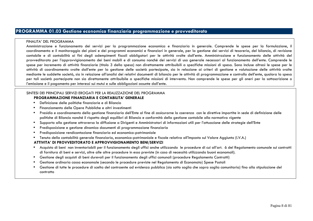# **PROGRAMMA 01.03 Gestione economica finanziaria programmazione e provveditorato**

#### FINALITA' DEL PROGRAMMA

Amministrazione e funzionamento dei servizi per la programmazione economica e finanziaria in generale. Comprende le spese per la formulazione, il coordinamento e il monitoraggio dei piani e dei programmi economici e finanziari in generale, per la gestione dei servizi di tesoreria, del bilancio, di revisione contabile e di contabilità ai fini degli adempimenti fiscali obbligatori per le attività svolte dall'ente. Amministrazione e funzionamento delle attività del provveditorato per l'approvvigionamento dei beni mobili e di consumo nonché dei servizi di uso generale necessari al funzionamento dell'ente. Comprende le spese per incremento di attività finanziarie (titolo 3 della spesa) non direttamente attribuibili a specifiche missioni di spesa. Sono incluse altresì le spese per le attività di coordinamento svolte dall'ente per la gestione delle società partecipate, sia in relazione ai criteri di gestione e valutazione delle attività svolte mediante le suddette società, sia in relazione all'analisi dei relativi documenti di bilancio per le attività di programmazione e controllo dell'ente, qualora la spesa per tali società partecipate non sia direttamente attribuibile a specifiche missioni di intervento. Non comprende le spese per gli oneri per la sottoscrizione o l'emissione e il pagamento per interessi sui mutui e sulle obbligazioni assunte dall'ente.

#### SINTESI DEI PRINCIPALI SERVIZI EROGATI PER LA REALIZZAZIONE DEL PROGRAMMA  **PROGRAMMAZIONE FINANZIARIA E CONTABILITA' GENERALE**

- Definizione delle politiche finanziarie e di Bilancio
- •Finanziamento delle Opere Pubbliche e altri investimenti
- Presidio e coordinamento della gestione finanziaria dell'Ente al fine di assicurarne la coerenza con le direttive impartite in sede di definizione dellepolitiche di Bilancio nonché il rispetto degli equilibri di Bilancio e conformità della gestione contabile alla normativa vigente
- Supporto alla gestione attraverso la diffusione a Dirigenti e Amministratori di informazioni utili per l'attuazione delle strategie dell'Ente
- •Predisposizione e gestione dinamica documenti di programmazione finanziaria
- •Predisposizione rendicontazione finanziaria ed economico-patrimoniale
- Tenuta della contabilità generale finanziaria, economico-patrimoniale e fiscale relativa all'Imposta sul Valore Aggiunto (I.V.A.)

#### **ATTIVITA' DI PROVVEDITORATO E APPROVVIGIONAMENTO BENI/SERVIZI**

- Acquisto di beni non inventariabili per il funzionamento degli uffici anche utilizzando le procedure di cui all'art. 6 del Regolamento comunale sui contratti di fornitura di beni e servizi, oltre alle altre procedure in esso previste (in caso di necessità utilizzando buoni economali).
- Gestione degli acquisti di beni durevoli per il funzionamento degli uffici comunali (procedure Regolamento Contratti)
- •Gestione ordinaria cassa economale (secondo le procedure previste nel Regolamento di Economato) Spese Postali
- $\bullet$  Gestione di tutte le procedure di scelta del contraente ad evidenza pubblica (sia sotto soglia che sopra soglia comunitaria) fino alla stipulazione del contratto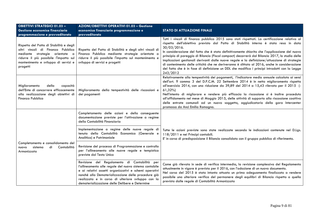| <b>OBIETTIVI STRATEGICI 01.03 -</b><br>Gestione economica finanziaria<br>programmazione e provveditorato                                                                                                     | AZIONI/OBIETTIVI OPERATIVI 01.03 - Gestione<br>economica finanziaria programmazione e<br>provveditorato                                                                                                                                                                                                                         | <b>STATO DI ATTUAZIONE FINALE</b>                                                                                                                                                                                                                                                                                                                                                                                                                                                                                                                                                                                                                                                                                        |  |
|--------------------------------------------------------------------------------------------------------------------------------------------------------------------------------------------------------------|---------------------------------------------------------------------------------------------------------------------------------------------------------------------------------------------------------------------------------------------------------------------------------------------------------------------------------|--------------------------------------------------------------------------------------------------------------------------------------------------------------------------------------------------------------------------------------------------------------------------------------------------------------------------------------------------------------------------------------------------------------------------------------------------------------------------------------------------------------------------------------------------------------------------------------------------------------------------------------------------------------------------------------------------------------------------|--|
| Rispetto del Patto di Stabilità e degli<br>altri vincoli di Finanza Pubblica<br>mediante strategie orientate a<br>ridurre il più possibile l'impatto sul<br>mantenimento e sviluppo di servizi e<br>progetti | Rispetto del Patto di Stabilità e degli altri vincoli di<br>Finanza Pubblica mediante strategie orientate a<br>ridurre il più possibile l'impatto sul mantenimento e<br>sviluppo di servizi e progetti                                                                                                                          | Tutti i vincoli di finanza pubblica 2015 sono stati rispettati. La certificazione relativa al<br>rispetto dell'obiettivo previsto dal Patto di Stabilità interno è stata resa in data<br>30/03/2016.<br>In considerazione del fatto che è stato definitivamente chiarito che l'applicazione del nuovo<br>principio di pareggio di Bilancio (Fiscal compact) decorrerà dal Bilancio 2017, lo studio delle<br>implicazioni gestionali derivanti dalle nuove regole e la definizione/attuazione di strategie<br>di contenimento delle criticità che ne deriveranno è slittato al 2016, anche in considerazione<br>del fatto che è in fase di definizione un DDL che modifica i principi introdotti con la Legge<br>243/2012 |  |
| Miglioramento<br>della<br>capacità<br>dell'Ente di concorrere efficacemente<br>alla realizzazione degli obiettivi di<br>Finanza Pubblica                                                                     | Miglioramento della tempestività delle riscossioni e<br>dei pagamenti                                                                                                                                                                                                                                                           | Relativamente alla tempestività dei pagamenti, l'indicatore medio annuale calcolato ai sensi<br>dell'art. 9 comma 3 del D.P.C.M. 22 Settembre 2014 è in netto miglioramento rispetto<br>all'esercizio 2014, con una riduzione da 39,89 del 2014 a 15,43 rilevato per il 2015 (-<br>$61,32\%$<br>Nell'intento di migliorare e rendere più efficacia la riscossione si è inoltre proceduto<br>all'affidamento nel mese di Maggio 2015, delle attività di supporto alla riscossione coattiva<br>delle entrate comunali ad un nuovo soggetto, aggiudicatario della gara Intercenter<br>promossa da Anci Emilia Romagna.                                                                                                      |  |
|                                                                                                                                                                                                              | Completamento delle azioni e della conseguente<br>documentazione previste per l'attivazione a regime<br>della Contabilità Finanziaria                                                                                                                                                                                           |                                                                                                                                                                                                                                                                                                                                                                                                                                                                                                                                                                                                                                                                                                                          |  |
| Completamento e consolidamento del<br>di<br>Contabilità<br>sistema<br>nuovo<br>Armonizzata                                                                                                                   | Implementazione a regime delle nuove regole di<br>tenuta della Contabilità Economica (Generale e<br>Analitica) e Patrimoniale                                                                                                                                                                                                   | Tutte le azioni previste sono state realizzate secondo le indicazioni contenute nel D.Lgs.<br>118/2011 e nei Principi contabili.<br>E' in corso di predisposizione il Bilancio consolidato con il gruppo pubblico di riferimento.                                                                                                                                                                                                                                                                                                                                                                                                                                                                                        |  |
|                                                                                                                                                                                                              | Revisione del processo di Programmazione e controllo<br>per l'allineamento alle nuove regole e tempistica<br>previste dal Testo Unico                                                                                                                                                                                           |                                                                                                                                                                                                                                                                                                                                                                                                                                                                                                                                                                                                                                                                                                                          |  |
|                                                                                                                                                                                                              | Revisione del Regolamento di Contabilità per<br>l'allineamento alle regole del nuovo sistema contabile<br>e ai relativi assetti organizzativi e schemi operativi<br>nonché alla Dematerializzazione delle procedure già<br>realizzata e in corso di ulteriore sviluppo con la<br>dematerializzazione delle Delibere e Determine | Come già rilevato in sede di verifica intermedia, la revisione complessiva del Regolamento<br>attualmente in vigore è prevista per il 2016, con l'adozione di un nuovo documento.<br>Nel corso del 2015 è stato intanto attuato un primo adeguamento finalizzato a rendere<br>possibile una ulteriore verifica del permanere degli equilibri di Bilancio rispetto a quella<br>prevista dalle regole di Contabilità Armonizzata                                                                                                                                                                                                                                                                                           |  |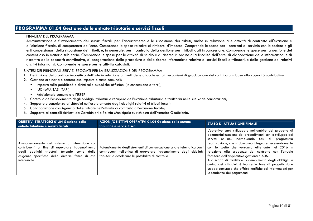# **PROGRAMMA 01.04 Gestione delle entrate tributarie e servizi fiscali**

#### FINALITA' DEL PROGRAMMA

 Amministrazione e funzionamento dei servizi fiscali, per l'accertamento e la riscossione dei tributi, anche in relazione alle attività di contrasto all'evasione e all'elusione fiscale, di competenza dell'ente. Comprende le spese relative ai rimborsi d'imposta. Comprende le spese per i contratti di servizio con le società e gli enti concessionari della riscossione dei tributi, e, in generale, per il controllo della gestione per i tributi dati in concessione. Comprende le spese per la gestione del contenzioso in materia tributaria. Comprende le spese per le attività di studio e di ricerca in ordine alla fiscalità dell'ente, di elaborazione delle informazioni e di riscontro della capacità contributiva, di progettazione delle procedure e delle risorse informatiche relative ai servizi fiscali e tributari, e della gestione dei relativi archivi informativi. Comprende le spese per le attività catastali.

- 1. Definizione della politica impositiva dell'Ente in relazione ai livelli delle aliquote ed ai meccanismi di graduazione del contributo in base alla capacità contributiva
- 2. Gestione ordinaria e contenzioso imposte e tasse comunali:
	- •Imposta sulla pubblicità e diritti sulle pubbliche affissioni (in concessione a terzi);
	- $\bullet$ IUC (IMU, TASI, TARI)
	- Addizionale comunale all'IRPEF
- 3. Controllo dell'assolvimento degli obblighi tributari e recupero dell'evasione tributaria e tariffaria nelle sue varie connotazioni;
- 4. Supporto e consulenza ai cittadini nell'espletamento degli obblighi relativi ai tributi locali;
- 5. Collaborazione con Agenzia delle Entrate nell'attività di contrasto all'evasione fiscale;
- 6. Supporto ai controlli richiesti da Carabinieri e Polizia Municipale su richiesta dell'Autorità Giudiziaria.

| <b>OBIETTIVI STRATEGICI 01.04 Gestione delle</b><br>entrate tributarie e servizi fiscali                                                                                                                          | AZIONI/OBIETTIVI OPERATIVI 01.04 Gestione delle entrate<br>tributarie e servizi fiscali                                                                                                           | <b>STATO DI ATTUAZIONE FINALE</b>                                                                                                                                                                                                                                                                                                                                                                                                                                                                                                                                                                                |
|-------------------------------------------------------------------------------------------------------------------------------------------------------------------------------------------------------------------|---------------------------------------------------------------------------------------------------------------------------------------------------------------------------------------------------|------------------------------------------------------------------------------------------------------------------------------------------------------------------------------------------------------------------------------------------------------------------------------------------------------------------------------------------------------------------------------------------------------------------------------------------------------------------------------------------------------------------------------------------------------------------------------------------------------------------|
| Ammodernamento del sistema di interazione coi<br>contribuenti al fine di agevolare l'adempimento<br>degli obblighi tributari tenendo conto delle<br>esigenze specifiche delle diverse fasce di età<br>interessate | Potenziamento degli strumenti di comunicazione anche telematica con i<br>contribuenti nell'ottica di agevolare l'adempimento degli obblighi<br>tributari e accelerare le possibilità di controllo | L'obiettivo sarà sviluppato nell'ambito del progetto di<br>dematerializzazione dei procedimenti, con lo sviluppo dei<br>servizi on-line, individuando fasi di progressiva<br>realizzazione, che si dovranno integrare necessariamente<br>con le scelte che verranno effettuate nel 2016 in<br>relazione alla scadenza del contratto con l'attuale<br>fornitore dell'applicativo gestionale ADS.<br>Allo scopo di facilitare l'adempimento degli obblighi a<br>carico dei cittadini, è inoltre in fase di progettazione<br>un'app comunale che offrirà notifiche ed informazioni per<br>le scadenze dei pagamenti |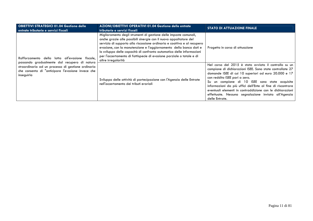| <b>OBIETTIVI STRATEGICI 01.04 Gestione delle</b><br>entrate tributarie e servizi fiscali                                                                              | AZIONI/OBIETTIVI OPERATIVI 01.04 Gestione delle entrate<br>tributarie e servizi fiscali                                                                                                                                                                                                                                                                                                                                                                         | <b>STATO DI ATTUAZIONE FINALE</b>                                                                                                                                                                                                                                                                                                                                                                                                                                   |
|-----------------------------------------------------------------------------------------------------------------------------------------------------------------------|-----------------------------------------------------------------------------------------------------------------------------------------------------------------------------------------------------------------------------------------------------------------------------------------------------------------------------------------------------------------------------------------------------------------------------------------------------------------|---------------------------------------------------------------------------------------------------------------------------------------------------------------------------------------------------------------------------------------------------------------------------------------------------------------------------------------------------------------------------------------------------------------------------------------------------------------------|
| Rafforzamento della lotta all'evasione fiscale,                                                                                                                       | Miglioramento degli strumenti di gestione delle imposte comunali,<br>anche grazie alle possibili sinergie con il nuovo appaltatore del<br>servizio di supporto alla riscossione ordinaria e coattiva e al recupero<br>evasione, con la manutenzione e l'aggiornamento della banca dati e<br>lo sviluppo delle capacità di confronto automatico delle informazioni<br>per l'accertamento di fattispecie di evasione parziale o totale e di<br>altre irregolarità | Progetto in corso di attuazione                                                                                                                                                                                                                                                                                                                                                                                                                                     |
| passando gradualmente dal recupero di natura<br>straordinaria ad un processo di gestione ordinaria<br>che consenta di "anticipare l'evasione invece che<br>inseguirla | Sviluppo delle attività di partecipazione con l'Agenzia delle Entrate<br>nell'accertamento dei tributi erariali                                                                                                                                                                                                                                                                                                                                                 | Nel corso del 2015 è stato avviato il controllo su un<br>campione di dichiarazioni ISEE. Sono state controllate 27<br>domande ISEE di cui 10 superiori ad euro 20.000 e 17<br>con reddito ISEE pari a zero.<br>Su un campione di 10 ISEE sono state acquisite<br>informazioni da più uffici dell'Ente al fine di riscontrare<br>eventuali elementi in contraddizione con le dichiarazioni<br>effettuate. Nessuna segnalazione inviata all'Agenzia<br>delle Entrate. |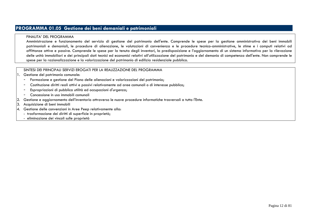# **PROGRAMMA 01.05 Gestione dei beni demaniali e patrimoniali**

#### FINALITA' DEL PROGRAMMA

 Amministrazione e funzionamento del servizio di gestione del patrimonio dell'ente. Comprende le spese per la gestione amministrativa dei beni immobili patrimoniali e demaniali, le procedure di alienazione, le valutazioni di convenienza e le procedure tecnico-amministrative, le stime e i computi relativi ad affittanze attive e passive. Comprende le spese per la tenuta degli inventari, la predisposizione e l'aggiornamento di un sistema informativo per la rilevazione delle unità immobiliari e dei principali dati tecnici ed economici relativi all'utilizzazione del patrimonio e del demanio di competenza dell'ente. Non comprende le spese per la razionalizzazione e la valorizzazione del patrimonio di edilizia residenziale pubblica.

## SINTESI DEI PRINCIPALI SERVIZI EROGATI PER LA REALIZZAZIONE DEL PROGRAMMA

#### 1. Gestione del patrimonio comunale:

- Formazione e gestione del Piano delle alienazioni e valorizzazioni del patrimonio;
- -Costituzione diritti reali attivi e passivi relativamente ad aree comunali o di interesse pubblico;
- -Espropriazioni di pubblica utilità ed occupazioni d'urgenza;
- -Concessione in uso immobili comunali
- 2.Gestione e aggiornamento dell'inventario attraverso le nuove procedure informatiche trasversali a tutto l'Ente.
- 3.Acquisizione di beni immobili
- 4. Gestione delle convenzioni in Aree Peep relativamente alla:
	- trasformazione dei diritti di superficie in proprietà;
	- eliminazione dei vincoli sulle proprietà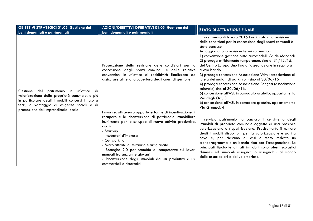| <b>OBIETTIVI STRATEGICI 01.05 Gestione dei</b><br>beni demaniali e patrimoniali                                                                                                                         | AZIONI/OBIETTIVI OPERATIVI 01.05 Gestione dei<br>beni demaniali e patrimoniali                                                                                                                                                                                                                                                                                                                                                                                                     | <b>STATO DI ATTUAZIONE FINALE</b>                                                                                                                                                                                                                                                                                                                                                                                                                                                                                                                                                                                                                                                                                                                                          |
|---------------------------------------------------------------------------------------------------------------------------------------------------------------------------------------------------------|------------------------------------------------------------------------------------------------------------------------------------------------------------------------------------------------------------------------------------------------------------------------------------------------------------------------------------------------------------------------------------------------------------------------------------------------------------------------------------|----------------------------------------------------------------------------------------------------------------------------------------------------------------------------------------------------------------------------------------------------------------------------------------------------------------------------------------------------------------------------------------------------------------------------------------------------------------------------------------------------------------------------------------------------------------------------------------------------------------------------------------------------------------------------------------------------------------------------------------------------------------------------|
| patrimonio<br>in un'ottica<br>del<br>Gestione<br>di<br>valorizzazione della proprietà comunale, e più<br>in particolare degli immobili concessi in uso a<br>terzi, a vantaggio di esigenze sociali e di | Prosecuzione della revisione delle condizioni per la<br>concessione degli spazi comunali e delle relative<br>convenzioni in un'ottica di redditività finalizzata ad<br>assicurare almeno la copertura degli oneri di gestione                                                                                                                                                                                                                                                      | Il programma di lavoro 2015 finalizzato alla revisione<br>delle condizioni per la concessione degli spazi comunali è<br>stato concluso<br>Ad oggi risultano revisionate sei convenzioni:<br>1) convenzione gestione pista automodelli Cà de Mandorli<br>2) proroga affidamento temporaneo, sino al $31/12/15$ ,<br>del Centro Europa Uno fino all'assegnazione in seguito a<br>nuovo bando<br>3) proroga concessione Associazione Why (associazione di<br>tutela dei malati di parkinson) sino al 30/06/16<br>4) proroga concessione Associazione Pangea (associazione<br>culturale) sino al $30/06/16$ .<br>5) concessione all'ASL in comodato gratuito, appartamento<br>Via degli Orti, 3<br>6) concessione all'ASL in comodato gratuito, appartamento<br>Via Gramsci, 4 |
| promozione dell'imprenditoria locale                                                                                                                                                                    | Favorire, attraverso opportune forme di incentivazione, il<br>recupero e la riconversione di patrimonio immobiliare<br>inutilizzato per lo sviluppo di nuove attività produttive,<br>quali:<br>- Start-up<br>- Incubatori d'impresa<br>- Co- working<br>- Micro attività di terziario e artigianato<br>- Botteghe 2.0 per scambio di competenze sui lavori<br>manuali tra anziani e giovani<br>- Riconversione degli immobili da usi produttivi a usi<br>commerciali e ristorativi | Il servizio patrimonio ha concluso il censimento degli<br>immobili di proprietà comunale oggetto di una possibile<br>valorizzazione e riqualificazione. Precisamente il numero<br>degli immobili disponibili per la valorizzazione è pari a<br>nove e, per ciascuno di essi è stato redatto un<br>cronoprogramma e un bando tipo per l'assegnazione. Le<br>principali tipologie di tali immobili sono plessi scolastici<br>dismessi ed immobili assegnati o assegnabili al mondo<br>delle associazioni e del volontariato.                                                                                                                                                                                                                                                 |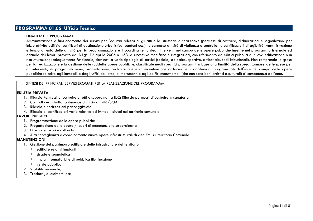# **PROGRAMMA 01.06 Ufficio Tecnico**

#### FINALITA' DEL PROGRAMMA

 Amministrazione e funzionamento dei servizi per l'edilizia relativi a: gli atti e le istruttorie autorizzative (permessi di costruire, dichiarazioni e segnalazioni per inizio attività edilizia, certificati di destinazione urbanistica, condoni ecc.); le connesse attività di vigilanza e controllo; le certificazioni di agibilità. Amministrazione e funzionamento delle attività per la programmazione e il coordinamento degli interventi nel campo delle opere pubbliche inserite nel programma triennale ed annuale dei lavori previsto dal D.Lgs. 12 aprile 2006 n. 163, e successive modifiche e integrazioni, con riferimento ad edifici pubblici di nuova edificazione o in ristrutturazione/adeguamento funzionale, destinati a varie tipologie di servizi (sociale, scolastico, sportivo, cimiteriale, sedi istituzionali). Non comprende le spese per la realizzazione e la gestione delle suddette opere pubbliche, classificate negli specifici programmi in base alla finalità della spesa. Comprende le spese per gli interventi, di programmazione, progettazione, realizzazione e di manutenzione ordinaria e straordinaria, programmati dall'ente nel campo delle opere pubbliche relative agli immobili e degli uffici dell'ente, ai monumenti e agli edifici monumentali (che non sono beni artistici e culturali) di competenza dell'ente.

#### SINTESI DEI PRINCIPALI SERVIZI EROGATI PER LA REALIZZAZIONE DEL PROGRAMMA

#### **EDILIZIA PRIVATA**

- 1. Rilascio Permessi di costruire diretti o subordinati a IUC; Rilascio permessi di costruire in sanatoria
- 2. Controllo ed istruttoria denunce di inizio attività/SCIA
- 3. Rilascio autorizzazioni paesaggistiche
- 4. Rilascio di certificazioni varie relative ad immobili situati nel territorio comunale

#### **LAVORI PUBBLICI**

- 1. Programmazione delle opere pubbliche
- 2. Progettazione delle opere / lavori di manutenzione straordinaria
- 3. Direzione lavori e collaudo
- 4. Alta sorveglianza e coordinamento nuove opere infrastrutturali di altri Enti sul territorio Comunale

#### **MANUTENZIONI**

- 1. Gestione del patrimonio edilizio e delle infrastrutture del territorio
	- edifici e relativi impianti
	- •strade e segnaletica
	- •impianti semaforici e di pubblica illuminazione
	- verde pubblico
- 2. Viabilità invernale;
- 3. Traslochi, allestimenti ecc.;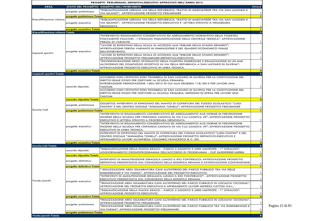| PROGETTI PRELIMINARI, DEFINITIVI/ESECUTIVI APPROVATI NELL'ANNO 2015 |                                        |                                                                                                                                                                                                                                                                                                                                                                                                                                                                                                                                                                                                                                       |                                           |
|---------------------------------------------------------------------|----------------------------------------|---------------------------------------------------------------------------------------------------------------------------------------------------------------------------------------------------------------------------------------------------------------------------------------------------------------------------------------------------------------------------------------------------------------------------------------------------------------------------------------------------------------------------------------------------------------------------------------------------------------------------------------|-------------------------------------------|
| <b>AREA</b>                                                         |                                        | <b>STATO DEL PROGETTO OGGETTO DELL'INTERVENTO</b>                                                                                                                                                                                                                                                                                                                                                                                                                                                                                                                                                                                     | <b>TOTALE</b>                             |
|                                                                     | progetto preliminare                   | 'RIQUALIFICAZIONE URBANA VIA DELLA REPUBBLICA: TRATTO DI MARCIAPIEDE TRA VIA SAN LAZZARO E<br>VIA MILANO": APPROVAZIONE PROGETTO PRELIMINARE                                                                                                                                                                                                                                                                                                                                                                                                                                                                                          | $\mathbf{1}$                              |
|                                                                     | progetto preliminare Totale            |                                                                                                                                                                                                                                                                                                                                                                                                                                                                                                                                                                                                                                       |                                           |
| Riqualificazione urbana                                             | progetto esecutivo                     | 'RIQUALIFICAZIONE URBANA VIA DELLA REPUBBLICA: TRATTO DI MARCIAPIEDE TRA VIA SAN LAZZARO E<br>VIA MILANO": APPROVAZIONE PROGETTO ESECUTIVO E LETTERA D'INVITO A PROCEDURA<br>NEGOZIATA                                                                                                                                                                                                                                                                                                                                                                                                                                                | -1.                                       |
|                                                                     | <mark>progetto esecutivo Totale</mark> |                                                                                                                                                                                                                                                                                                                                                                                                                                                                                                                                                                                                                                       |                                           |
| Riqualificazione urbana Totale                                      |                                        |                                                                                                                                                                                                                                                                                                                                                                                                                                                                                                                                                                                                                                       | $\overline{2}$                            |
| Impianti sportivi                                                   | progetto esecutivo                     | 'INTERVENTO RISANAMENTO CONSERVATIVO ED ADEGUAMENTO NORMATIVO DELLA PALESTRA<br>POLIVALENTE PALAYURI - I STRALCIO: RIQUALIFICAZIONE DELLA CENTRALE TERMICA": APPROVAZIONE<br>PERIZIA DI VARIANTE.<br>"LAVORI DI RIPRISTINO DELLA SCALA DI ACCESSO ALLE TRIBUNE DELLO STADIO KENNEDY":<br>APPROVAZIONE PERIZIA VARIANTE IN DIMINUZIONE E DEL QUADRO ECONOMICO FINALE<br>DELL'INTERVENTO.                                                                                                                                                                                                                                               | $\mathbf{1}$<br>ı                         |
|                                                                     |                                        | "LAVORI DI RIPRISTINO DELLA SCALA DI ACCESSO ALLE TRIBUNE DELLO STADIO KENNEDY":<br>APPROVAZIONE PROGETTO PRELIMINARE-DEFINITIVO-ESECUTIVO.<br>'RICONFIGURAZIONE DEGLI SPOGLIATOI NELLA PALESTRA RODRIGUEZ E REALIZZAZIONE DI UN BAR<br>ALL'INTERNO DEL COMPLESSO SPORTIVO IN VIA DELLA REPUBBLICA A SAN LAZZARO DI SAVENA":                                                                                                                                                                                                                                                                                                          | $\mathbf{1}$                              |
|                                                                     |                                        | APPROVAZIONE PROGETTO ESECUTIVO IN LINEA TECNICA.                                                                                                                                                                                                                                                                                                                                                                                                                                                                                                                                                                                     | $\mathbf{1}$                              |
| <b>Impianti sportivi Totale</b>                                     | progetto esecutivo Totale              |                                                                                                                                                                                                                                                                                                                                                                                                                                                                                                                                                                                                                                       | $\overline{\mathbf{A}}$                   |
|                                                                     | accordo stipulato                      | ACCORDO CON L'ISTITUTO DON TROMBELLI DI SAN LAZZARO DI SAVENA PER LA COSTITUZIONE DEL<br>DIRITTO REALE D'USO PER OSPITARE LA SCUOLA PRIMARIA.<br>INTEGRAZIONE PRENOTAZIONE 1284/2015 DI CUI ALLA DELIBERA 118/2015 PER LAVORI UNA<br><b>TANTUM</b><br>ACCORDO CON L'ISTITUTO DON TROMBELLI DI SAN LAZZARO DI SAVENA PER LA COSTITUZIONE DEL<br>DIRITTO REALE D'USO PER OSPITARE LA SCUOLA PRIMARIA: IMPEGNO DI SPESA PER LAVORI UNA<br><b>TANTUM</b>                                                                                                                                                                                  | $\mathbf{1}$<br>-1.                       |
|                                                                     | accordo stipulato Totale               |                                                                                                                                                                                                                                                                                                                                                                                                                                                                                                                                                                                                                                       | 2                                         |
|                                                                     | progetto preliminare                   | OGGETTO: INTERVENTI DI RIPRISTINO DEL MANTO DI COPERTURA DEL PLESSO SCOLASTICO "LUIGI<br>FANTINI" E DEL CENTRO SOCIALE "ANNALENA TONELLI": APPROVAZIONE PROGETTO PRELIMINARE                                                                                                                                                                                                                                                                                                                                                                                                                                                          | -1.                                       |
| Scuole/nidi                                                         | progetto preliminare Totale            |                                                                                                                                                                                                                                                                                                                                                                                                                                                                                                                                                                                                                                       | $\blacksquare$                            |
|                                                                     | progetto esecutivo                     | "INTERVENTO DI RISANAMENTO CONSERVATIVO ED ADEGUAMENTO ALLE NORME DI PREVENZIONE<br>INCENDI DELLA SCUOLA PER L'INFANZIA CANOVA IN VIA F.LLI CANOVA 49": APPROVAZIONE PROGETTO<br>ESECUTIVO E LETTERA D'INVITO A PROCEDURA NEGOZIATA<br>"INTERVENTO DI RISANAMENTO CONSERVATIVO ED ADEGUAMENTO ALLE NORME DI PREVENZIONE<br>INCENDI DELLA SCUOLA PER L'INFANZIA CANOVA IN VIA F.LLI CANOVA 49": APPROVAZIONE PROGETTO<br>ESECUTIVO IN LINEA TECNICA.<br>INTERVENTI DI RIPRISTINO DEL MANTO DI COPERTURA DEL PLESSO SCOLASTICO "LUIGI FANTINI" E DEL<br>CENTRO SOCIALE "ANNALENA TONELLI": APPROVAZIONE PROGETTO DEFINITIVO-ESECUTIVO E | $\mathbf{1}$<br>$\mathbf{1}$<br>п.        |
|                                                                     | <mark>progetto esecutivo Totale</mark> | AFFIDAMENTO LAVORI ALL'IMPRESA COLOMBO FRANCESCO & C. SRL                                                                                                                                                                                                                                                                                                                                                                                                                                                                                                                                                                             |                                           |
| Scuole/nidi Totale                                                  |                                        |                                                                                                                                                                                                                                                                                                                                                                                                                                                                                                                                                                                                                                       | $\epsilon$                                |
|                                                                     | accordo stipulato                      | "RIQUALIFICAZIONE DELLA PIAZZA BRACCI - PARCO 2 AGOSTO E AREE LIMITROFE - 1^ STRALCIO":<br>AGGIORNAMENTO CRONOPROGRAMMA DELL'ACCORDO DI PROGRAMMA - CUP E63D09000160006                                                                                                                                                                                                                                                                                                                                                                                                                                                               | $\mathbf{1}$                              |
|                                                                     | accordo stipulato Totale               |                                                                                                                                                                                                                                                                                                                                                                                                                                                                                                                                                                                                                                       | $\mathbf{I}$                              |
|                                                                     | progetto definitivo                    | INTERVENTI DI MANUTENZIONE IDRAULICA LUNGO IL RIO PONTEBUCO: APPROVAZIONE PROGETTO<br>DEFINITIVO PREDISPOSTO DAL CONSORZIO DELLA BONIFICA RENANA E APPROVAZIONE CONVENZIONE                                                                                                                                                                                                                                                                                                                                                                                                                                                           | $\mathbf{1}$                              |
|                                                                     | progetto definitivo Totale             |                                                                                                                                                                                                                                                                                                                                                                                                                                                                                                                                                                                                                                       | $\mathbf{I}$                              |
| Verde/parchi                                                        | progetto esecutivo                     | REALIZZAZIONE AREA SGAMBATURA CANI ALL'INTERNO DEL PARCO PUBBLICO TRA VIA DELLE<br>RIMEMBRANZE E VIA PARMA". APPROVAZIONE DEL PROGETTO ESECUTIVO.<br>'INTERVENTI DI MANUTENZIONE IDRAULICA LUNGO IL RIO PONTEBUCO": APPROVAZIONE PROGETTO<br>ESECUTIVO PREDISPOSTO DAL CONSORZIO DELLA BONIFICA RENANA                                                                                                                                                                                                                                                                                                                                | $\mathbf{1}$<br>$\mathbf{1}$              |
|                                                                     |                                        | "REALIZZAZIONE AREA SGAMBATURA CANI ALL'INTERNO DEL PARCO PUBBLICO IN LOCALITA' CICOGNA":<br>APPROVAZIONE DEL PROGETTO ESECUTIVO E AFFIDAMENTO LAVORI IMPRESA CATTOLI S.R.L<br>"RIQUALIFICAZIONE DELLA PIAZZA BRACCI - PARCO 2 AGOSTO E AREE LIMITROFE - 1^ STRALCIO":<br>APPROVAZIONE PROGETTO ESECUTIVO.                                                                                                                                                                                                                                                                                                                            | $\overline{1}$<br>$\mathbf{1}$            |
|                                                                     | progetto esecutivo Totale              |                                                                                                                                                                                                                                                                                                                                                                                                                                                                                                                                                                                                                                       | $\overline{4}$                            |
|                                                                     | progetto preliminare                   | "REALIZZAZIONE AREA SGAMBATURA CANI ALL'INTERNO DEL PARCO PUBBLICO IN LOCALITA' CICOGNA":<br>APPROVAZIONE PROGETTO PRELIMINARE.<br>'REALIZZAZIONE AREA SGAMBATURA CANI ALL'INTERNO DEL PARCO PUBBLICO TRA VIA RIMEMBRANZE E                                                                                                                                                                                                                                                                                                                                                                                                           | $\mathbf{1}$                              |
|                                                                     | progetto preliminare Totale            | VIA PARMA": APPROVAZIONE PROGETTO PRELIMINARE                                                                                                                                                                                                                                                                                                                                                                                                                                                                                                                                                                                         | $\overline{1}$<br>$\overline{\mathbf{2}}$ |
|                                                                     |                                        |                                                                                                                                                                                                                                                                                                                                                                                                                                                                                                                                                                                                                                       | 8                                         |

Pagina 15 di 81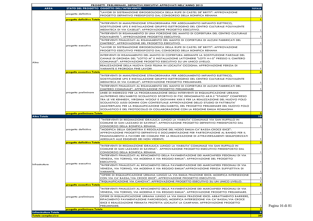|                                                           |                                         | PROGETTI PRELIMINARI, DEFINITIVI/ESECUTIVI APPROVATI NELL'ANNO 2015                                                                                                                                                                                                         |                         |
|-----------------------------------------------------------|-----------------------------------------|-----------------------------------------------------------------------------------------------------------------------------------------------------------------------------------------------------------------------------------------------------------------------------|-------------------------|
| <b>AREA</b>                                               | progetto definitivo                     | STATO DEL PROGETTO OGGETTO DELL'INTERVENTO<br>"LAVORI DI SISTEMAZIONE IDROGEOLOGICA DELLA RUPE DI CASTEL DE' BRITTI": APPROVAZIONE                                                                                                                                          | <b>TOTALE</b>           |
|                                                           |                                         | PROGETTO DEFINITIVO PREDISPOSTO DAL CONSORZIO DELLA BONIFICA RENANA                                                                                                                                                                                                         | $\mathbf{1}$            |
|                                                           | progetto definitivo Totale              |                                                                                                                                                                                                                                                                             |                         |
|                                                           |                                         | "INTERVENTI DI MANUTENZIONE STRAORDINARIA PER ADEGUAMENTO IMPIANTO ELETTRICO,<br>SOSTITUZIONE UPS E INSTALLAZIONE GRUPPO ELETTROGENO DEL CENTRO CULTURALE POLIVALENTE<br>MEDIATECA DI VIA CASELLE": APPROVAZIONE PROGETTO ESECUTIVO.                                        |                         |
|                                                           |                                         | "INTERVENTI DI RISANAMENTO DI UNA PORZIONE DEL MANTO DI COPERTURA DEL CENTRO CULTURALE                                                                                                                                                                                      | 1                       |
|                                                           |                                         | POLIVALENTE ": APPROVAZIONE PROGETTO ESECUTIVO.<br>'INTERVENTI FINALIZZATI AL RISANAMENTO DEL MANTO DI COPERTURA DI ALCUNI FABBRICATI DEL                                                                                                                                   | 1                       |
|                                                           | progetto esecutivo                      | CIMITERO". APPROVAZIONE DEL PROGETTO ESECUTIVO.<br>"LAVORI DI SISTEMAZIONE IDROGEOLOGICA DELLA RUPE DI CASTEL DE' BRITTI": APPROVAZIONE                                                                                                                                     | $\mathbf{1}$            |
|                                                           |                                         | PROGETTO ESECUTIVO PREDISPOSTO DAL CONSORZIO DELLA BONIFICA RENANA<br>INTERVENTI DI RISANAMENTO DEL MANTO DI COPERTURA MEDIANTE LA SOSTITUZIONE PARZIALE DEL                                                                                                                | 1                       |
|                                                           |                                         | CANALE DI GRONDA DEL "LOTTO M" E INSTALLAZIONE LATTONERIE "LOTTI H-I-S" PRESSO IL CIMITERO<br>COMUNALE": APPROVAZIONE PROGETTO ESECUTIVO SU UN UNICO LIVELLO.                                                                                                               |                         |
| Altro                                                     |                                         | REALIZZAZIONE DELLA NUOVA OASI FELINA IN LOCALITA' CICOGNA: APPROVAZIONE PERIZIA DI                                                                                                                                                                                         | $\mathbf{1}$            |
|                                                           | <mark>progetto esecutivo Totale</mark>  | <b>VARIANTE E PROROGA FINE LAVORI</b>                                                                                                                                                                                                                                       | $\mathbf{1}$<br>6       |
|                                                           |                                         | "INTERVENTI DI MANUTENZIONE STRAORDINARIA PER ADEGUAMENTO IMPIANTO ELETTRICO,                                                                                                                                                                                               |                         |
|                                                           |                                         | SOSTITUZIONE UPS E INSTALLAZIONE GRUPPO ELETTROGENO DEL CENTRO CULTURALE POLIVALENTE<br>MEDIATECA DI VIA CASELLE": APPROVAZIONE PROGETTO PRELIMINARE.                                                                                                                       | 1                       |
|                                                           |                                         | "INTERVENTI FINALIZZATI AL RISANAMENTO DEL MANTO DI COPERTURA DI ALCUNI FABBRICATI DEL<br>CIMITERO COMUNALE": APPROVAZIONE PROGETTO PRELIMINARE                                                                                                                             | -1                      |
|                                                           | progetto preliminare                    | LINEE DI INDIRIZZO PER LA PROGRAMMAZIONE DEGLI INTERVENTI DI RIQUALIFICAZIONE URBANA<br>ALL'INTERNO DELL'AMBITO SCOLASTICO SPORTIVO DI PSC DENOMINATO AR.B.2 "STADIO" COMPRESO                                                                                              |                         |
|                                                           |                                         | TRA LE VIE KENNEDY, VIRGINIA WOOLF E GIOVANNI XXIII E PER LA REALIZZAZIONE DEL NUOVO POLO<br>SCOLASTICO JUSSI DONINI CON CONTESTUALE APPROVAZIONE DELLO STUDIO DI FATTIBILITA'<br>(MASTERPLAN) PER LA RIQUALIFICAZIONE DELL'AMBITO, DEL PROGETTO PRELIMINARE DEL NUOVO POLO |                         |
|                                                           |                                         | SCOLASTICO E DEL PROTOCOLLO DI COLLABORAZIONE CON LA REGIONE EMILIA ROMAGNA                                                                                                                                                                                                 |                         |
| <b>Altro Totale</b>                                       | progetto preliminare Totale             |                                                                                                                                                                                                                                                                             | 10                      |
|                                                           |                                         | "INTERVENTI DI REGIMAZIONE IDRAULICA LUNGO LA VIABILITA' COMUNALE VIA SAN RUFFILLO IN<br>COMUNE DI SAN LAZZARO DI SAVENA": APPROVAZIONE PROGETTO DEFINITIVO PREDISPOSTO DAL                                                                                                 |                         |
|                                                           | progetto definitivo                     | CONSORZIO DELLA BONIFICA RENANA<br>"MODIFICA DELLA GEOMETRIA E REGOLAZIONE DEL NODO EMILIA-CA' BASSA-CROCE IDICE":                                                                                                                                                          | $\mathbf{1}$            |
|                                                           |                                         |                                                                                                                                                                                                                                                                             |                         |
|                                                           |                                         | APPROVAZIONE PROGETTO DEFINITIVO E DOCUMENTAZIONE PER PARTECIPAZIONE AL BANDO PER IL<br>FINANZIAMENTO A FAVORE DEI COMUNI PER LA REALIZZAZIONE DI ATTRAVERSAMENTI SEMAFORIZZATI                                                                                             |                         |
|                                                           |                                         | ADEGUATI ALLE ESIGENZE DEI NON VEDENTI.                                                                                                                                                                                                                                     | 1.                      |
|                                                           | <mark>progetto definitivo Totale</mark> |                                                                                                                                                                                                                                                                             |                         |
|                                                           |                                         | "INTERVENTI DI REGIMAZIONE IDRAULICA LUNGO LA VIABILITA' COMUNALE VIA SAN RUFFILLO IN<br>COMUNE DI SAN LAZZARO DI SAVENA": APPROVAZIONE PROGETTO ESECUTIVO PREDISPOSTO DAL<br>CONSORZIO DELLA BONIFICA RENANA                                                               | 1                       |
|                                                           |                                         | "INTERVENTI FINALIZZATI AL RIFACIMENTO DELLA PAVIMENTAZIONE DEI MARCIAPIEDI PEDONALI DI VIA<br>VENEZIA, VIA TORINO, VIA MODENA E VIA REGGIO EMILIA": APPROVAZIONE DEL PROGETTO                                                                                              |                         |
| Infrastrutture                                            | progetto esecutivo                      | ESECUTIVO.<br>"INTERVENTI FINALIZZATI AL RIFACIMENTO DELLA PAVIMENTAZIONE DEI MARCIAPIEDI PEDONALI DI VIA                                                                                                                                                                   | -1                      |
|                                                           |                                         | VENEZIA, VIA TORINO, VIA MODENA E VIA REGGIO EMILIA":APPROVAZIONE PERIZIA SUPPLETTIVA DI<br>VARIANTE.                                                                                                                                                                       |                         |
|                                                           |                                         | 'OPERE DI RIQUALIFICAZIONE URBANA LUNGO LA VIA EMILIA FRAZIONE IDICE: MODIFICA INTERSEZIONE<br>CON VIA CA' BASSA/VIA CROCE IDICE": APPROVAZIONE PROGETTO ESECUTIVO.                                                                                                         | $\mathbf{1}$            |
|                                                           |                                         | 'RIQUALIFICAZIONE VIA CANOVA": APPROVAZIONE PROGETTO ESECUTIVO SU UN UNICO LIVELLO.                                                                                                                                                                                         | $\mathbf{1}$<br>5       |
|                                                           | <mark>progetto esecutivo Totale</mark>  | "INTERVENTI FINALIZZATI AL RIFACIMENTO DELLA PAVIMENTAZIONE DEI MARCIAPIEDI PEDONALI DI VIA<br>VENEZIA, VIA TORINO, VIA MODENA E VIA REGGIO EMILIA". APPROVAZIONE PROGETTO PRELIMINARE.                                                                                     |                         |
|                                                           | progetto preliminare                    | OPERE DI RIQUALIFICAZIONE URBANA LUNGO LA VIA EMILIA FRAZIONE IDICE: ABBATTIMENTO BARRIERE,<br>RIFACIMENTO PAVIMENTAZIONE PARCHEGGIO, MODIFICA INTERSEZIONE VIA CA' BASSA/VIA CROCE<br>IDICE E REALIZZAZIONE FERMATA PROTETTA LOCALITA' LA CAMPANA: APPROVAZIONE PROGETTO   | $\mathbf{1}$            |
|                                                           |                                         | PRELIMINARE.                                                                                                                                                                                                                                                                | $\mathbf{1}$            |
|                                                           | progetto preliminare Totale             |                                                                                                                                                                                                                                                                             | $\overline{\mathbf{2}}$ |
| <b>Infrastrutture Totale</b><br><b>Totale complessivo</b> |                                         |                                                                                                                                                                                                                                                                             | $\bullet$<br>39         |

Pagina 16 di 81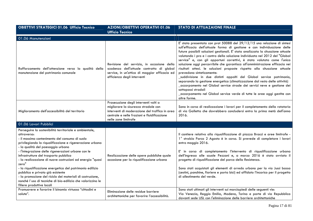| <b>OBIETTIVI STRATEGICI 01.06 Ufficio Tecnico</b>                                                                                                                                                                                                                                                                                                                                                                                                                                                                                                                                                                                                      | <b>AZIONI/OBIETTIVI OPERATIVI 01.06</b><br><b>Ufficio Tecnico</b>                                                                                                                                      | <b>STATO DI ATTUAZAIONE FINALE</b>                                                                                                                                                                                                                                                                                                                                                                                                                                                                                                                                                                                                                                                                                                                                                                                                                                                                                                               |
|--------------------------------------------------------------------------------------------------------------------------------------------------------------------------------------------------------------------------------------------------------------------------------------------------------------------------------------------------------------------------------------------------------------------------------------------------------------------------------------------------------------------------------------------------------------------------------------------------------------------------------------------------------|--------------------------------------------------------------------------------------------------------------------------------------------------------------------------------------------------------|--------------------------------------------------------------------------------------------------------------------------------------------------------------------------------------------------------------------------------------------------------------------------------------------------------------------------------------------------------------------------------------------------------------------------------------------------------------------------------------------------------------------------------------------------------------------------------------------------------------------------------------------------------------------------------------------------------------------------------------------------------------------------------------------------------------------------------------------------------------------------------------------------------------------------------------------------|
| 01.06 Manutenzioni                                                                                                                                                                                                                                                                                                                                                                                                                                                                                                                                                                                                                                     |                                                                                                                                                                                                        |                                                                                                                                                                                                                                                                                                                                                                                                                                                                                                                                                                                                                                                                                                                                                                                                                                                                                                                                                  |
| Rafforzamento dell'attenzione verso la qualità della<br>manutenzione del patrimonio comunale                                                                                                                                                                                                                                                                                                                                                                                                                                                                                                                                                           | Revisione del servizio, in occasione della<br>scadenza dell'attuale contratto di global<br>service, in un'ottica di maggior efficacia ed<br>efficienza degli interventi                                | E' stata presentata con prot 50088 del $29/12/15$ una relazione di sintesi<br>sull'efficacia dell'attuale forma di gestione e con individuazione delle<br>future possibili soluzioni gestionali. E' stata analizzata la situazione attuale<br>valutando i pro e i contro della soluzione individuata nel 2012 del "Global<br>service" e, con gli opportuni correttivi, è stata valutata come l'unica<br>soluzione oggi percorribile che garantisca all'amministrazione efficacia nei<br>risultati attesi. le soluzioni proposte rispetto alla situazione attuale<br>prevedono sinteticamente:<br>suddivisione in due distinti appalti del Global service patrimonio,<br>separando la gestione energetica (climatizzazione dal resto delle attività)<br>accorpamento nel Global service strade dei servizi neve e gestione dei<br>sottopassi stradali<br>_accorpamento nel Global service verde di tutte le aree oggi gestite con<br>altre forme. |
| Miglioramento dell'accessibilità del territorio                                                                                                                                                                                                                                                                                                                                                                                                                                                                                                                                                                                                        | Prosecuzione degli interventi volti a<br>migliorare la sicurezza stradale con<br>interventi di moderazione del traffico in area<br>centrale e nelle frazioni e fluidificazione<br>nelle zone limitrofe | Sono in corso di realizzazione i lavori per il completamento della rotatoria<br>di via Galletta che dovrebbero concludersi entro la prima metà dell'anno<br>2016.                                                                                                                                                                                                                                                                                                                                                                                                                                                                                                                                                                                                                                                                                                                                                                                |
| 01.06 Lavori Pubblici                                                                                                                                                                                                                                                                                                                                                                                                                                                                                                                                                                                                                                  |                                                                                                                                                                                                        |                                                                                                                                                                                                                                                                                                                                                                                                                                                                                                                                                                                                                                                                                                                                                                                                                                                                                                                                                  |
| Perseguire la sostenibilità territoriale e ambientale,<br>attraverso:<br>- il massimo contenimento del consumo di suolo<br>privilegiando la riqualificazione e rigenerazione urbana<br>- la qualità del paesaggio urbano<br>- l'integrazione delle rigenerazioni urbane con le<br>infrastrutture del trasporto pubblico<br>- la realizzazione di nuove costruzioni ad energia "quasi<br>zero"<br>- la riqualificazione energetica del patrimonio edilizio<br>pubblico e privato già esistente<br>- la promozione del riciclo dei materiali di costruzione,<br>nonché l'uso di tecniche di bio-edilizia che valorizzino le<br>filiere produttive locali | Realizzazione delle opere pubbliche quale<br>occasione per la riqualificazione urbana                                                                                                                  | Il cantiere relativo alla riqualificazione di piazza Bracci e aree limitrofe -<br>1° stralcio Parco 2 Agosto è in corso. Si prevede di completare i lavori<br>entro maggio 2016.<br>E' in corso di completamento l'intervento di riqualificazione urbana<br>dell'ingresso alle scuole Pezzani e, a marzo 2016 è stato avviato il<br>progetto di riqualificazione del parco della Resistenza.<br>Sono stati acquistati gli elementi di arredo urbano per la via Jussi bassa<br>(cestini, panchine, fioriere e porta bici) ed affidato l'incarico per il progetto<br>di allestimento del verde.                                                                                                                                                                                                                                                                                                                                                    |
| Promuovere e favorire il binomio virtuoso "cittadini e<br>salute".                                                                                                                                                                                                                                                                                                                                                                                                                                                                                                                                                                                     | Eliminazione delle residue barriere<br>architettoniche per favorire l'accessibilità.                                                                                                                   | Sono stati ultimati gli interventi sui marciapiedi delle seguenti vie:<br>Via Venezia, Reggio Emilia, Modena, Torino e parte di via Repubblica<br>davanti sede USL con l'eliminazione delle barriere architettoniche                                                                                                                                                                                                                                                                                                                                                                                                                                                                                                                                                                                                                                                                                                                             |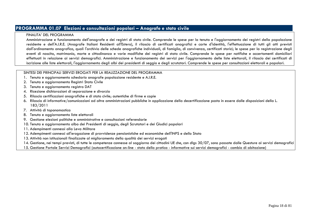# **PROGRAMMA 01.07 Elezioni e consultazioni popolari – Anagrafe e stato civile**

#### FINALITA' DEL PROGRAMMA

 Amministrazione e funzionamento dell'anagrafe e dei registri di stato civile. Comprende le spese per la tenuta e l'aggiornamento dei registri della popolazione residente e dell'A.I.R.E. (Anagrafe Italiani Residenti all'Estero), il rilascio di certificati anagrafici e carte d'identità, l'effettuazione di tutti gli atti previsti dall'ordinamento anagrafico, quali l'archivio delle schede anagrafiche individuali, di famiglia, di convivenza, certificati storici; le spese per la registrazione degli eventi di nascita, matrimonio, morte e cittadinanza e varie modifiche dei registri di stato civile. Comprende le spese per notifiche e accertamenti domiciliari effettuati in relazione ai servizi demografici. Amministrazione e funzionamento dei servizi per l'aggiornamento delle liste elettorali, il rilascio dei certificati di iscrizione alle liste elettorali, l'aggiornamento degli albi dei presidenti di seggio e degli scrutatori. Comprende le spese per consultazioni elettorali e popolari.

- 1. Tenuta e aggiornamento schedario anagrafe popolazione residente e A.I.R.E.
- 2. Tenuta e aggiornamento Registri Stato Civile
- 3. Tenuta e aggiornamento registro DAT
- 4. Ricezione dichiarazioni di separazione e divorzio
- 5. Rilascio certificazioni anagrafiche e di stato civile; autentiche di firme e copie
- 6. Rilascio di informative/comunicazioni ad altre amministrazioni pubbliche in applicazione della decertificazione posta in essere dalle disposizioni della L. 183/2011
- 7. Attività di toponomastica
- 8. Tenuta e aggiornamento liste elettorali
- 9. Gestione elezioni politiche e amministrative e consultazioni referendarie
- 10. Tenuta e aggiornamento albo dei Presidenti di seggio, degli Scrutatori e dei Giudici popolari
- 11. Adempimenti connessi alla Leva Militare
- 12. Adempimenti connessi all'erogazione di provvidenze pensionistiche ed economiche dell'INPS e dello Stato
- 13. Attività non istituzionali finalizzate al miglioramento della qualità dei servizi erogati
- 14. Gestione, nei tempi previsti, di tutte le competenze connesse al soggiorno dei cittadini UE che, con dlgs 30/07, sono passate dalle Questure ai servizi demografici
- 15. Gestione Portale Servizi Demografici (autocertificazione on-line stato della pratica informative sui servizi demografici cambio di abitazione)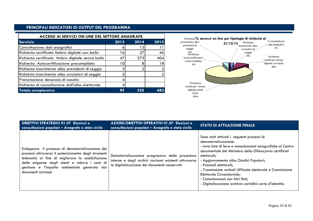## **PRINCIPALI INDICATORI DI OUTPUT DEL PROGRAMMA**

| ACCESSI AI SERVIZI ON LINE DEL SETTORE ANAGRAFE   |                 |      | Richiesta% accessi on line per tipologia di richiesta al |                                                              |
|---------------------------------------------------|-----------------|------|----------------------------------------------------------|--------------------------------------------------------------|
| Servizio                                          | 2013            | 2014 | 2015                                                     | inserimento albo<br>Richiesta<br>31/12/15                    |
| Consultazione dati anagrafici                     |                 | -3   |                                                          | presidenti di<br>inserimento albo<br>seggio<br>scrutatori di |
| Richiesta certificato timbro digitale con bollo   | 16              | 27   | 46                                                       | 0%<br>Richiesta<br>seggio                                    |
| Richiesta certificato timbro digitale senza bollo | 47              | 275  | 404                                                      | Autocertificazion                                            |
| Richiesta Autocertificazione precompilata         | 10 <sub>1</sub> |      | '8                                                       | e precompilata<br>4%                                         |
| Richiesta inserimento albo presidenti di seggio   |                 |      |                                                          |                                                              |
| Richiesta inserimento albo scrutatori di seggio   |                 |      |                                                          |                                                              |
| IPrenotazione denuncia di nascita                 |                 |      |                                                          |                                                              |
| Richiesta di cancellazione dall'albo elettorale   |                 |      |                                                          | Richiesta<br>certificato timbro                              |
| Totale complessivo                                | 95              | 325  | 483                                                      | digitale senza<br>bollo                                      |



| <b>OBIETTIVI STRATEGICI 01.07 Elezioni e</b><br>consultazioni popolari - Anagrafe e stato civile                                                                                                                                                                                         | AZIONI/OBIETTIVI OPERATIVI 01.07 Elezioni e<br>consultazioni popolari - Anagrafe e stato civile                                                          | <b>STATO DI ATTUAZIONE FINALE</b>                                                                                                                                                                                                                                                                                                                                                                                                                                           |
|------------------------------------------------------------------------------------------------------------------------------------------------------------------------------------------------------------------------------------------------------------------------------------------|----------------------------------------------------------------------------------------------------------------------------------------------------------|-----------------------------------------------------------------------------------------------------------------------------------------------------------------------------------------------------------------------------------------------------------------------------------------------------------------------------------------------------------------------------------------------------------------------------------------------------------------------------|
| Sviluppare il processo di dematerializzazione dei<br>processi attraverso il potenziamento degli strumenti<br>telematici al fine di migliorare la soddisfazione<br>delle esigenze degli utenti e ridurre i costi di<br>gestione e l'impatto ambientale generato dai<br>documenti cartacei | Dematerializzazione progressiva delle procedure<br>interne e degli archivi cartacei esistenti attraverso<br>la digitalizzazione dei documenti conservati | Sono stati attivati i seguenti processi di<br>dematerializzazione:<br>- Invio liste di leva e comunicazioni anagrafiche al Centro<br>documentale del Ministero della Difesa; Invio certificati<br>elettorali;<br>- Aggiornamento albo Giudici Popolari;<br>- Fascicoli elettorali;<br>- Trasmissione verbali Ufficiale elettorale e Commissione<br>Elettorale Circondariale;<br>- Comunicazioni con Altri Enti;<br>- Digitalizzazione archivio cartellini carte d'identità. |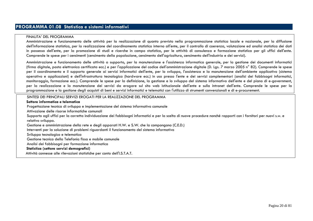# **PROGRAMMA 01.08 Statistica e sistemi informativi**

#### FINALITA' DEL PROGRAMMA

 Amministrazione e funzionamento delle attività per la realizzazione di quanto previsto nella programmazione statistica locale e nazionale, per la diffusione dell'informazione statistica, per la realizzazione del coordinamento statistico interno all'ente, per il controllo di coerenza, valutazione ed analisi statistica dei dati in possesso dell'ente, per la promozione di studi e ricerche in campo statistico, per le attività di consulenza e formazione statistica per gli uffici dell'ente. Comprende le spese per i censimenti (censimento della popolazione, censimento dell'agricoltura, censimento dell'industria e dei servizi).

Amministrazione e funzionamento delle attività a supporto, per la manutenzione e l'assistenza informatica generale, per la gestione dei documenti informatici (firma digitale, posta elettronica certificata ecc.) e per l'applicazione del codice dell'amministrazione digitale (D. Lgs. 7 marzo 2005 n° 82). Comprende le spese per il coordinamento e il supporto generale ai servizi informatici dell'ente, per lo sviluppo, l'assistenza e la manutenzione dell'ambiente applicativo (sistema operativo e applicazioni) e dell'infrastruttura tecnologica (hardware ecc.) in uso presso l'ente e dei servizi complementari (analisi dei fabbisogni informatici, monitoraggio, formazione ecc.). Comprende le spese per la definizione, la gestione e lo sviluppo del sistema informativo dell'ente e del piano di e-government, per la realizzazione e la manutenzione dei servizi da erogare sul sito web istituzionale dell'ente e sulla intranet dell'ente. Comprende le spese per la programmazione e la gestione degli acquisti di beni e servizi informatici e telematici con l'utilizzo di strumenti convenzionali e di e-procurement.

SINTESI DEI PRINCIPALI SERVIZI EROGATI PER LA REALIZZAZIONE DEL PROGRAMMA

#### **Settore informatica e telematica**

Progettazione tecnica di sviluppo e implementazione del sistema informativo comunale

Attivazione delle risorse informatiche comunali

 Supporto agli uffici per la corretta individuazione dei fabbisogni informatici e per la scelta di nuove procedure nonché rapporti con i fornitori per nuovi s.w. e relativo sviluppo.

Gestione e amministrazione della rete e degli apparati H.W. e S.W. che la compongono (C.E.D.)

Interventi per la soluzione di problemi riguardanti il funzionamento del sistema informativo

Sviluppo tecnologico e telematica

Gestione tecnica della Telefonia fissa e mobile comunale

Analisi dei fabbisogni per formazione informatica

#### **Statistica (settore servizi demografici)**

Attività connesse alle rilevazioni statistiche per conto dell'I.S.T.A.T.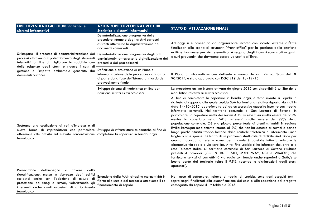| <b>OBIETTIVI STRATEGICI 01.08 Statistica e</b><br>sistemi informativi                                                                                                                                                                                                                    | <b>AZIONI/OBIETTIVI OPERATIVI 01.08</b><br>Statistica e sistemi informativi                                                                                         | <b>STATO DI ATTUAZAIONE FINALE</b>                                                                                                                                                                                                                                                                                                                                                                                                                                                                                                                                                                                                                                                                                                                                                                                                                                                                                                                                                                                                                                                                                                                                                                                                                                                                                                                                                                         |  |
|------------------------------------------------------------------------------------------------------------------------------------------------------------------------------------------------------------------------------------------------------------------------------------------|---------------------------------------------------------------------------------------------------------------------------------------------------------------------|------------------------------------------------------------------------------------------------------------------------------------------------------------------------------------------------------------------------------------------------------------------------------------------------------------------------------------------------------------------------------------------------------------------------------------------------------------------------------------------------------------------------------------------------------------------------------------------------------------------------------------------------------------------------------------------------------------------------------------------------------------------------------------------------------------------------------------------------------------------------------------------------------------------------------------------------------------------------------------------------------------------------------------------------------------------------------------------------------------------------------------------------------------------------------------------------------------------------------------------------------------------------------------------------------------------------------------------------------------------------------------------------------------|--|
|                                                                                                                                                                                                                                                                                          | Dematerializzazione progressiva delle<br>procedure interne e degli archivi cartacei<br>esistenti attraverso la digitalizzazione dei<br>documenti conservati         | Ad oggi si è proceduto ad organizzare incontri con società esterne all'Ente<br>finalizzati alla scelta di strumenti "front office" per la gestione delle pratiche                                                                                                                                                                                                                                                                                                                                                                                                                                                                                                                                                                                                                                                                                                                                                                                                                                                                                                                                                                                                                                                                                                                                                                                                                                          |  |
| Sviluppare il processo di dematerializzazione dei<br>processi attraverso il potenziamento degli strumenti<br>telematici al fine di migliorare la soddisfazione<br>delle esigenze degli utenti e ridurre i costi di<br>gestione e l'impatto ambientale generato dai<br>documenti cartacei | Dematerializzazione progressiva degli atti<br>amministrativi attraverso la digitalizzazione dei<br>processi e dei procedimenti                                      | edilizie trasmesse per via telematica. A seguito degli incontri sono stati acquisiti<br>alcuni preventivi che dovranno essere valutati dall'Ente.                                                                                                                                                                                                                                                                                                                                                                                                                                                                                                                                                                                                                                                                                                                                                                                                                                                                                                                                                                                                                                                                                                                                                                                                                                                          |  |
|                                                                                                                                                                                                                                                                                          | Definizione e attuazione di un Piano di<br>informatizzazione delle procedure ad istanza<br>di parte dalla fase dell'istanza al rilascio del<br>provvedimento finale | Il Piano di Informatizzazione dell'ente a norma dell'art. 24 co. 3-bis del DL<br>90/2014, è stato approvato con DGC 219 del 18/12/15                                                                                                                                                                                                                                                                                                                                                                                                                                                                                                                                                                                                                                                                                                                                                                                                                                                                                                                                                                                                                                                                                                                                                                                                                                                                       |  |
|                                                                                                                                                                                                                                                                                          | Sviluppo sistema di modulistica on line per<br>iscrizione servizi extra scolastici                                                                                  | La procedura on line è stata attivata da giugno 2015 con disponibilità sul Sito della<br>modulistica relativa ai servizi scolastici.                                                                                                                                                                                                                                                                                                                                                                                                                                                                                                                                                                                                                                                                                                                                                                                                                                                                                                                                                                                                                                                                                                                                                                                                                                                                       |  |
| Sostegno alla costituzione di reti d'impresa e di<br>nuove forme di imprenditoria con particolare Sviluppo di infrastrutture telematiche al fine di<br>attenzione alle attività ad elevata concentrazione<br>tecnologica                                                                 | completare la copertura in banda larga                                                                                                                              | Al fine di completare la copertura in banda larga, è stata inviata a Lepida la<br>richiesta di supporto alla quale Lepida SpA ha fornito la relativa risposta via mail in<br>data 14/10/2015, approfondita poi da un successivo apposito incontro con i tecnici<br>informatici comunali. Nel territorio comunale di San Lazzaro di Savena, in<br>particolare, la copertura netta dei servizi ADSL su rete fissa risulta essere del 98%,<br>mentre la copertura netta "ADSL+wireless" risulta essere del 99% della<br>popolazione comunale. C'è una piccola percentuale di utenti (stimabili in regione<br>Emilia-Romagna mediamente intorno al 2%) che non ha accesso ai servizi a banda<br>larga poiché situata troppo lontana dalla centrale telefonica di riferimento (linee<br>lunghe o case sparse). Si tratta di un problema strutturale di difficile risoluzione per<br>quanto riguarda la rete in rame, per il quale è possibile tuttavia valutare le<br>alternative via radio o via satellite. A tal fine Lepida ci ha informati che, oltre alla<br>rete Telecom Italia, sul territorio comunale di San Lazzaro di Savena risultano<br>presenti 4 provider (GO INTERNET, STEL, MYNETWAY, NGI e WIMORE) che<br>forniscono servizi di connettività via radio con bande anche superiori a 2Mb/s su<br>buona parte del territorio (oltre il 95%, secondo le dichiarazioni degli stessi<br>operatori). |  |
| dell'impegno a<br>della<br>Prosecuzione<br>favore<br>riqualificazione, messa in sicurezza degli edifici<br>scolastici anche con l'adozione di misure di<br>protezione da smog e rumori, valorizzando gli<br>interventi anche quali occasioni di arricchimento<br>tecnologico             | Estensione della MAN cittadina (connettività in<br>fibra) alle scuole del territorio attraverso il co-<br>finanziamento di Lepida                                   | Nel mese di settembre, insieme ai tecnici di Lepida, sono stati eseguiti tutti i<br>sopralluoghi finalizzati alla quantificazione dei costi e alla redazione del progetto<br>consegnato da Lepida il 19 febbraio 2016.                                                                                                                                                                                                                                                                                                                                                                                                                                                                                                                                                                                                                                                                                                                                                                                                                                                                                                                                                                                                                                                                                                                                                                                     |  |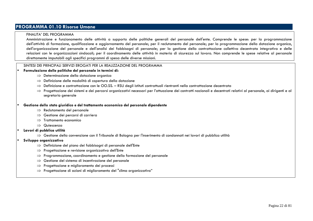# **PROGRAMMA 01.10 Risorse Umane**

#### FINALITA' DEL PROGRAMMA

 Amministrazione e funzionamento delle attività a supporto delle politiche generali del personale dell'ente. Comprende le spese: per la programmazione dell'attività di formazione, qualificazione e aggiornamento del personale; per il reclutamento del personale; per la programmazione della dotazione organica, dell'organizzazione del personale e dell'analisi dei fabbisogni di personale; per la gestione della contrattazione collettiva decentrata integrativa e delle relazioni con le organizzazioni sindacali; per il coordinamento delle attività in materia di sicurezza sul lavoro. Non comprende le spese relative al personale direttamente imputabili agli specifici programmi di spesa delle diverse missioni.

#### SINTESI DEI PRINCIPALI SERVIZI EROGATI PER LA REALIZZAZIONE DEL PROGRAMMA

#### •**Formulazione delle politiche del personale in termini di:**

- ⇒ Determinazione della dotazione organica<br>→ Definizione delle modalità di conortura de
- ⇒ Definizione delle modalità di copertura della dotazione<br>→ Definizione e contrattazione con le OO SS PSL dogli i:
- ⇒ Definizione e contrattazione con le OO.SS. RSU degli istituti contrattuali rientranti nella contrattazione decentrata<br>→ Progottazione dei sistemi e dei percersi esamizzativi necessari per l'attuazione dei contratti pa
- ⇒ Progettazione dei sistemi e dei percorsi organizzativi necessari per l'attuazione dei contratti nazionali e decentrati relativi al personale, ai dirigenti e al<br>segretario generale segretario generale

#### •**Gestione dello stato giuridico e del trattamento economico del personale dipendente**

- ⇒ Reclutamento del personale<br>→ Cestiene dei persorsi di sarr
- ⇒ Gestione dei percorsi di carriera<br>→ Trattamente economice
- ⇒ Trattamento economico
- ⇒ Quiescenza<br>Li nubblica utilit
- • **Lavori di pubblica utilità** 
	- ⇒ Gestione della convenzione con il Tribunale di Bologna per l'inserimento di condannati nei lavori di pubblica utilità<br>e erganizzative

#### •**Sviluppo organizzativo**

- ⇒ Definizione del piano dei fabbisogni di personale dell'Ente<br>→ Progottazione e revisione erganizzativa dell'Ente
- ⇒ Progettazione e revisione organizzativa dell'Ente
- ⇒ Programmazione, coordinamento e gestione della formazione del personale<br>→ Gestione del sistema di incentivazione del personale
- ⇒ Gestione del sistema di incentivazione del personale<br>→ Progettazione e miglioramento dei processi
- ⇒ Progettazione e miglioramento dei processi
- $\Rightarrow$  Progettazione di azioni di miglioramento del "clima organizzativo"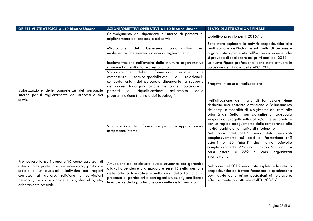| <b>OBIETTIVI STRATEGICI 01.10 Risorse Umane</b>                                                                                                                                                                                                                                         | AZIONI/OBIETTIVI OPERATIVI 01.10 Risorse Umane                                                                                                                                                                                                                                                                                                             | <b>STATO DI ATTUAZAIONE FINALE</b>                                                                                                                                                                                                                                                                                                                                                                                                                                                                                                                                                                                                                      |
|-----------------------------------------------------------------------------------------------------------------------------------------------------------------------------------------------------------------------------------------------------------------------------------------|------------------------------------------------------------------------------------------------------------------------------------------------------------------------------------------------------------------------------------------------------------------------------------------------------------------------------------------------------------|---------------------------------------------------------------------------------------------------------------------------------------------------------------------------------------------------------------------------------------------------------------------------------------------------------------------------------------------------------------------------------------------------------------------------------------------------------------------------------------------------------------------------------------------------------------------------------------------------------------------------------------------------------|
|                                                                                                                                                                                                                                                                                         | Coinvolgimento dei dipendenti all'interno di percorsi di<br>miglioramento dei processi e dei servizi                                                                                                                                                                                                                                                       | Obiettivo previsto per il 2016/17                                                                                                                                                                                                                                                                                                                                                                                                                                                                                                                                                                                                                       |
|                                                                                                                                                                                                                                                                                         | Misurazione<br>del<br>organizzativo<br>benessere<br>ed<br>implementazione eventuali azioni di miglioramento                                                                                                                                                                                                                                                | Sono state espletate le attività propedeutiche alla<br>realizzazione dell'indagine sul livello di benessere<br>organizzativo percepito nell'organizzazione e che<br>si prevede di realizzare nei primi mesi del 2016                                                                                                                                                                                                                                                                                                                                                                                                                                    |
|                                                                                                                                                                                                                                                                                         | Implementazione nell'ambito della struttura organizzativa<br>di nuove figure di alta professionalità                                                                                                                                                                                                                                                       | Le nuove figure professionali sono state attivate in<br>occasione del rinnovo delle APO 2015                                                                                                                                                                                                                                                                                                                                                                                                                                                                                                                                                            |
| Valorizzazione delle competenze del personale<br>interno per il miglioramento dei processi e dei                                                                                                                                                                                        | Valorizzazione<br>delle<br>informazioni<br>sulle<br>raccolte<br>tecnico-specialistiche<br>relazionali-<br>competenze<br>e<br>comportamentali del personale dipendente, a supporto<br>dei processi di riorganizzazione interna che in occasione di<br>di<br>riqualificazione<br>nell'ambito<br>percorsi<br>della<br>programmazione triennale dei fabbisogni | Progetto in corso di realizzazione                                                                                                                                                                                                                                                                                                                                                                                                                                                                                                                                                                                                                      |
| servizi                                                                                                                                                                                                                                                                                 | Valorizzazione della formazione per lo sviluppo di nuove<br>competenze interne                                                                                                                                                                                                                                                                             | Nell'attuazione del Piano di formazione viene<br>dedicata una costante attenzione all'allineamento<br>dei tempi e modalità di svolgimento dei corsi alle<br>priorità dei Settori, per garantire un adeguato<br>supporto ai progetti settoriali e/o intersettoriali e<br>per un rapido adeguamento delle competenze alle<br>novità tecniche o normative di riferimento.<br>corso del 2015 sono stati realizzati<br>Nel<br>complessivamente 65 corsi di formazione (45<br>- 20<br>interni) che<br>esterni e<br>hanno<br>coinvolto<br>complessivamente 292 iscritti, di cui 53 iscritti ai<br>corsi esterni e 239 ai corsi<br>organizzati<br>internamente. |
| Promuovere le pari opportunità come assenza di<br>ostacoli alla partecipazione economica, politica e<br>individuo per ragioni<br>sociale di un qualsiasi<br>connesse al genere, religione e convinzioni<br>personali, razza e origine etnica, disabilità, età,<br>orientamento sessuale | Attivazione del telelavoro quale strumento per garantire<br>alla/al dipendente una maggiore serenità nella gestione<br>delle attività lavorative e nella cura della famiglia, in<br>presenza di particolari e contingenti situazioni, conciliando<br>le esigenze della produzione con quelle della persona                                                 | Nel corso del 2015 sono state espletate le attività<br>propedeutiche ed è stata formulata la graduatoria<br>per l'avvio delle prime postazioni di telelavoro,<br>effettivamente poi attivate dall'01/03/16                                                                                                                                                                                                                                                                                                                                                                                                                                              |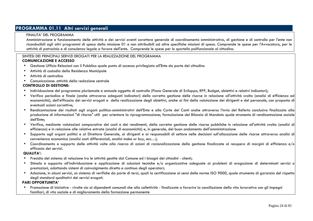# **PROGRAMMA 01.11 Altri servizi generali**

#### FINALITA' DEL PROGRAMMA

 Amministrazione e funzionamento delle attività e dei servizi aventi carattere generale di coordinamento amministrativo, di gestione e di controllo per l'ente non riconducibili agli altri programmi di spesa della missione 01 e non attribuibili ad altre specifiche missioni di spesa. Comprende le spese per l'Avvocatura, per le attività di patrocinio e di consulenza legale a favore dell'ente. Comprende le spese per lo sportello polifunzionale al cittadino.

#### SINTESI DEI PRINCIPALI SERVIZI EROGATI PER LA REALIZZAZIONE DEL PROGRAMMA  **COMUNICAZIONE E ACCESSO**

- •Gestione Ufficio Relazioni con il Pubblico quale punto di accesso privilegiato all'Ente da parte del cittadino
- •Attività di custodia della Residenza Municipale
- •Attività di centralino
- Comunicazione: attività della redazione centrale

#### **CONTROLLO DI GESTIONE:**

- •Individuazione del programma pluriennale e annuale oggetto di controllo (Piano Generale di Sviluppo, RPP, Budget, obiettivi e relativi indicatori);
- Verifica periodica e finale (anche attraverso adeguati indicatori) della corretta gestione delle risorse in relazione all'attività svolta (analisi di efficienza ed economicità), dell'efficacia dei servizi erogati e della realizzazione degli obiettivi, anche ai fini della valutazione dei dirigenti e del personale, con proposta di eventuali azioni correttive;
- • Rendicontazione dei risultati agli organi politico-amministrativi dell'Ente e alla Corte dei Conti anche attraverso l'invio del Referto conclusivo finalizzato alla produzione di informazioni "di ritorno" utili per orientare la riprogrammazione; formulazione del Bilancio di Mandato quale strumento di rendicontazione sociale dell'Ente;
- • Verifica, mediante valutazioni comparative dei costi e dei rendimenti, della corretta gestione delle risorse pubbliche in relazione all'attività svolta (analisi di efficienza) e in relazione alle relative entrate (analisi di economicità) e, in generale, del buon andamento dell'amministrazione
- Supporto agli organi politici e al Direttore Generale, ai dirigenti e ai responsabili di settore nelle decisioni sull'allocazione delle risorse attraverso analisi di convenienza economica (analisi costi differenziali, analisi make or buy, ecc…);
- $\bullet$  Coordinamento e supporto delle attività volte alla ricerca di azioni di razionalizzazione della gestione finalizzate al recupero di margini di efficienza e/o $\mid$ efficacia dei servizi.

#### **QUALITA':**

- •Presidio del sistema di relazione tra le attività gestite dal Comune ed i bisogni dei cittadini - clienti;
- • Stimolo e supporto all'individuazione e applicazione di soluzioni tecniche e/o organizzative adeguate ai problemi di erogazione di determinati servizi oprestazioni, adottando sistemi di coinvolgimento diretto e continuo degli operatori;
- Adozione, in alcuni servizi, un sistema di verifiche da parte di terzi, quali la certificazione ai sensi delle norme ISO 9000, quale strumento di garanzia del rispetto degli standard qualitativi dei servizi erogati.

#### **PARI OPPORTUNITA'**

 Promozione di iniziative - rivolte sia ai dipendenti comunali che alla collettività - finalizzate a favorire la conciliazione della vita lavorativa con gli impegni •familiari, di vita sociale e di miglioramento della formazione permanente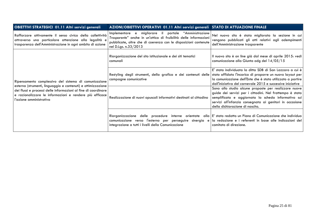| <b>OBIETTIVI STRATEGICI 01.11 Altri servizi generali</b>                                                                                                                                                                                                                      | AZIONI/OBIETTIVI OPERATIVI 01.11 Altri servizi generali STATO DI ATTUAZIONE FINALE                                                                                                                                         |                                                                                                                                                                                                                                                                         |
|-------------------------------------------------------------------------------------------------------------------------------------------------------------------------------------------------------------------------------------------------------------------------------|----------------------------------------------------------------------------------------------------------------------------------------------------------------------------------------------------------------------------|-------------------------------------------------------------------------------------------------------------------------------------------------------------------------------------------------------------------------------------------------------------------------|
| Rafforzare attivamente il senso civico della collettività<br>attraverso una particolare attenzione alla legalità e<br>trasparenza dell'Amministrazione in ogni ambito di azione                                                                                               | portale "Amministrazione<br>migliorare il<br>Implementare e<br>Trasparente" anche in un'ottica di fruibilità delle informazioni<br>pubblicate, oltre che di coerenza con le disposizioni contenute<br>nel D.Lgs. n.33/2013 | Nel nuovo sito è stata migliorata la sezione in cui<br>vengono pubblicati gli atti relativi agli adempimenti<br>dell'Amministrazione trasparente                                                                                                                        |
|                                                                                                                                                                                                                                                                               | Riorganizzazione del sito istituzionale e dei siti tematici<br>comunali                                                                                                                                                    | Il nuovo sito è on line già dal mese di aprile 2015: vedi<br>comunicazione alla Giunta odg del 14/05/15                                                                                                                                                                 |
| Ripensamento complessivo del sistema di comunicazione<br>esterna (strumenti, linguaggio e contenuti) e ottimizzazione<br>dei flussi e processi delle informazioni al fine di coordinare<br>e razionalizzare le informazioni e rendere più efficace<br>l'azione amministrativa | Restyling degli strumenti, della grafica e dei contenuti delle stato affidato l'incarico di proporre un nuovo layout per<br>campagne comunicative                                                                          | E' stata individuata la ditta SDB di San Lazzaro a cui è<br>la comunicazione dell'Ente che è stato utilizzato a partire<br>dall'iniziativa del carnevale 2015 e successive iniziative                                                                                   |
|                                                                                                                                                                                                                                                                               | Realizzazione di nuovi opuscoli informativi destinati al cittadino                                                                                                                                                         | Sono allo studio alcune proposte per realizzare nuove<br>guide dei servizi per i cittadini. Nel frattempo è stata<br>semplificata e aggiornata la scheda informativa sui<br>servizi all'infanzia consegnata ai genitori in occasione<br>della dichiarazione di nascita. |
|                                                                                                                                                                                                                                                                               | Riorganizzazione delle procedure<br>interne orientate<br>comunicazione verso l'esterno per perseguire sinergia<br>e l<br>integrazione a tutti i livelli della Comunicazione                                                | alla E' stato redatto un Piano di Comunicazione che individua<br>la redazione e i referenti in base alle indicazioni del<br>comitato di direzione.                                                                                                                      |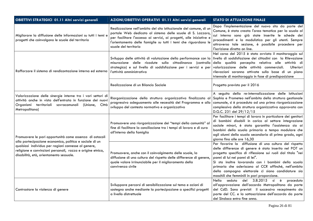| <b>OBIETTIVI STRATEGICI 01.11 Altri servizi generali</b>                                                                                                                                                                | AZIONI/OBIETTIVI OPERATIVI 01.11 Altri servizi generali                                                                                                                                                                                                                                              | <b>STATO DI ATTUAZIONE FINALE</b>                                                                                                                                                                                                                                                                                                                                                                                                      |
|-------------------------------------------------------------------------------------------------------------------------------------------------------------------------------------------------------------------------|------------------------------------------------------------------------------------------------------------------------------------------------------------------------------------------------------------------------------------------------------------------------------------------------------|----------------------------------------------------------------------------------------------------------------------------------------------------------------------------------------------------------------------------------------------------------------------------------------------------------------------------------------------------------------------------------------------------------------------------------------|
| Migliorare la diffusione delle informazioni su tutti i temi e<br>progetti che coinvolgono le scuole del territorio                                                                                                      | Realizzazione nell'ambito del sito istituzionale del comune, di un<br>portale Web dedicato al sistema delle scuole di S. Lazzaro,<br>per facilitare l'accesso ai servizi, ai progetti, alle iniziative e<br>l'orientamento delle famiglie su tutti i temi che riguardano le<br>scuole del territorio | Dopo l'implementazione del nuovo sito da parte del<br>Comune, è stata creata l'area tematica per la scuola al<br>cui interno sono già state inserite le schede dei<br>procedimenti e la modulistica per gli utenti. Sempre<br>attraverso tale sezione, è possibile procedere per<br>l'iscrizione diretta on line.                                                                                                                      |
| Rafforzare il sistema di rendicontazione interna ed esterna                                                                                                                                                             | Sviluppo delle attività di valutazione della performance con la livello di soddisfazione dei cittadini con la Rilevazione<br>misurazione delle ricadute sulla cittadinanza (controllo<br>strategico) e sul livello di soddisfazione per i servizi e per<br>l'attività amministrativa                 | Nel corso del 2015 è stato avviato il monitoraggio sul<br>della qualità percepita relativa alle attività di<br>valorizzazione delle attività commerciali.<br><b>Ulteriori</b><br>rilevazioni saranno attivate sulla base di un piano<br>triennale di monitoraggio in fase di predisposizione                                                                                                                                           |
|                                                                                                                                                                                                                         | Realizzazione di un Bilancio Sociale                                                                                                                                                                                                                                                                 | Progetto previsto per il 2016                                                                                                                                                                                                                                                                                                                                                                                                          |
| Valorizzazione delle sinergie interne tra i vari settori di<br>attività anche in vista dell'entrata in funzione dei nuovi<br>Organismi territoriali sovracomunali (Unione,<br>Città<br>Metropolitana)                   | Riorganizzazione della struttura organizzativa finalizzata al<br>progressivo adeguamento alle necessità del Programma e allo<br>sviluppo del contesto normativo e organizzativo                                                                                                                      | A seguito della re-internalizzazione delle Istituzioni<br>Sophia e Prometeo nell'ambito della struttura gestionale<br>comunale, si è proceduto ad una prima riorganizzazione<br>complessiva della struttura organizzativa approvata con<br>D.G.C. 231 del 29/12/15                                                                                                                                                                     |
| Promuovere le pari opportunità come assenza di ostacoli                                                                                                                                                                 | Promuovere una riorganizzazione dei "tempi della comunità" al<br>fine di facilitare la conciliazione tra i tempi di lavoro e di cura<br>all'interno della famiglia                                                                                                                                   | Per facilitare i tempi di lavoro in particolare dei genitori<br>di bambini disabili in carico al settore integrazione<br>sociale minori, è stata garantita l'assistenza sia ai<br>bambini della scuola primaria a tempo modulare che<br>agli alunni della scuola secondaria di primo grado, ogni<br>giorno fino alle ore 16,30                                                                                                         |
| alla partecipazione economica, politica e sociale di un<br>qualsiasi individuo per ragioni connesse al genere,<br>religione e convinzioni personali, razza e origine etnica,<br>disabilità, età, orientamento sessuale. | Promuovere, anche con il coinvolgimento delle scuole, la<br>diffusione di una cultura del rispetto delle differenze di genere,<br>quale valore irrinunciabile per il miglioramento della<br>convivenza civile                                                                                        | Per favorire la diffusione di una cultura del rispetto<br>delle differenze di genere è stato inserito nel POT un<br>progetto specifico di riflessione sui ruoli dal titolo "nei<br>panni di lui nei panni di lei".<br>Si sta inoltre lavorando con i bambini della scuola<br>primaria che aderiscono al CCR affinché, nell'ambito<br>della campagna elettorale ci siano candidature sia<br>maschili che femminili in pari proporzione. |
| Contrastare la violenza di genere                                                                                                                                                                                       | Sviluppare percorsi di sensibilizzazione sul tema e azioni di<br>sostegno anche mediante la partecipazione a specifici progetti<br>a livello distrettuale                                                                                                                                            | Nella seduta<br>del 3.8.2015 si è<br>proceduto<br>all'approvazione dell'accordo Metropolitano da parte<br>del CdD. Sono previsti il successivo recepimento da<br>parte del CC. e la sottoscrizione dell'accordo da parte<br>del Sindaco entro fine anno.                                                                                                                                                                               |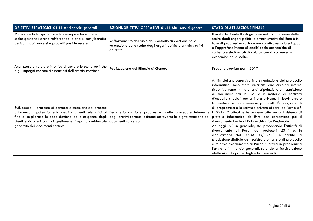| OBIETTIVI STRATEGICI 01.11 Altri servizi generali                                                                                                                                                                                                                                      | AZIONI/OBIETTIVI OPERATIVI 01.11 Altri servizi generali                                                                                                                                                        | <b>STATO DI ATTUAZIONE FINALE</b>                                                                                                                                                                                                                                                                                                                                                                                                                                                                                                                                                                                                                                                                                                                                                                                                                                                                                                                    |
|----------------------------------------------------------------------------------------------------------------------------------------------------------------------------------------------------------------------------------------------------------------------------------------|----------------------------------------------------------------------------------------------------------------------------------------------------------------------------------------------------------------|------------------------------------------------------------------------------------------------------------------------------------------------------------------------------------------------------------------------------------------------------------------------------------------------------------------------------------------------------------------------------------------------------------------------------------------------------------------------------------------------------------------------------------------------------------------------------------------------------------------------------------------------------------------------------------------------------------------------------------------------------------------------------------------------------------------------------------------------------------------------------------------------------------------------------------------------------|
| Migliorare la trasparenza e la consapevolezza delle<br>scelte gestionali anche rafforzando le analisi costi/benefici<br>derivanti dai processi e progetti posti in essere                                                                                                              | Rafforzamento del ruolo del Controllo di Gestione nella<br>valutazione delle scelte degli organi politici e amministrativi<br>dell'Ente                                                                        | Il ruolo del Controllo di gestione nella valutazione delle<br>scelte degli organi politici e amministrativi dell'Ente è in<br>fase di progressivo rafforzamento attraverso lo sviluppo<br>e l'approfondimento di analisi socio-economiche di<br>contesto e studi mirati di valutazione di convenienza<br>economica delle scelte.                                                                                                                                                                                                                                                                                                                                                                                                                                                                                                                                                                                                                     |
| Analizzare e valutare in ottica di genere le scelte politiche<br>e gli impegni economici-finanziari dell'amministrazione                                                                                                                                                               | Realizzazione del Bilancio di Genere                                                                                                                                                                           | Progetto previsto per il 2017                                                                                                                                                                                                                                                                                                                                                                                                                                                                                                                                                                                                                                                                                                                                                                                                                                                                                                                        |
| Sviluppare il processo di dematerializzazione dei processi<br>attraverso il potenziamento degli strumenti telematici al<br>fine di migliorare la soddisfazione delle esigenze degli<br>utenti e ridurre i costi di gestione e l'impatto ambientale<br>generato dai documenti cartacei. | Dematerializzazione progressiva delle procedure interne e<br>degli archivi cartacei esistenti attraverso la digitalizzazione dei protollo informatico dell'Ente per consentirne poi il<br>documenti conservati | Ai fini della progressiva implementazione del protocollo<br>informatico, sono state emanate due circolari interne<br>rispettivamente in materia di stipulazione e trasmissione<br>di documenti tra le P.A. e in materia di contratti<br>d'appalto stipulati per scrittura privata. Il ricevimento e<br>la produzione di convenzioni, protocolli d'intesa, accordi<br>di programma e le scritture private ai sensi dell'art 6 c.3<br>L. 221/12 attualmente avviene attraverso il sistema di<br>riversamento finale al Polo Archivistico Regionale.<br>Ad oggi, più in generale, sta procedendo l'attività di<br>riversamento al Parer dei protocolli 2014 e, in<br>applicazione del DPCM 03/12/13, è partita la<br>produzione digitale del registro giornaliero di protocollo<br>e relativo riversamento al Parer. E' altresì in programma<br>l'avvio e il rilancio generalizzato della fascicolazione<br>elettronica da parte degli uffici comunali. |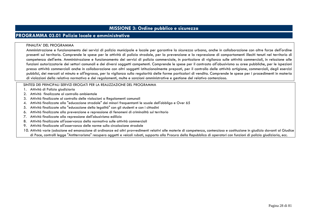# **MISSIONE 3: Ordine pubblico e sicurezza**

# **PROGRAMMA 03.01 Polizia locale e amministrativa**

#### FINALITA' DEL PROGRAMMA

 Amministrazione e funzionamento dei servizi di polizia municipale e locale per garantire la sicurezza urbana, anche in collaborazione con altre forze dell'ordine presenti sul territorio. Comprende le spese per le attività di polizia stradale, per la prevenzione e la repressione di comportamenti illeciti tenuti nel territorio di competenza dell'ente. Amministrazione e funzionamento dei servizi di polizia commerciale, in particolare di vigilanza sulle attività commerciali, in relazione alle funzioni autorizzatorie dei settori comunali e dei diversi soggetti competenti. Comprende le spese per il contrasto all'abusivismo su aree pubbliche, per le ispezioni presso attività commerciali anche in collaborazione con altri soggetti istituzionalmente preposti, per il controllo delle attività artigiane, commerciali, degli esercizi pubblici, dei mercati al minuto e all'ingrosso, per la vigilanza sulla regolarità delle forme particolari di vendita. Comprende le spese per i procedimenti in materia di violazioni della relativa normativa e dei regolamenti, multe e sanzioni amministrative e gestione del relativo contenzioso.

- 1. Attività di Polizia giudiziaria
- 2. Attività finalizzate al controllo ambientale
- 3. Attività finalizzate al controllo delle violazioni a Regolamenti comunali
- 4. Attività finalizzate alla "educazione stradale" dei minori frequentanti le scuole dell'obbligo e Over 65
- 5. Attività finalizzate alla "educazione della legalità" con gli studenti e con i cittadini
- 6. Attività finalizzate alla prevenzione e repressione di fenomeni di criminalità sul territorio
- 7. Attività finalizzate alla repressione dell'abusivismo edilizio
- 8. Attività finalizzate all'osservanza della normativa sulle attività commerciali
- 9. Attività finalizzate all'osservanza delle norme sulla circolazione stradale
- 10. Attività varie (adozione ed emanazione di ordinanze ed altri provvedimenti relativi alle materie di competenza, contenzioso e costituzione in giudizio davanti al Giudice di Pace, controlli legge "Antiterrorismo" recupero oggetti e veicoli rubati, supporto alla Procura della Repubblica di operatori con funzioni di polizia giudiziaria, ecc.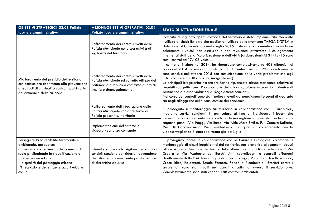| <b>OBIETTIVI STRATEGICI 03.01 Polizia</b><br>locale e amministrativa                                                                                                                                                                                                               | <b>AZIONI/OBIETTIVI OPERATIVI 03.01</b><br>Polizia locale e amministrativa                                                                                         | <b>STATO DI ATTUAZIONE FINALE</b>                                                                                                                                                                                                                                                                                                                                                                                                                                                                                                                                                                                                                                                                          |  |
|------------------------------------------------------------------------------------------------------------------------------------------------------------------------------------------------------------------------------------------------------------------------------------|--------------------------------------------------------------------------------------------------------------------------------------------------------------------|------------------------------------------------------------------------------------------------------------------------------------------------------------------------------------------------------------------------------------------------------------------------------------------------------------------------------------------------------------------------------------------------------------------------------------------------------------------------------------------------------------------------------------------------------------------------------------------------------------------------------------------------------------------------------------------------------------|--|
|                                                                                                                                                                                                                                                                                    | Rafforzamento dei controlli svolti dalla<br>Polizia Municipale nella sua attività di<br>vigilanza del territorio                                                   | L'attività di vigilanza/perlustrazione del territorio è stata implementata mediante<br>l'utilizzo di check list oltre che mediante l'utilizzo dello strumento TARGA SYSTEM in<br>dotazione al Comando da metà luglio 2015. Tale sistema consente di individuare<br>celermente i veicoli non assicurati e non revisionati attraverso il collegamento<br>internet ai dati della Motorizzazione e dell'ANIA (assicurazioni). Al 31/12/15 sono<br>stati controllati 17.105 veicoli.                                                                                                                                                                                                                            |  |
| Miglioramento del presidio del territorio<br>con particolare riferimento alla prevenzione<br>di episodi di criminalità contro il patrimonio<br>dei cittadini e delle aziende                                                                                                       | Rafforzamento dei controlli svolti dalla<br>Polizia Municipale sul corretto utilizzo del<br>patrimonio pubblico a contrasto di atti di<br>incuria o danneggiamento | Il controllo, iniziato nel 2014, ha riguardato complessivamente 408 alloggi. Nel<br>corso del 2014 ne sono stati controllati 113 mentre i restanti 295 accertamenti si<br>sono conclusi nell'ottobre 2015 con comunicazione delle varie problematiche agli<br>uffici competenti (Ufficio casa, Anagrafe ecc).<br>Le principali irregolarità riscontrate hanno riguardato alcune mancanze relative ai<br>requisiti soggettivi per l'occupazione dell'alloggio, alcune occupazioni abusive di<br>pertinenze e alcune violazioni di Regolamenti comunali.<br>Nel corso dei controlli sono stati inoltre rilevati danneggiamenti e segni di degrado<br>sia negli alloggi che nelle parti comuni dei condomini. |  |
|                                                                                                                                                                                                                                                                                    | Rafforzamento dell'integrazione della<br>Polizia Municipale con altre forze di<br>Polizia presenti sul territorio                                                  | E' proseguito il monitoraggio sul territorio in collaborazione con i Carabinieri,<br>mediante servizi congiunti, in particolare al fine di individuare i luoghi che<br>necessitano di implementazione della videosorveglianza. Sono stati individuati i<br>seguenti punti: Via Poggi, Via Russo, Via Aldo Moro-Emilia, F.Ili Canova-Bellaria,<br>Via F.Ili Canova-Emilia, Via Caselle-Emilia nei quali il collegamento con la<br>videosorveglianza è stato realizzato già da luglio                                                                                                                                                                                                                        |  |
|                                                                                                                                                                                                                                                                                    | Implementazione del sistema di<br>videosorveglianza comunale                                                                                                       |                                                                                                                                                                                                                                                                                                                                                                                                                                                                                                                                                                                                                                                                                                            |  |
| Perseguire la sostenibilità territoriale e<br>ambientale, attraverso:<br>- il massimo contenimento del consumo di<br>suolo privilegiando la riqualificazione e<br>rigenerazione urbana<br>- la qualità del paesaggio urbano<br>l'integrazione delle rigenerazioni urbane<br>con le | Intensificazione della vigilanza e azioni di<br>sensibilizzazione per ridurre l'abbandono<br>dei rifiuti e la conseguente proliferazione<br>di discariche abusive  | E' proseguito, anche in collaborazione con le Guardie Ecologiche Volontarie, il<br>monitoraggio di alcuni luoghi critici del territorio, per prevenire allagamenti dovuti<br>alla scarsa manutenzione dei fossi e delle alberature. In particolare le zone di Via<br>Croara e Via Madonna dei Boschi. Altri sopralluoghi e controlli effettuati<br>direttamente dalla P.M. hanno riguardato via Colunga, Mirandola di sotto e sopra,<br>Croce Idice, Palazzetti, Scuole Farneto, Fondè e Piombarola. Ulteriori controlli<br>ambientali sono stati svolti nei parchi cittadini attraverso il servizio bike.<br>Complessivamente sono stati esperiti 188 controlli ambientali.                               |  |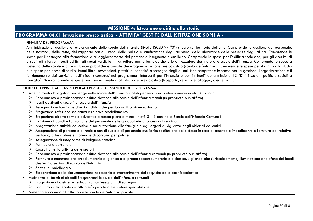# **MISSIONE 4: Istruzione e diritto allo studio**

# **PROGRAMMA 04.01 Istruzione prescolastica - ATTIVITA' GESTITE DALL'ISTITUZIONE SOPHIA -**

#### FINALITA' DEL PROGRAMMA

 Amministrazione, gestione e funzionamento delle scuole dell'infanzia (livello ISCED-97 "0") situate sul territorio dell'ente. Comprende la gestione del personale, delle iscrizioni, delle rette, del rapporto con gli utenti, della pulizia e sanificazione degli ambienti, della rilevazione delle presenze degli alunni. Comprende le spese per il sostegno alla formazione e all'aggiornamento del personale insegnante e ausiliario. Comprende le spese per l'edilizia scolastica, per gli acquisti di arredi, gli interventi sugli edifici, gli spazi verdi, le infrastrutture anche tecnologiche e le attrezzature destinate alle scuole dell'infanzia. Comprende le spese a sostegno delle scuole e altre istituzioni pubbliche e private che erogano istruzione prescolastica (scuola dell'infanzia). Comprende le spese per il diritto allo studio e le spese per borse di studio, buoni libro, sovvenzioni, prestiti e indennità a sostegno degli alunni. Non comprende le spese per la gestione, l'organizzazione e il funzionamento dei servizi di asili nido, ricompresi nel programma "Interventi per l'infanzia e per i minori" della missione 12 "Diritti sociali, politiche sociali e famiglia". Non comprende le spese per i servizi ausiliari all'istruzione prescolastica (trasporto, refezione, alloggio, assistenza ...).

- Adempimenti obbligatori per legge nelle scuole dell'infanzia statali per servizi educativi a minori in età 3 6 anni
	- $\triangleright$  Reperimento o predisposizione edifici destinati alle scuole dell'infanzia statali (in proprietà o in affitto)<br>Nationali destinati a conteni di carela dell'infanzia
	- $\triangleright$  locali destinati a sezioni di scuola dell'infanzia<br>  $\triangleright$  Accompatina fandi alla diveriesi didettiche ne
	- ⋗ Assegnazione fondi alle direzioni didattiche per la qualificazione scolastica
	- ➤ Erogazione refezione scolastica e relativo scodellamento
	- ➤ Erogazione diretta servizio educativo a tempo pieno a minori in età 3 – 6 anni nelle Scuole dell'infanzia Comunali
	- ⋗ Indizione di bandi e formazione del personale delle graduatorie di accesso al servizio
	- $\blacktriangleright$ progettazione attività educativa e socializzazione alle famiglie e agli organi di vigilanza degli obiettivi educativi
	- Assegnazione di personale di ruolo e non di ruolo e di personale ausiliario; sostituzione dello stesso in caso di assenza o impedimento e fornitura del relativo vestiario, attrezzature e materiale di consumo per pulizie
	- $\triangleright$  Assegnazione di insegnante di Religione cattolica
	- ➤ Formazione personale
	- $\triangleright$  Coordinamento attività delle sezioni<br>  $\triangleright$  Perestimente e avecline stribuse adific
	- ⋗ Reperimento o predisposizione edifici destinati alle scuole dell'infanzia comunali (in proprietà o in affitto)
	- Fornitura e manutenzione arredi, materiale igienico e di pronto soccorso, materiale didattico, vigilanza plessi, riscaldamento, illuminazione e telefono dei locali destinati a sezioni di scuola dell'infanzia
	- $\triangleright$  Servizi di bidellaggio
	- Elaborazione della documentazione necessaria al mantenimento del requisito della parità scolastica
- Assistenza ai bambini disabili frequentanti le scuole dell'infanzia comunali
	- $\triangleright$  Erogazione di assistenza educativa con insegnanti di sostegno<br>  $\triangleright$  Expituse di materiale didettice e (e piecele attracentum energi
	- $\triangleright$  Fornitura di materiale didattico e/o piccole attrezzature specialistiche
- •Sostegno economico all'attività delle scuole dell'infanzia private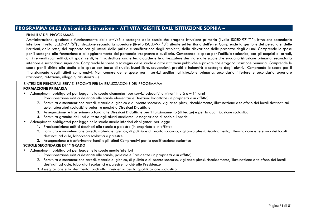# **PROGRAMMA 04.02 Altri ordini di istruzione - ATTIVITA' GESTITE DALL'ISTITUZIONE SOPHIA –**

#### FINALITA' DEL PROGRAMMA

 Amministrazione, gestione e funzionamento delle attività a sostegno delle scuole che erogano istruzione primaria (livello ISCED-97 "1"), istruzione secondaria inferiore (livello ISCED-97 "2") , istruzione secondaria superiore (livello ISCED-97 "3") situate sul territorio dell'ente. Comprende la gestione del personale, delle iscrizioni, delle rette, del rapporto con gli utenti, della pulizia e sanificazione degli ambienti, della rilevazione delle presenze degli alunni. Comprende le spese per il sostegno alla formazione e all'aggiornamento del personale insegnante e ausiliario. Comprende le spese per l'edilizia scolastica, per gli acquisti di arredi, gli interventi sugli edifici, gli spazi verdi, le infrastrutture anche tecnologiche e le attrezzature destinate alle scuole che erogano istruzione primaria, secondaria inferiore e secondaria superiore. Comprende le spese a sostegno delle scuole e altre istituzioni pubbliche e private che erogano istruzione primaria. Comprende le spese per il diritto allo studio e le spese per borse di studio, buoni libro, sovvenzioni, prestiti e indennità a sostegno degli alunni. Comprende le spese per il finanziamento degli Istituti comprensivi. Non comprende le spese per i servizi ausiliari all'istruzione primaria, secondaria inferiore e secondaria superiore (trasporto, refezione, alloggio, assistenza ...).

#### SINTESI DEI PRINCIPALI SERVIZI EROGATI PER LA REALIZZAZIONE DEL PROGRAMMA  **FORMAZIONE PRIMARIA**

- • Adempimenti obbligatori per legge nelle scuole elementari per servizi educativi a minori in età 6 – 11 anni
	- 1. Predisposizione edifici destinati alle scuole elementari e Direzioni Didattiche (in proprietà o in affitto)
	- 2. Fornitura e manutenzione arredi, materiale igienico e di pronto soccorso, vigilanza plessi, riscaldamento, illuminazione e telefono dei locali destinati ad aule, laboratori scolastici e palestre nonché a Direzioni Didattiche
	- 3. Assegnazione e trasferimento fondi alle Direzioni Didattiche per il funzionamento (di legge) e per la qualificazione scolastica.
	- 4. Fornitura gratuita dei libri di testo agli alunni mediante l'assegnazione di cedole librarie
- • Adempimenti obbligatori per legge nelle scuole medie inferiori obbligatori per legge
	- 1. Predisposizione edifici destinati alle scuole e palestre (in proprietà o in affitto)
	- 2. Fornitura e manutenzione arredi, materiale igienico, di pulizia e di pronto soccorso, vigilanza plessi, riscaldamento, illuminazione e telefono dei locali destinati ad aule, laboratori scolastici e palestre
	- 3. Assegnazione e trasferimento fondi agli Istituti Comprensivi per la qualificazione scolastica

### **SCUOLE SECONDARIE DI 1° GRADO**

- • Adempimenti obbligatori per legge nelle scuole medie inferiori
	- 1. Predisposizione edifici destinati alle scuole, palestre e Presidenze (in proprietà o in affitto)
	- 2. Fornitura e manutenzione arredi, materiale igienico, di pulizia e di pronto soccorso, vigilanza plessi, riscaldamento, illuminazione e telefono dei locali destinati ad aule, laboratori scolastici e palestre nonché alle Presidenze
	- 3. Assegnazione e trasferimento fondi alla Presidenza per la qualificazione scolastica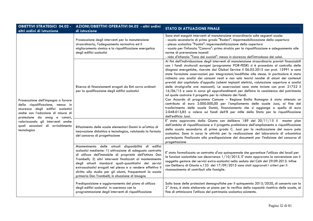| <b>OBIETTIVI STRATEGICI 04.02 -</b><br>altri ordini di istruzione                                                                                                                                                                                                         | AZIONI/OBIETTIVI OPERATIVI 04.02 - altri ordini<br>di istruzione                                                                                                                                                                                                                                                                                                                                                                                                                     | <b>STATO DI ATTUAZIONE FINALE</b>                                                                                                                                                                                                                                                                                                                                                                                                                                                                                                                                                                                                                                                                                                                                                                                                                                                                                                                                                                                                                                                                                                                                                                                                                                                                                                                                                                                                                                                        |
|---------------------------------------------------------------------------------------------------------------------------------------------------------------------------------------------------------------------------------------------------------------------------|--------------------------------------------------------------------------------------------------------------------------------------------------------------------------------------------------------------------------------------------------------------------------------------------------------------------------------------------------------------------------------------------------------------------------------------------------------------------------------------|------------------------------------------------------------------------------------------------------------------------------------------------------------------------------------------------------------------------------------------------------------------------------------------------------------------------------------------------------------------------------------------------------------------------------------------------------------------------------------------------------------------------------------------------------------------------------------------------------------------------------------------------------------------------------------------------------------------------------------------------------------------------------------------------------------------------------------------------------------------------------------------------------------------------------------------------------------------------------------------------------------------------------------------------------------------------------------------------------------------------------------------------------------------------------------------------------------------------------------------------------------------------------------------------------------------------------------------------------------------------------------------------------------------------------------------------------------------------------------------|
|                                                                                                                                                                                                                                                                           | Prosecuzione degli interventi per la manutenzione<br>straordinaria, l'adeguamento normativo ed il<br>miglioramento sismico e la riqualificazione energetica<br>degli edifici scolastici                                                                                                                                                                                                                                                                                              | Sono stati eseguiti interventi di manutenzione straordinaria sulle seguenti scuole:<br>- scuola secondaria di primo grado "Rodari": impermeabilizzazione della copertura<br>- plesso scolastico "Fantini": impermeabilizzazione della copertura<br>- scuola per l'infanzia "Canova": primo stralcio per la riqualificazione e adeguamento alle<br>norme di prevenzione incendi<br>- nido d'infanzia "Tana dei cuccioli": messa in sicurezza dell'intradosso dei solai.                                                                                                                                                                                                                                                                                                                                                                                                                                                                                                                                                                                                                                                                                                                                                                                                                                                                                                                                                                                                                   |
| Prosecuzione dell'impegno a favore<br>della riqualificazione, messa in<br>sicurezza degli edifici scolastici<br>anche con l'adozione di misure di<br>protezione da smog e rumori,<br>valorizzando gli interventi anche<br>quali occasioni di arricchimento<br>tecnologico | Ricerca di finanziamenti erogati da Enti sovra ordinati<br>per la qualificazione degli edifici scolastici<br>Rifacimento delle scuole elementari Donini in un'ottica di                                                                                                                                                                                                                                                                                                              | Ai fini dell'individuazione degli interventi di manutenzione straordinaria previsti finanziabili<br>con i fondi strutturali europei (programma POR-FESR) si è proceduto al controllo delle<br>diagnosi energetiche, ricevute dal Global Service il 06.05.2015 con prot. 15991 e sono<br>state formulate osservazioni per integrazioni/modifiche alle stesse. In particolare è stata<br>richiesta una analisi dei consumi reali e non solo teorici nonché di alcuni dei contenuti<br>previsti dal capitolato d'appalto (schemi impianti elettrici, valutazione coperture e analisi<br>delle stratigrafie ove mancanti). Le osservazioni sono state inviate con prot. 21752 il<br>16/06/15 e sono in corso gli approfondimenti per definire la consistenza del patrimonio<br>sul quale costruire il progetto per la richiesta dei fondi.<br>Con Accordo di programma Comune - Regione Emilia Romagna è stato ottenuto un<br>contributo di euro 3.000.000,00 per l'ampliamento delle scuole Jussi, al fine del<br>trasferimento delle scuole Donini, finanziamento che si aggiunge a quello di euro<br>2.048.013,85 a valere sui fondi dell'8 per mille dello Stato per la riqualificazione<br>dell'edificio Jussi.<br>E' stato approvato dalla Giunta con delibera 189 del 20/11/15 il master plan<br>dell'ambito di riqualificazione e il progetto preliminare dell'ampliamento e riqualificazione<br>della scuola secondaria di primo grado C. Jussi per la realizzazione del nuovo polo |
|                                                                                                                                                                                                                                                                           | innovazione didattica e tecnologica, valutando la formula<br>del concorso di progettazione                                                                                                                                                                                                                                                                                                                                                                                           | scolastico. Sono in corso le attività per la realizzazione del laboratorio di urbanistica<br>partecipata finalizzato alla predisposizione dei documenti per l'indizione del concorso di<br>progettazione                                                                                                                                                                                                                                                                                                                                                                                                                                                                                                                                                                                                                                                                                                                                                                                                                                                                                                                                                                                                                                                                                                                                                                                                                                                                                 |
|                                                                                                                                                                                                                                                                           | Mantenimento delle attuali disponibilità di edifici<br>scolastici mediante: 1) attivazione di adeguato contratto<br>di utilizzo dell'immobile di proprietà dell'Istituto Don<br>Trombelli; 2) altri interventi finalizzati al mantenimento<br>degli attuali standard quali-quantitativi dei servizi<br>extrascolastici erogati nel plesso e a rendere effettivo il<br>diritto allo studio per gli alunni, frequentanti la scuola<br>primaria Don Trombelli, in situazione di bisogno | E' stato formalizzato un contratto d'uso quinquennale che garantisce l'utilizzo dei locali per<br>le funzioni scolastiche con decorrenza 1/10/2015. E' stata approvata la convenzione con il<br>soggetto gestore dei servizi extra-scolastici nella seduta del CdA del 29.09.2015. Infine<br>con Delibera di Giunta n.133 del 17/09/2015 sono stati approvati i criteri per il<br>riconoscimento di contributi alle famiglie.                                                                                                                                                                                                                                                                                                                                                                                                                                                                                                                                                                                                                                                                                                                                                                                                                                                                                                                                                                                                                                                            |
|                                                                                                                                                                                                                                                                           | Predisposizione e aggiornamento del piano di utilizzo<br>degli edifici scolastici in coerenza con la<br>programmazione degli interventi di riqualificazione                                                                                                                                                                                                                                                                                                                          | Sulla base delle proiezioni demografiche per il quinquennio 2015/2020, di concerto con la<br>2° Area, è stato elaborato un piano per la verifica della capacità ricettiva delle scuole, al<br>fine di ottimizzare l'utilizzo del patrimonio scolastico esistente.                                                                                                                                                                                                                                                                                                                                                                                                                                                                                                                                                                                                                                                                                                                                                                                                                                                                                                                                                                                                                                                                                                                                                                                                                        |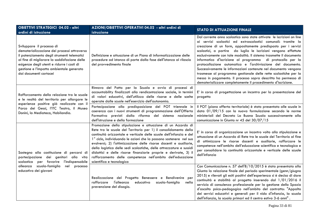| <b>OBIETTIVI STRATEGICI 04.02 - altri</b><br>ordini di istruzione                                                                                                                                                                                                                           | AZIONI/OBIETTIVI OPERATIVI 04.02 - altri ordini di<br>istruzione                                                                                                                                                                                                                                                                                                                                                                                                                                                                                                                        | <b>STATO DI ATTUAZIONE FINALE</b>                                                                                                                                                                                                                                                                                                                                                                                                                                                                                                                                                                                                                                                                                                                        |
|---------------------------------------------------------------------------------------------------------------------------------------------------------------------------------------------------------------------------------------------------------------------------------------------|-----------------------------------------------------------------------------------------------------------------------------------------------------------------------------------------------------------------------------------------------------------------------------------------------------------------------------------------------------------------------------------------------------------------------------------------------------------------------------------------------------------------------------------------------------------------------------------------|----------------------------------------------------------------------------------------------------------------------------------------------------------------------------------------------------------------------------------------------------------------------------------------------------------------------------------------------------------------------------------------------------------------------------------------------------------------------------------------------------------------------------------------------------------------------------------------------------------------------------------------------------------------------------------------------------------------------------------------------------------|
| Sviluppare il processo di<br>dematerializzazione dei processi attraverso<br>il potenziamento degli strumenti telematici<br>al fine di migliorare la soddisfazione delle<br>esigenze degli utenti e ridurre i costi di<br>gestione e l'impatto ambientale generato<br>dai documenti cartacei | Definizione e attuazione di un Piano di informatizzazione delle<br>procedure ad istanza di parte dalla fase dell'istanza al rilascio<br>del provvedimento finale                                                                                                                                                                                                                                                                                                                                                                                                                        | Dal corrente anno scolastico sono state attivate le iscrizioni on line<br>ai servizi scolastici ed extrascolastici comunali: tramite la<br>creazione di un form, appositamente predisposto per i servizi<br>scolastici, a partire da luglio le iscrizioni vengono effettute<br>esclusivamente con tale modalità. Il sistema trasmette il documento<br>informatico d'iscrizione al programma di protocollo per la<br>protocollazione automatica e l'archiviazione del documento.<br>Successivamente le informazioni contenute nel documento vengono<br>trasmesse al programma gestionale delle rette scolastiche per la<br>messa in pagamento. Il processo sopra descritto ha permesso di<br>dematerializzare completamente il procedimento d'iscrizione. |
| Rafforzamento della relazione tra le scuole<br>e le realtà del territorio per allargare le<br>esperienze positive già realizzate con il                                                                                                                                                     | Rinnovo del Patto per la Scuola e avvio di processi di<br>accountability finalizzati alla rendicontazione sociale, in termini<br>di valori educativi, dell'utilizzo delle risorse e delle scelte<br>operate dalle scuole nell'esercizio dell'autonomia.                                                                                                                                                                                                                                                                                                                                 | E' in corso di progettazione un incontro per la presentazione del<br>progetto                                                                                                                                                                                                                                                                                                                                                                                                                                                                                                                                                                                                                                                                            |
| Parco dei Gessi, l'ITC Teatro, il Museo<br>Donini, la Mediateca, Habilandia.                                                                                                                                                                                                                | Partecipazione alla predisposizione del POT triennale in<br>coerenza con i nuovi strumenti di programmazione dell'Offerta<br>Formativa previsti dalla riforma del sistema nazionale<br>dell'istruzione e della formazione                                                                                                                                                                                                                                                                                                                                                               | Il POT (piano offerta territoriale) è stato presentato alle scuole in<br>data 01/09/15 con la nuova formulazione secondo le norme<br>ministeriali del Decreto La Buona Scuola successivamente alla<br>comunicazione in Giunta nr 45 del 30/07/15                                                                                                                                                                                                                                                                                                                                                                                                                                                                                                         |
| Sostegno alla costituzione di percorsi di<br>partecipazione dei genitori alla vita<br>per favorire<br>l'indispensabile<br>scolastica<br>scuola-famiglia<br>alleanza<br>nel<br>processo<br>educativo dei giovani                                                                             | Promozione della stipulazione e attuazione di un Accordo di<br>Rete tra le scuole del Territorio per 1) il consolidamento della<br>continuità orizzontale e verticale delle scuole dell'infanzia e del<br>1° ciclo, individuando le azioni che la possano sostenere nel suo<br>evolversi; 2) l'ottimizzazione delle risorse docenti e ausiliarie,<br>della logistica delle sedi scolastiche, delle attrezzature e sussidi<br>didattici e delle risorse finanziarie proprie e derivate, 3) il<br>rafforzamento delle competenze nell'ambito dell'educazione<br>scientifica e tecnologica | E' in corso di organizzazione un incontro volto alla stipulazione e<br>attuazione di un Accordo di Rete tra le scuole del Territorio al fine<br>di ottimizzare le risorse docenti e ausiliarie, rafforzare le<br>competenze nell'ambito dell'educazione scientifica e tecnologica e<br>per consolidare la continuità orizzontale e verticale delle scuole<br>dell'infanzia                                                                                                                                                                                                                                                                                                                                                                               |
|                                                                                                                                                                                                                                                                                             | Realizzazione del Progetto Benessere e Bendivenire per<br>rafforzare l'alleanza<br>educativa<br>scuola-famiglia<br>nella<br>prevenzione del disagio.                                                                                                                                                                                                                                                                                                                                                                                                                                    | Con Comunicazione n. 57 dell'8/10/2015 è stata presentata alla<br>Giunta la relazione finale del periodo sperimentale (genn/giugno<br>2015) e rilevati gli esiti positivi dell'esperienza si è deciso di dare<br>continuità e stabilità al progetto inserendo dal 1/01/2016 il<br>servizio di consulenza professionale per la gestione dello Spazio<br>d'ascolto psico-pedagogico nell'ambito del contratto: "Appalto<br>dei servizi educativi e generali per il nido d'infanzia, la scuola<br>dell'infanzia, la scuola primari ed il centro estivo 3-6 anni".                                                                                                                                                                                           |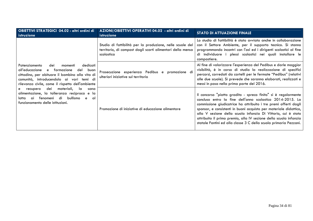| OBIETTIVI STRATEGICI 04.02 - altri ordini di<br>istruzione                                                                                                                                                                                                                                                                                                                                                                           | AZIONI/OBIETTIVI OPERATIVI 04.02 - altri ordini di<br>istruzione                                                                      | <b>STATO DI ATTUAZIONE FINALE</b>                                                                                                                                                                                                                                                                                                                                                                                                                                               |
|--------------------------------------------------------------------------------------------------------------------------------------------------------------------------------------------------------------------------------------------------------------------------------------------------------------------------------------------------------------------------------------------------------------------------------------|---------------------------------------------------------------------------------------------------------------------------------------|---------------------------------------------------------------------------------------------------------------------------------------------------------------------------------------------------------------------------------------------------------------------------------------------------------------------------------------------------------------------------------------------------------------------------------------------------------------------------------|
|                                                                                                                                                                                                                                                                                                                                                                                                                                      | Studio di fattibilità per la produzione, nelle scuole del<br>territorio, di compost dagli scarti alimentari della mensa<br>scolastica | Lo studio di fattibilità è stato avviato anche in collaborazione<br>con il Settore Ambiente, per il supporto tecnico. Si stanno<br>programmando incontri con l'asl ed i dirigenti scolastici al fine<br>di individuare i plessi scolastici nei quali installare le<br>compostiere.                                                                                                                                                                                              |
| dedicati<br>Potenziamento<br>dei<br>momenti<br>all'educazione<br>del buon<br>e formazione<br>cittadino, per abituare il bambino alla vita di<br>comunità, introducendolo ai vari temi di<br>rilevanza civile, come il rispetto dell'ambiente<br>dei<br>materiali,<br>la<br>e recupero<br>sana<br>alimentazione, la tolleranza reciproca e la<br>bullismo<br>ai fenomeni di<br>e<br>lotta<br>⊟ al<br>funzionamento delle istituzioni. | Prosecuzione esperienza Pedibus e<br>promozione di<br>ulteriori iniziative sul territorio                                             | Al fine di valorizzare l'esperienza del Pedibus e darle maggior<br>visibilità, è in corso di studio la realizzazione di specifici<br>percorsi, corredati da cartelli per le fermate "Pedibus" (relativi  <br>alle due scuole). Si prevede che saranno elaborati, realizzati e<br>messi in posa nella prima parte del 2016.                                                                                                                                                      |
|                                                                                                                                                                                                                                                                                                                                                                                                                                      | Promozione di iniziative di educazione alimentare                                                                                     | Il concorso "piatto gradito - spreco finito" si è regolarmente<br>concluso entro la fine dell'anno scolastico 2014-2015. La<br>commissione giudicatrice ha attribuito i tre premi offerti dagli<br>sponsor, e consistenti in buoni acquisto per materiale didattico,<br>alla V sezione della scuola infanzia Di Vittorio, cui è stato<br>attribuito il primo premio, alla IV sezione della scuola infanzia<br>statale Fantini ed alla classe 3 C della scuola primaria Pezzani. |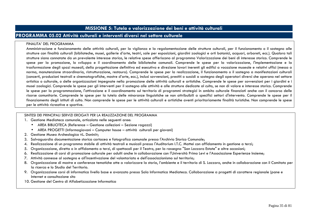# **MISSIONE 5: Tutela e valorizzazione dei beni e attività culturali**

# **PROGRAMMA 05.02 Attività culturali e interventi diversi nel settore culturale**

#### FINALITA' DEL PROGRAMMA

 Amministrazione e funzionamento delle attività culturali, per la vigilanza e la regolamentazione delle strutture culturali, per il funzionamento o il sostegno alle strutture con finalità culturali (biblioteche, musei, gallerie d'arte, teatri, sale per esposizioni, giardini zoologici e orti botanici, acquari, arboreti, ecc.). Qualora tali strutture siano connotate da un prevalente interesse storico, le relative spese afferiscono al programma Valorizzazione dei beni di interesse storico. Comprende le spese per la promozione, lo sviluppo e il coordinamento delle biblioteche comunali. Comprende le spese per la valorizzazione, l'implementazione e la trasformazione degli spazi museali, della progettazione definitiva ed esecutiva e direzione lavori inerenti gli edifici a vocazione museale e relativi uffici (messa a norma, manutenzione straordinaria, ristrutturazione, restauro). Comprende le spese per la realizzazione, il funzionamento o il sostegno a manifestazioni culturali (concerti, produzioni teatrali e cinematografiche, mostre d'arte, ecc.), inclusi sovvenzioni, prestiti o sussidi a sostegno degli operatori diversi che operano nel settore artistico o culturale, o delle organizzazioni impegnate nella promozione delle attività culturali e artistiche. Comprende le spese per sovvenzioni per i giardini e i musei zoologici. Comprende le spese per gli interventi per il sostegno alle attività e alle strutture dedicate al culto, se non di valore e interesse storico. Comprende le spese per la programmazione, l'attivazione e il coordinamento sul territorio di programmi strategici in ambito culturale finanziati anche con il concorso delle risorse comunitarie. Comprende le spese per la tutela delle minoranze linguistiche se non attribuibili a specifici settori d'intervento. Comprende le spese per il finanziamento degli istituti di culto. Non comprende le spese per le attività culturali e artistiche aventi prioritariamente finalità turistiche. Non comprende le spese per le attività ricreative e sportive.

- 1. Gestione Mediateca comunale, articolata nelle seguenti aree:
	- AREA BIBLIOTECA (Reference Gestione collezioni Sezione ragazzi)
	- AREA PROGETTI (Informagiovani Computer house attività culturali per giovani)
- 2. Gestione Museo Archeologico «L. Donini»;
- 3. Salvaguardia documentazione storica cartacea e fotografica comunale presso l'Archivio Storico Comunale;
- 4. Realizzazione di un programma stabile di attività teatrali e musicali presso l'Auditorium I.T.C. Mattei con affidamento in gestione a terzi;
- 5. Organizzazione, diretta o in affidamento a terzi, di spettacoli per il Teatro, per la rassegna "San Lazzaro Estate" e altre occasioni;
- 6. Realizzazione di corsi di promozione culturale per adulti anche in collaborazione con l'Università Primo Levi e l'Associazione Esperienze Insieme;
- 7. Attività connesse al sostegno e all'incentivazione del volontariato e dell'associazionismo sul territorio;
- 8. Organizzazione di mostre e conferenze tematiche atte a valorizzare la storia, l'ambiente e il territorio di S. Lazzaro, anche in collaborazione con il Comitato per la ricerca e lo Studio del Territorio.
- 9. Organizzazione corsi di informatica livello base e avanzato presso Sala Informatica Mediateca. Collaborazione a progetti di carattere regionale (pane e Internet e consultazione sito
- 10. Gestione del Centro di Alfabetizzazione Informatica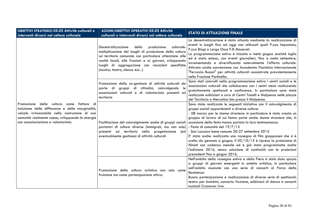| <b>OBIETTIVI STRATEGICI 05.02 Attività culturali e</b><br>interventi diversi nel settore culturale                                                                                                                                             | AZIONI/OBIETTIVI OPERATIVI 05.02 Attività<br>culturali e interventi diversi nel settore culturale                                                                                                                                                                                                                        | <b>STATO DI ATTUAZIONE FINALE</b>                                                                                                                                                                                                                                                                                                                                                                                                                                                                                                                                                                                                                                                                                                       |
|------------------------------------------------------------------------------------------------------------------------------------------------------------------------------------------------------------------------------------------------|--------------------------------------------------------------------------------------------------------------------------------------------------------------------------------------------------------------------------------------------------------------------------------------------------------------------------|-----------------------------------------------------------------------------------------------------------------------------------------------------------------------------------------------------------------------------------------------------------------------------------------------------------------------------------------------------------------------------------------------------------------------------------------------------------------------------------------------------------------------------------------------------------------------------------------------------------------------------------------------------------------------------------------------------------------------------------------|
| Promozione della cultura come<br>fattore di<br>inclusione delle differenze e delle marginalità,<br>veicolo irrinunciabile nella costruzione di una<br>comunità realmente coesa, sviluppando le sinergie<br>con associazionismo e volontariato. | Decentralizzazione<br>della<br>produzione<br>culturale:<br>moltiplicazione dei luoghi di produzione della cultura<br>sul territorio comunale con particolare attenzione alle<br>realtà locali, alle frazioni e ai giovani, sviluppando<br>luoghi di aggregazione con vocazioni specifiche<br>(musica, teatro, danza ecc) | La decentralizzazione è stata attuata mediante la realizzazione di<br>eventi in luoghi fino ad oggi non utilizzati quali P.zza Impastato,<br>P.zza Biagi e Largo Osca F.IIi Maserati.<br>La programmazione estiva è iniziata a metà giugno anziché luglio<br>ed è stata estesa, con eventi giornalieri, fino a metà settembre,<br>incrementando e diversificando notevolmente l'offerta culturale.<br>Attivata anche convenzione con Accademia Pianistica Internazionale<br>"Ferruccio Busoni" per attività culturali concentrate prevalentemente<br>nella Frazione Ponticella.                                                                                                                                                         |
|                                                                                                                                                                                                                                                | Promozione della co-gestione di attività culturali da<br>parte di gruppi di cittadini, coinvolgendo le<br>associazioni culturali e di volontariato presenti sul<br>territorio                                                                                                                                            | Sono stati coinvolti nella programmazione estiva i centri sociali e le<br>associazioni culturali che collaborano con i centri stessi realizzando<br>gratuitamente spettacoli e conferenze. In particolare sono state<br>realizzate esibizioni a cura di Centri Tonelli e Malpensa nelle piazze<br>del Territorio e Mercatino bio presso il Malpensa.                                                                                                                                                                                                                                                                                                                                                                                    |
|                                                                                                                                                                                                                                                | Facilitazione del coinvolgimento anche di gruppi sociali<br>portatori di culture diverse (immigrati, ma non solo)<br>presenti sul territorio nella progettazione<br>(ed<br>eventualmente gestione) di attività culturali                                                                                                 | Sono state realizzate le seguenti iniziative con il coinvolgimento di<br>gruppi sociali appartenenti a diverse culture:<br>- 08 marzo per le donne straniere: in particolare è stato creato un<br>gruppo di lavoro di cui fanno parte anche donne straniere che, in<br>occasione della festa hanno portato la loro testimonianza<br>- Festa di comunità del 19/7/15<br>- San Lazzaro bene comune 20-27 settembre 2015<br>E' stata anche realizzata una rassegna di film giapponesi che si è<br>svolta da gennaio a giugno. Il 05/10/15 è ripresa la proiezione di<br>filmati con cadenza mensile ed è già stata programmata anche<br>l'edizione 2016, senza soluzione di continuità con le proiezioni<br>precedenti fino a giugno 2016. |
|                                                                                                                                                                                                                                                | Promozione della cultura artistica non solo come<br>fruizione ma come partecipazione attiva.                                                                                                                                                                                                                             | Nell'ambito della rassegna estiva e della Fiera è stato dato spazio<br>a gruppi di giovani emergenti in ambito artistico, in particolare<br>nell'ambito musicale con una serie di concerti al Parco della<br>Resistenza<br>Buona partecipazione e realizzazione di diverse serie di spettacoli:<br>teatro per bambini, concerto Voxtone, esibizioni di danza e concerti<br>musicali Crossover Live.                                                                                                                                                                                                                                                                                                                                     |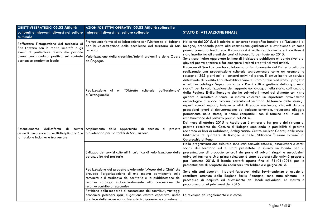| <b>OBIETTIVI STRATEGICI 05.02 Attività</b>                                                                                                                                | AZIONI/OBIETTIVI OPERATIVI 05.02 Attività culturali e                                                                                                                                                                                                                                   |                                                                                                                                                                                                                                                                                                                                                                                                                                                                                                                                                                                                                                                                                                                                                                                                                                                                                                                                                                                                                                                                                       |
|---------------------------------------------------------------------------------------------------------------------------------------------------------------------------|-----------------------------------------------------------------------------------------------------------------------------------------------------------------------------------------------------------------------------------------------------------------------------------------|---------------------------------------------------------------------------------------------------------------------------------------------------------------------------------------------------------------------------------------------------------------------------------------------------------------------------------------------------------------------------------------------------------------------------------------------------------------------------------------------------------------------------------------------------------------------------------------------------------------------------------------------------------------------------------------------------------------------------------------------------------------------------------------------------------------------------------------------------------------------------------------------------------------------------------------------------------------------------------------------------------------------------------------------------------------------------------------|
| culturali e interventi diversi nel settore                                                                                                                                | interventi diversi nel settore culturale                                                                                                                                                                                                                                                | <b>STATO DI ATTUAZIONE FINALE</b>                                                                                                                                                                                                                                                                                                                                                                                                                                                                                                                                                                                                                                                                                                                                                                                                                                                                                                                                                                                                                                                     |
| culturale                                                                                                                                                                 |                                                                                                                                                                                                                                                                                         |                                                                                                                                                                                                                                                                                                                                                                                                                                                                                                                                                                                                                                                                                                                                                                                                                                                                                                                                                                                                                                                                                       |
| Rafforzare l'integrazione del territorio di<br>San Lazzaro con le realtà limitrofe e gli<br>eventi di particolare rilievo che possono                                     | per la valorizzazione delle eccellenze del territorio di San<br>Lazzaro                                                                                                                                                                                                                 | Promuovere forme di collaborazione con l'Università di Bologna Nel corso del 2015, si è aderito al concorso fotografico bandito dall'Università di<br>Bologna, prendendo parte alla commissione giudicatrice e attribuendo un corso<br>premio presso la Mediateca. Il concorso si è svolto regolarmente e il vincitore è                                                                                                                                                                                                                                                                                                                                                                                                                                                                                                                                                                                                                                                                                                                                                              |
| avere una ricaduta positiva sul contesto<br>economico produttivo locale                                                                                                   | Valorizzazione della creatività/talenti giovanili e delle Opere<br>dell'ingegno                                                                                                                                                                                                         | stato inserito tra gli utenti dei corsi di fotografia per l'autunno 2015.<br>Sono state inoltre approvate le linee di indirizzo e pubblicato un bando rivolto ai<br>giovani per valorizzare e far emergere i talenti creativi nei vari ambiti.                                                                                                                                                                                                                                                                                                                                                                                                                                                                                                                                                                                                                                                                                                                                                                                                                                        |
| dell'offerta<br>Potenziamento<br>di<br>culturali favorendo la multidisciplinarietà e bibliotecario per i cittadini di San Lazzaro<br>la fruizione inclusiva e trasversale | un "Distretto culturale polifunzionale'<br>Realizzazione di<br>all'avanguardia                                                                                                                                                                                                          | Il comune di San Lazzaro ha collaborato al funzionamento del Distretto culturale<br>realizzando una progettazione culturale sovracomunale come ad esempio la<br>rassegna "365 giorni no" e i concerti estivi nel parco. E' attivo inoltre un servizio<br>distrettuale di prestito libri interbibliotecario. E' stato altresì realizzato il progetto<br>e relativo catalogo "Aqua fons vitae - Pozzi, culti e gestione dell'acqua nella<br>storia", per la valorizzazione del rapporto uomo-acqua nella storia, cofinanziato<br>dalla Regione Emilia Romagna che ha coinvolto i musei del distretto con visite<br>guidate e iniziative a tema. La mostra valorizza un importante ritrovamento<br>archeologico di epoca romana avvenuto sul territorio. Al termine della stessa, i<br>reperti romani esposti, insieme a altri di epoca medievale, ritrovati durante<br>precedenti lavori di ristrutturazione del palazzo comunale, troveranno alloggio<br>permanente nello stesso, in tempi compatibili con il termine dei lavori di<br>ristrutturazione del palazzo previsti nel 2016. |
|                                                                                                                                                                           | servizi Ampliamento delle opportunità di accesso al prestito                                                                                                                                                                                                                            | Dal mese di ottobre 2015 la Mediateca è entrata a far parte del sistema di<br>prestito circolante del Comune di Bologna ampliando le possibilità di prestito<br>reciproco ai libri di Salaborsa, Archiginnasio, Centro Amilcar Cabral, delle undici<br>biblioteche di quartiere di Bologna e della Biblioteca "Cesare Pavese" di<br>Casalecchio di Reno                                                                                                                                                                                                                                                                                                                                                                                                                                                                                                                                                                                                                                                                                                                               |
|                                                                                                                                                                           | Sviluppo dei servizi culturali in un'ottica di valorizzazione delle<br>potenzialità del territorio                                                                                                                                                                                      | Nella programmazione culturale sono stati coinvolti cittadini, associazioni e centri<br>sociali del territorio ed è stato presentato in Giunta un bando per la<br>presentazione di proposte culturali da parte di privati, singoli e associazioni<br>attive sul territorio Una prima selezione è stata operata sulle attività proposte<br>per l'autunno 2015. Il bando resterà aperto fino al 31/01/2016 per la<br>presentazione di proposte da realizzarsi tra febbraio e giugno 2016.                                                                                                                                                                                                                                                                                                                                                                                                                                                                                                                                                                                               |
|                                                                                                                                                                           | Realizzazione del progetto pluriennale "Museo della Città" che<br>prevede l'organizzazione di una mostra permanente sulla<br>romanità e il medioevo del territorio e la pubblicazione del<br>relativo catalogo (subordinatamente alla concessione del<br>relativo contributo regionale) | Sono già stati acquisiti i pareri favorevoli della Sovrintendenza e, grazie al<br>contributo ottenuto dalla Regione Emilia Romagna, sono state ultimate le<br>procedure di acquisto ed allestimento dei locali individuati. La mostra è<br>programmata nei primi mesi del 2016.                                                                                                                                                                                                                                                                                                                                                                                                                                                                                                                                                                                                                                                                                                                                                                                                       |
|                                                                                                                                                                           | Revisione della modalità di concessione dei contributi, vantaggi<br>economici, patrocini spazi e gestione attività espositive, anche<br>alla luce delle nuove normative sulla trasparenza e corruzione.                                                                                 | La revisione del regolamento è in corso.                                                                                                                                                                                                                                                                                                                                                                                                                                                                                                                                                                                                                                                                                                                                                                                                                                                                                                                                                                                                                                              |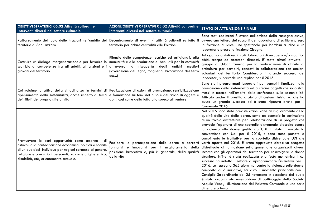| <b>OBIETTIVI STRATEGICI 05.02 Attività culturali e</b><br>interventi diversi nel settore culturale                                                                                                                                                                                    | AZIONI/OBIETTIVI OPERATIVI 05.02 Attività culturali e<br>interventi diversi nel settore culturale                                                                                                                                          | <b>STATO DI ATTUAZIONE FINALE</b>                                                                                                                                                                                                                                                                                                                                                                                                                                                                                                                                                                                                                                                                                                                                                                                                                                                                                                                                                                                                                                                                                                                                                                    |
|---------------------------------------------------------------------------------------------------------------------------------------------------------------------------------------------------------------------------------------------------------------------------------------|--------------------------------------------------------------------------------------------------------------------------------------------------------------------------------------------------------------------------------------------|------------------------------------------------------------------------------------------------------------------------------------------------------------------------------------------------------------------------------------------------------------------------------------------------------------------------------------------------------------------------------------------------------------------------------------------------------------------------------------------------------------------------------------------------------------------------------------------------------------------------------------------------------------------------------------------------------------------------------------------------------------------------------------------------------------------------------------------------------------------------------------------------------------------------------------------------------------------------------------------------------------------------------------------------------------------------------------------------------------------------------------------------------------------------------------------------------|
| Rafforzamento del ruolo delle Frazioni nell'ambito del Decentramento di eventi / attività culturali su tutto il<br>territorio di San Lazzaro                                                                                                                                          | territorio per ridare centralità alle Frazioni                                                                                                                                                                                             | Sono stati realizzati 3 eventi nell'ambito della rassegna estiva,<br>ovvero una lettura dei racconti del laboratorio di scrittura presso<br>la frazione di Idice; uno spettacolo per bambini a Idice e un<br>laboratorio presso la frazione Cicogna.                                                                                                                                                                                                                                                                                                                                                                                                                                                                                                                                                                                                                                                                                                                                                                                                                                                                                                                                                 |
| Costruire un dialogo intergenerazionale per favorire lo<br>scambio di competenze tra gli adulti, gli anziani e<br>giovani del territorio                                                                                                                                              | Rilancio delle competenze tecniche ed artigianali, alla<br>manualità e alla produzione di beni utili per la comunità<br>attraverso la riscoperta degli antichi mestieri<br>(lavorazione del legno, maglieria, lavorazione del ferro<br>ecc | Ad oggi sono stati realizzati laboratori di recupero e/o modifica<br>abiti, scarpe ed accessori dismessi. E' stato altresì attivato il<br>gruppo di Urban farming per la realizzazione di attività di<br>orticultura per bambini, condotti in collaborazione con anziani<br>volontari del territorio Considerato il grande successo dei<br>laboratori, si prevede una replica per il 2016.                                                                                                                                                                                                                                                                                                                                                                                                                                                                                                                                                                                                                                                                                                                                                                                                           |
| Coinvolgimento attivo della cittadinanza in termini di Realizzazione di azioni di promozione, sensibilizzazione<br>ripensamento della sostenibilità, anche rispetto al tema e formazione sui temi del riuso e del riciclo di oggetti e<br>dei rifiuti, del proprio stile di vita      | abiti, così come della lotta allo spreco alimentare                                                                                                                                                                                        | Sono stati programmati laboratori per bambini finalizzati alla<br>promozione della sostenibilità ed a creare oggetti che sono stati<br>messi in mostra nell'ambito delle conferenze sulla sostenibilità.<br>Attivato anche il prestito gratuito di costumi: iniziativa che ha<br>avuto un grande successo ed è stata ripetuta anche per il<br>Carnevale 2016.                                                                                                                                                                                                                                                                                                                                                                                                                                                                                                                                                                                                                                                                                                                                                                                                                                        |
| Promuovere le pari opportunità come assenza<br>di<br>ostacoli alla partecipazione economica, politica e sociale<br>di un qualsiasi individuo per ragioni connesse al genere,<br>religione e convinzioni personali, razza e origine etnica,<br>disabilità, età, orientamento sessuale. | Facilitare la partecipazione delle donne a percorsi<br>formativi e innovativi per<br>il miglioramento della<br>posizione lavorativa e, più in generale, della qualità<br>della vita                                                        | Nel 2015 sono state previste azioni volte al miglioramento della<br>qualità della vita delle donne, come ad esempio la costituzione<br>di un tavolo distrettuale per l'elaborazione di un progetto che<br>prevede l'apertura di uno sportello distrettuale d'ascolto contro<br>la violenza alle donne gestito dall'UDI. E' stata rinnovata la<br>convenzione con Udi per il 2015, e sono state portate a<br>compimento le trattative per lo sportello distrettuale UDI che<br>verrà aperto nel 2016. E' stato approvato altresì un progetto<br>distrettuale di formazione sull'argomento e organizzati diversi<br>incontri con gli operatori del territorio per coinvolgere le donne<br>straniere. Infine, è stata realizzata una festa multietnica il cui<br>successo ha indotto il settore a riprogrammare l'iniziativa per il<br>2016. La rassegna 365 giorni no, contro la violenza sulle donne,<br>composta di 6 iniziative, ha visto il momento principale con il<br>Consiglio Straordinario del 25 novembre in occasione del quale<br>è stata organizzata un'esibizione di pattinaggio della Società<br>Acquile Verdi, l'illuminazione del Palazzo Comunale e una serie<br>di letture a tema. |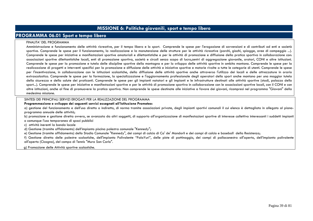## **MISSIONE 6: Politiche giovanili, sport e tempo libero**

### **PROGRAMMA 06.01 Sport e tempo libero**

#### FINALITA' DEL PROGRAMMA

 Amministrazione e funzionamento delle attività ricreative, per il tempo libero e lo sport. Comprende le spese per l'erogazione di sovvenzioni e di contributi ad enti e società sportive. Comprende le spese per il funzionamento, la realizzazione e la manutenzione delle strutture per le attività ricreative (parchi, giochi, spiagge, aree di campeggio ...). Comprende le spese per iniziative e manifestazioni sportive amatoriali e dilettantistiche e per le attività di promozione e diffusione della pratica sportiva in collaborazione con: associazioni sportive dilettantistiche locali, enti di promozione sportiva, società e circoli senza scopo di lucro,centri di aggregazione giovanile, oratori, CONI e altre istituzioni. Comprende le spese per la promozione e tutela delle discipline sportive della montagna e per lo sviluppo delle attività sportive in ambito montano. Comprende le spese per la realizzazione di progetti e interventi specifici per la promozione e diffusione delle attività e iniziative sportive e motorie rivolte a tutte le categorie di utenti. Comprende le spese per l'incentivazione, in collaborazione con le istituzioni scolastiche, della diffusione delle attività sportive anche attraverso l'utilizzo dei locali e delle attrezzature in orario extrascolastico. Comprende le spese per la formazione, la specializzazione e l'aggiornamento professionale degli operatori dello sport anche montano per una maggior tutela della sicurezza e della salute dei praticanti. Comprende le spese per gli impianti natatori e gli impianti e le infrastrutture destinati alle attività sportive (stadi, palazzo dello sport...). Comprende le spese per iniziative e manifestazioni sportive e per le attività di promozione sportiva in collaborazione con le associazioni sportive locali, con il CONI e con altre istituzioni, anche al fine di promuovere la pratica sportiva. Non comprende le spese destinate alle iniziative a favore dei giovani, ricompresi nel programma "Giovani" della medesima missione.

SINTESI DEI PRINCIPALI SERVIZI EROGATI PER LA REALIZZAZIONE DEL PROGRAMMA

#### **Programmazione e sviluppo dei seguenti servizi assegnati all'Istituzione Prometeo:**

a) gestione del funzionamento e dell'uso diretto o indiretto, di norma tramite associazioni private, degli impianti sportivi comunali il cui elenco è dettagliato in allegato al pianoprogramma annuale delle attività;

 b) promozione e gestione diretta ovvero, se avanzata da altri soggetti, di supporto all'organizzazione di manifestazioni sportive di interesse collettivo interessanti i suddetti impianti o comunque l'uso temporaneo di spazi pubblici

c) attività inerenti la banda locale

d) Gestione (tramite affidamento) dell'impianto piscina palestra comunale "Kennedy";

e) Gestione (tramite affidamento) dello Stadio Comunale "Kennedy", dei campi di calcio di Ca' de' Mandorli e dei campi di calcio e baseball della Resistenza;

 f) Gestione diretta delle palestre scolastiche, dell'impianto Polivalente "PalaYuri", delle piste di pattinaggio, dei campi di pallacanestro all'aperto, dell'impianto polivalente all'aperto (Cicogna), del campo di Tennis "Mura San Carlo".

g) Promozione delle Attività sportive scolastiche.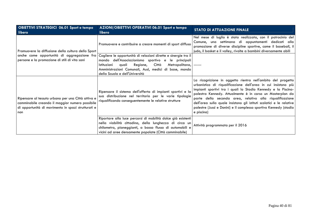| <b>OBIETTIVI STRATEGICI 06.01 Sport e tempo</b><br>libero                                                                                                          | AZIONI/OBIETTIVI OPERATIVI 06.01 Sport e tempo<br>libero                                                                                                                                                                                                                        | <b>STATO DI ATTUAZIONE FINALE</b>                                                                                                                                                                                                                                                                                                                                                                                                                                                  |
|--------------------------------------------------------------------------------------------------------------------------------------------------------------------|---------------------------------------------------------------------------------------------------------------------------------------------------------------------------------------------------------------------------------------------------------------------------------|------------------------------------------------------------------------------------------------------------------------------------------------------------------------------------------------------------------------------------------------------------------------------------------------------------------------------------------------------------------------------------------------------------------------------------------------------------------------------------|
| Promuovere la diffusione della cultura dello Sport                                                                                                                 | Promuovere e contribuire a creare momenti di sport diffuso                                                                                                                                                                                                                      | Nel mese di luglio è stata realizzata, con il patrocinio del<br>Comune, una settimana di appuntamenti dedicati alla<br>promozione di diverse discipline sportive, come il baseball, il<br>judo, il basket e il volley, rivolte a bambini diversamente abili                                                                                                                                                                                                                        |
| anche come opportunità di aggregazione fra<br>persone e la promozione di stili di vita sani                                                                        | Cogliere le opportunità di relazioni dirette e sinergie tra il<br>mondo dell'Associazionismo sportivo e le principali<br>auali<br>Città<br>Metropolitana,<br>Istituzioni<br>Regione,<br>Amministrazioni Comunali, Ausl, medici di base, mondo<br>della Scuola e dell'Università |                                                                                                                                                                                                                                                                                                                                                                                                                                                                                    |
| Ripensare al tessuto urbano per una Città attiva e<br>camminabile creando il maggior numero possibile<br>di opportunità di movimento in spazi strutturati e<br>non | Ripensare il sistema dell'offerta di impianti sportivi e la<br>sua distribuzione nel territorio per le varie tipologie<br>riqualificando conseguentemente le relative strutture                                                                                                 | La ricognizione in oggetto rientra nell'ambito del progetto<br>urbanistico di riqualificazione dell'area in cui insistono più<br>impianti sportivi tra i quali lo Stadio Kennedy e la Piscina-<br>palestra Kennedy. Attualmente è in corso un Masterplan da<br>parte della seconda area, relativo alla riqualificazione<br>dell'area sulla quale insistono gli istituti scolatici e le relative<br>palestre (Jussi e Donini) e il complesso sportivo Kennedy (stadio<br>e piscina) |
|                                                                                                                                                                    | Riportare alla luce percorsi di mobilità dolce già esistenti<br>nella viabilità cittadina, della lunghezza di circa un<br>chilometro, pianeggianti, a basso flusso di automobili e<br>vicini ad aree densamente popolate (Città camminabile)                                    | Attività programmata per il 2016                                                                                                                                                                                                                                                                                                                                                                                                                                                   |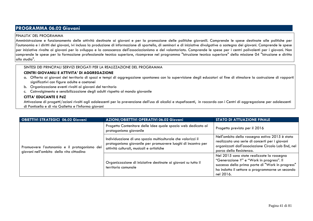# **PROGRAMMA 06.02 Giovani**

### FINALITA' DEL PROGRAMMA

 Amministrazione e funzionamento delle attività destinate ai giovani e per la promozione delle politiche giovanili. Comprende le spese destinate alle politiche per l'autonomia e i diritti dei giovani, ivi inclusa la produzione di informazione di sportello, di seminari e di iniziative divulgative a sostegno dei giovani. Comprende le spese per iniziative rivolte ai giovani per lo sviluppo e la conoscenza dell'associazionismo e del volontariato. Comprende le spese per i centri polivalenti per i giovani. Non comprende le spese per la formazione professionale tecnica superiore, ricomprese nel programma "Istruzione tecnica superiore" della missione 04 "Istruzione e diritto allo studio".

### SINTESI DEI PRINCIPALI SERVIZI EROGATI PER LA REALIZZAZIONE DEL PROGRAMMA

### **CENTRI GIOVANILI E ATTIVITA' DI AGGREGAZIONE**

- a. Offerta ai giovani del territorio di spazi e tempi di aggregazione spontanea con la supervisione degli educatori al fine di stimolare la costruzione di rapporti significativi con figure adulte e coetanei
- b. Organizzazione eventi rivolti ai giovani del territorio
- c. Coinvolgimento e sensibilizzazione degli adulti rispetto al mondo giovanile

### **CITTA' EDUCANTE E PdZ**

 Attivazione di progetti/azioni rivolti agli adolescenti per la prevenzione dell'uso di alcolici e stupefacenti, in raccordo con i Centri di aggregazione per adolescenti di Ponticella e di via Galletta e l'Informa giovani

| <b>OBIETTIVI STRATEGICI 06.02 Giovani</b>                                                | AZIONI/OBIETTIVI OPERATIVI 06.02 Giovani                                                                                                                                  | <b>STATO DI ATTUAZIONE FINALE</b>                                                                                                                                                                          |
|------------------------------------------------------------------------------------------|---------------------------------------------------------------------------------------------------------------------------------------------------------------------------|------------------------------------------------------------------------------------------------------------------------------------------------------------------------------------------------------------|
|                                                                                          | Progetto Contenitore delle Idee quale spazio web dedicato al<br>protagonismo giovanile                                                                                    | Progetto previsto per il 2016                                                                                                                                                                              |
| Promuovere l'autonomia e il protagonismo dei<br>giovani nell'ambito della vita cittadina | Individuazione di uno spazio multiculturale che valorizzi il<br>protagonismo giovanile per promuovere luoghi di incontro per<br>attività culturali, musicali e artistiche | Nell'ambito della rassegna estiva 2015 è stata<br>realizzata una serie di concerti per i giovani<br>organizzati dall'associazione Circolo Lab End, nel<br>parco della Resistenza.                          |
|                                                                                          | Organizzazione di iniziative destinate ai giovani su tutto il<br>territorio comunale                                                                                      | Nel 2015 sono state realizzate la rassegna<br>"Generazione Y" e "Work in progress". Il<br>successo della prima parte di "Work in progress"<br>ha indotto il settore a programmarne un secondo<br>nel 2016. |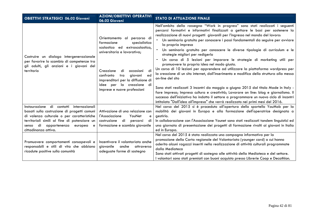| <b>OBIETTIVI STRATEGICI 06.02 Giovani</b>                                                                                                                                                                                                                 | <b>AZIONI/OBIETTIVI OPERATIVI</b><br>06.02 Giovani                                                                                                                                                                                                                                                        | <b>STATO DI ATTUAZIONE FINALE</b>                                                                                                                                                                                                                                                                                                                                                                                                                                                                                                                                                                                                                                                                                                                                                                                                                                                                                                                                                                                                                                                                                                                                          |
|-----------------------------------------------------------------------------------------------------------------------------------------------------------------------------------------------------------------------------------------------------------|-----------------------------------------------------------------------------------------------------------------------------------------------------------------------------------------------------------------------------------------------------------------------------------------------------------|----------------------------------------------------------------------------------------------------------------------------------------------------------------------------------------------------------------------------------------------------------------------------------------------------------------------------------------------------------------------------------------------------------------------------------------------------------------------------------------------------------------------------------------------------------------------------------------------------------------------------------------------------------------------------------------------------------------------------------------------------------------------------------------------------------------------------------------------------------------------------------------------------------------------------------------------------------------------------------------------------------------------------------------------------------------------------------------------------------------------------------------------------------------------------|
| Costruire un dialogo intergenerazionale<br>per favorire lo scambio di competenze tra<br>gli adulti, gli anziani e i giovani del<br>territorio                                                                                                             | Orientamento al percorso di<br>formazione<br>specialistica<br>scolastica ed extrascolastica,<br>universitaria e lavorativa;<br>di<br>di<br>Creazione<br>occasioni<br>confronto<br>giovani<br>tra<br>ed<br>imprenditori per la diffusione di<br>la creazione di<br>idee per<br>imprese e nuove professioni | Nell'ambito della rassegna "Work in progress" sono stati realizzati i seguenti<br>percorsi formativi e informativi finalizzati a gettare le basi per sostenere la<br>realizzazione di nuovi progetti giovanili per l'ingresso nel mondo del lavoro:<br>Un seminario gratuito per conoscere i passi fondamentali da seguire per avviare<br>la propria impresa<br>Un seminario gratuito per conoscere le diverse tipologie di curriculum e le<br>strategie migliori per redigerlo<br>Un corso di 5 lezioni per imparare le strategie di marketing utili per<br>promuovere la propria idea nel modo giusto.<br>Un corso di 10 lezioni per apprendere ad utilizzare la piattaforma wordpress per<br>la creazione di un sito internet, dall'inserimento e modifica della struttura alla messa<br>on-line del sito<br>Sono stati realizzati 3 incontri da maggio a giugno 2015 dal titolo Made in Italy -<br>fare impresa; Impresa cultura e creatività; Lavorare on line: blog e giornalismo. Il<br>successo dell'iniziativa ha indotto il settore a programmare un nuovo ciclo di incontri<br>intitolato "Dall'idea all'impresa" che verrà realizzato nei primi mesi del 2016. |
| Instaurazione di contatti internazionali<br>basati sulla costruzione di progetti comuni<br>di valenza culturale o per caratteristiche<br>territoriali simili al fine di potenziare un<br>di appartenenza<br>europea<br>senso<br>e<br>cittadinanza attiva. | Attivazione di una relazione con<br>YouNet<br>l'Associazione<br>e<br>costruzione<br>di<br>percorsi<br>di<br>formazione e scambio giovanile                                                                                                                                                                | Nel corso del 2015 si è proceduto all'apertura dello sportello YouMob per la<br>mobilità dei giovani in Europa e alla formazione dell'operatrice designata a<br>gestirlo.<br>In collaborazione con l'Associazione Younet sono stati realizzati tandem linguistici ed<br>una giornata di presentazione dei progetti di formazione rivolti ai giovani in Italia<br>ed in Europa.                                                                                                                                                                                                                                                                                                                                                                                                                                                                                                                                                                                                                                                                                                                                                                                             |
| Promuovere comportamenti consapevoli e<br>responsabili e stili di vita che abbiano<br>ricadute positive sulla comunità                                                                                                                                    | Incentivare il volontariato anche<br>giovanile<br>anche<br>attraverso<br>adeguate forme di sostegno                                                                                                                                                                                                       | Nel corso del 2015 è stata realizzata una campagna informativa per la<br>promozione della Carta regionale del Volontariato (younger card) a cui hanno<br>aderito alcuni ragazzi inseriti nella realizzazione di attività culturali programmate<br>dalla Mediateca<br>Sono stati attivati progetti di sostegno alle attività della Mediateca e del settore.<br>I volontari sono stati premiati con buoni acquisto presso Librerie Coop e Decathlon.                                                                                                                                                                                                                                                                                                                                                                                                                                                                                                                                                                                                                                                                                                                         |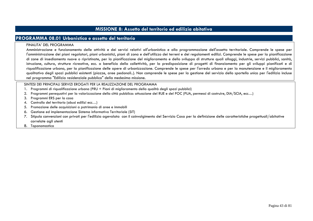## **MISSIONE 8: Assetto del territorio ed edilizia abitativa**

## **PROGRAMMA 08.01 Urbanistica e assetto del territorio**

#### FINALITA' DEL PROGRAMMA

 Amministrazione e funzionamento delle attività e dei servizi relativi all'urbanistica e alla programmazione dell'assetto territoriale. Comprende le spese per l'amministrazione dei piani regolatori, piani urbanistici, piani di zona e dell'utilizzo dei terreni e dei regolamenti edilizi. Comprende le spese per la pianificazione di zone di insediamento nuove o ripristinate, per la pianificazione del miglioramento e dello sviluppo di strutture quali alloggi, industrie, servizi pubblici, sanità, istruzione, cultura, strutture ricreative, ecc. a beneficio della collettività, per la predisposizione di progetti di finanziamento per gli sviluppi pianificati e di riqualificazione urbana, per la pianificazione delle opere di urbanizzazione. Comprende le spese per l'arredo urbano e per la manutenzione e il miglioramento qualitativo degli spazi pubblici esistenti (piazze, aree pedonali..). Non comprende le spese per la gestione del servizio dello sportello unico per l'edilizia incluse nel programma "Edilizia residenziale pubblica" della medesima missione.

- 1. Programmi di riqualificazione urbana (PRU + Piani di miglioramento della qualità degli spazi pubblici)
- 2. Programmi perequativi per la valorizzazione della città pubblica: attuazione del RUE e del POC (PUA, permessi di costruire, DIA/SCIA, ecc…)
- 3. Programmi ERS per la casa
- 4. Controllo del territorio (abusi edilizi ecc…)
- 5. Promozione delle acquisizioni a patrimonio di aree e immobili
- 6. Gestione ed implementazione Sistema informativo Territoriale (SIT)
- 7. Stipula convenzioni con privati per l'edilizia agevolata con il coinvolgimento del Servizio Casa per la definizione delle caratteristiche progettuali/abitative correlate agli utenti
- 8. Toponomastica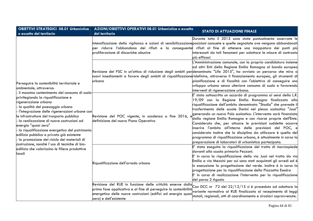| <b>OBIETTIVI STRATEGICI 08.01 Urbanistica</b><br>e assetto del territorio                                                                                                                                                                                                                                                                                                                                                                                                                                                                                                                                                                            | AZIONI/OBIETTIVI OPERATIVI 08.01 Urbanistica e assetto<br>del territorio                                                                                                                                                                                                                             |              | <b>STATO DI ATTUAZIONE FINALE</b>                                                                                                                                                                                                                                                                                                                                                                                                                                                                                                                                                                                                                                                                                                 |
|------------------------------------------------------------------------------------------------------------------------------------------------------------------------------------------------------------------------------------------------------------------------------------------------------------------------------------------------------------------------------------------------------------------------------------------------------------------------------------------------------------------------------------------------------------------------------------------------------------------------------------------------------|------------------------------------------------------------------------------------------------------------------------------------------------------------------------------------------------------------------------------------------------------------------------------------------------------|--------------|-----------------------------------------------------------------------------------------------------------------------------------------------------------------------------------------------------------------------------------------------------------------------------------------------------------------------------------------------------------------------------------------------------------------------------------------------------------------------------------------------------------------------------------------------------------------------------------------------------------------------------------------------------------------------------------------------------------------------------------|
| Perseguire la sostenibilità territoriale e<br>ambientale, attraverso:<br>il massimo contenimento del consumo di suolo<br>privilegiando la riqualificazione e<br>rigenerazione urbana<br>la qualità del paesaggio urbano<br>l'integrazione delle rigenerazioni urbane con<br>le infrastrutture del trasporto pubblico<br>la realizzazione di nuove costruzioni ad<br>energia "quasi zero"<br>la riqualificazione energetica del patrimonio<br>edilizio pubblico e privato già esistente<br>· la promozione del riciclo dei materiali di<br>costruzione, nonché l'uso di tecniche di bio-<br>edilizia che valorizzino le filiere produttive<br>llocali | Intensificazione della vigilanza e azioni di sensibilizzazione <mark>posizioni consuete e quelle segnalate ove vengono abbandonati</mark><br>per ridurre l'abbandono dei rifiuti e la conseguente i rifiuti al fine di ottenere una mappatura dei punti più <br>proliferazione di discariche abusive | più efficaci | Durante tutto il 2015 sono state puntualmente osservate le<br>interessati da tali fenomeni per adottare le misure di contrasto                                                                                                                                                                                                                                                                                                                                                                                                                                                                                                                                                                                                    |
|                                                                                                                                                                                                                                                                                                                                                                                                                                                                                                                                                                                                                                                      | Revisione del PSC in un'ottica di riduzione degli ambiti per <mark>denominato "Life 2015", ha avviato un percorso che mira a</mark><br>nuovi insediamenti a favore degli ambiti di riqualificazione <mark>ridefinire, attraverso il finanziamento europeo, gli strumenti di</mark><br>urbana         |              | L'Amministrazione comunale, con la propria candidatura insieme<br>ad altri Enti della Regione Emilia Romagna al bando europeo<br>pianificazione e di fiscalità con l'obiettivo di conseguire uno<br>sviluppo urbano senza ulteriore consumo di suolo e favorendo<br>interventi di rigenerazione urbana.                                                                                                                                                                                                                                                                                                                                                                                                                           |
|                                                                                                                                                                                                                                                                                                                                                                                                                                                                                                                                                                                                                                                      | Revisione del POC vigente, in scadenza a fine 2016,<br>definizione del nuovo Piano Operativo                                                                                                                                                                                                         |              | E' stato sottoscritto un accordo di programma ai sensi della L.R.<br>19/09 con la Regione Emilia Romagna finalizzato alla<br>riqualificazione dell'ambito denominato "Stadio" che prevede il<br>trasferimento delle scuole Donini nel plesso scolastico "Jussi"<br>generando un nuovo Polo scolastico. L'intervento sarà finanziato<br>dalla regione Emilia Romagna e con risorse proprie dell'Ente.<br>Considerato che, per attuare le previsioni suddette occorre<br>inserire l'ambito all'interno delle previsioni del POC, e<br>considerato inoltre che la disciplina da utilizzare è quella del<br>programma di riqualificazione urbana, è attualmente in corso la<br>preparazione di laboratori di urbanistica partecipata. |
|                                                                                                                                                                                                                                                                                                                                                                                                                                                                                                                                                                                                                                                      | Riqualificazione dell'arredo urbano                                                                                                                                                                                                                                                                  |              | E' stata eseguita la riqualificazione del tratto di marciapiede<br>davanti alla scuola primaria Pezzani.<br>E' in corso la riqualificazione della via Jussi nel tratto da via<br>Emilia a via Mezzini per cui sono stati acquistati gli arredi ed è<br>in esecuzione la progettazione del verde. Inoltre è in corso la<br>progettazione per la riqualificazione della Piazzetta Esedra<br>E' in corso di realizzazione l'intervento per la riqualificazione<br>del parco 2 Agosto                                                                                                                                                                                                                                                 |
|                                                                                                                                                                                                                                                                                                                                                                                                                                                                                                                                                                                                                                                      | Revisione del RUE in funzione delle criticità emerse dalla Con DCC nr 72 del 22/12/15 si è proceduto ad adottare la<br>prima fase applicativa e al fine di perseguire la sostenibilità<br>energetica delle nuove costruzioni (edifici ad energia quasi<br>zero) e dell'esistente                     |              | variante normativa al RUE finalizzata al recepimento di leggi<br>statali, regionali, atti di coordinamento e circolari sopravvenute.                                                                                                                                                                                                                                                                                                                                                                                                                                                                                                                                                                                              |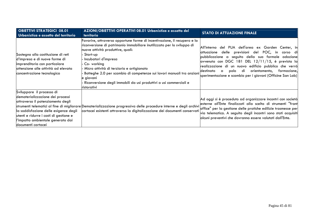| <b>OBIETTIVI STRATEGICI 08.01</b><br>Urbanistica e assetto del territorio                                                                                                                                                                        | AZIONI/OBIETTIVI OPERATIVI 08.01 Urbanistica e assetto del<br><b>territorio</b>                                                                                                                                                                                                                                                                                                                                                                                             | <b>STATO DI ATTUAZIONE FINALE</b>                                                                                                                                                                                                                                                                                                                                                                                     |
|--------------------------------------------------------------------------------------------------------------------------------------------------------------------------------------------------------------------------------------------------|-----------------------------------------------------------------------------------------------------------------------------------------------------------------------------------------------------------------------------------------------------------------------------------------------------------------------------------------------------------------------------------------------------------------------------------------------------------------------------|-----------------------------------------------------------------------------------------------------------------------------------------------------------------------------------------------------------------------------------------------------------------------------------------------------------------------------------------------------------------------------------------------------------------------|
| Sostegno alla costituzione di reti<br>d'impresa e di nuove forme di<br>imprenditoria con particolare<br>attenzione alle attività ad elevata<br>concentrazione tecnologica                                                                        | Favorire, attraverso opportune forme di incentivazione, il recupero e la<br>riconversione di patrimonio immobiliare inutilizzato per lo sviluppo di<br>nuove attività produttive, quali:<br>Start-up<br>Incubatori d'impresa<br>Co-working<br>Micro attività di terziario e artigianato<br>Botteghe 2.0 per scambio di competenze sui lavori manuali tra anziani<br>le giovani<br>Riconversione degli immobili da usi produttivi a usi commerciali e<br><b>lristorativi</b> | del PUA dell'area ex Garden Center, in<br>All'interno<br>delle previsioni del POC, in<br>lattuazione<br>corso di<br>pubblicazione a seguito della sua formale adozione<br>avvenuta con DGC 181 DEL 12/11/15, è prevista la<br>realizzazione di un nuovo edificio pubblico che verrà<br>di<br>orientamento, formazione,<br>polo<br>destinato<br>$\alpha$<br>sperimentazione e scambio per i giovani (Officine San Lab) |
| Sviluppare il processo di<br>dematerializzazione dei processi<br>attraverso il potenziamento degli<br>la soddisfazione delle esigenze degli<br>utenti e ridurre i costi di gestione e<br>l'impatto ambientale generato dai<br>documenti cartacei | strumenti telematici al fine di migliorare Dematerializzazione progressiva delle procedure interne e degli archivi<br>cartacei esistenti attraverso la digitalizzazione dei documenti conservati                                                                                                                                                                                                                                                                            | Ad oggi si è proceduto ad organizzare incontri con società<br>esterne all'Ente finalizzati alla scelta di strumenti "front<br>office" per la gestione delle pratiche edilizie trasmesse per<br>via telematica. A seguito degli incontri sono stati acquisiti<br>alcuni preventivi che dovranno essere valutati dall'Ente.                                                                                             |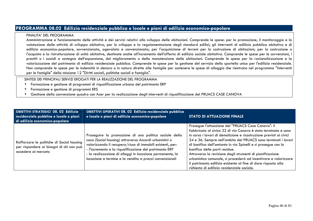## **PROGRAMMA 08.02 Edilizia residenziale pubblica e locale e piani di edilizia economico-popolare**

#### FINALITA' DEL PROGRAMMA

 Amministrazione e funzionamento delle attività e dei servizi relativi allo sviluppo delle abitazioni. Comprende le spese: per la promozione, il monitoraggio e la valutazione delle attività di sviluppo abitativo, per lo sviluppo e la regolamentazione degli standard edilizi; gli interventi di edilizia pubblica abitativa e di edilizia economico-popolare, sovvenzionata, agevolata e convenzionata; per l'acquisizione di terreni per la costruzione di abitazioni; per la costruzione o l'acquisto e la ristrutturazione di unità abitative, destinate anche all'incremento dell'offerta di edilizia sociale abitativa. Comprende le spese per le sovvenzioni, i prestiti o i sussidi a sostegno dell'espansione, del miglioramento o della manutenzione delle abitazioni. Comprende le spese per la razionalizzazione e la valorizzazione del patrimonio di edilizia residenziale pubblica. Comprende le spese per la gestione del servizio dello sportello unico per l'edilizia residenziale. Non comprende le spese per le indennità in denaro o in natura dirette alle famiglie per sostenere le spese di alloggio che rientrano nel programma "Interventi per le famiglie" della missione 12 "Diritti sociali, politiche sociali e famiglia".

- Formazione e gestione di programmi di riqualificazione urbana del patrimonio ERP •
- •Formazione e gestione di programmi ERS
- •Gestione della convenzione quadro con Acer per la realizzazione degli interventi di riqualificazione del PRUACS CASE CANOVA

| <b>OBIETTIVI STRATEGICI 08. 02 Edilizia</b><br>residenziale pubblica e locale e piani<br>di edilizia economico-popolare | OBIETTIVI OPERATIVI 08. 02 Edilizia residenziale pubblica<br>e locale e piani di edilizia economico-popolare                                                                                                                                                                                                                                                      | <b>STATO DI ATTUAZIONE FINALE</b>                                                                                                                                                                                                                                                                                                                                                                                                                                                                                                                                                                                |
|-------------------------------------------------------------------------------------------------------------------------|-------------------------------------------------------------------------------------------------------------------------------------------------------------------------------------------------------------------------------------------------------------------------------------------------------------------------------------------------------------------|------------------------------------------------------------------------------------------------------------------------------------------------------------------------------------------------------------------------------------------------------------------------------------------------------------------------------------------------------------------------------------------------------------------------------------------------------------------------------------------------------------------------------------------------------------------------------------------------------------------|
| Rafforzare le politiche di Social housing<br>per rispondere ai bisogni di chi non può<br>accedere al mercato            | Proseguire la promozione di una politica sociale della<br>casa (Social housing) attraverso Accordi urbanistici o<br>valorizzando il recupero/riuso di immobili esistenti, per:<br>- l'incremento e la riqualificazione del patrimonio ERP<br>- la realizzazione di alloggi in locazione permanente, la<br>locazione a termine e la vendita a prezzi convenzionali | Prosegue l'attuazione del "PRUACS Case Canova": il<br>fabbricato al civico 32 di via Canova è stato terminato e sono<br>in corso i lavori di demolizione e ricostruzione previsti ai civici<br>34 e 36. Sempre nell'ambito del PRUACS sono terminati i lavori<br>di bonifica dell'amianto in via Spinelli e si prosegue con la<br>bonifica delle parti residue.<br>Attraverso la revisione degli strumenti di pianificazione<br>urbanistica comunale, si procederà ad incentivare e valorizzare<br>il patrimonio edilizio esistente al fine di dare risposta alla<br>richiesta di edilizia residenziale sociale. |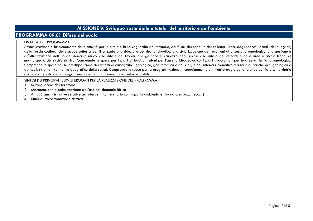# **MISSIONE 9: Sviluppo sostenibile e tutela del territorio e dell'ambiente**

# **PROGRAMMA 09.01 Difesa del suolo**

#### FINALITA' DEL PROGRAMMA

Amministrazione e funzionamento delle attività per la tutela e la salvaguardia del territorio, dei fiumi, dei canali e dei collettori idrici, degli specchi lacuali, delle lagune, della fascia costiera, delle acque sotterranee, finalizzate alla riduzione del rischio idraulico, alla stabilizzazione dei fenomeni di dissesto idrogeologico, alla gestione e all'ottimizzazione dell'uso del demanio idrico, alla difesa dei litorali, alla gestione e sicurezza degli invasi, alla difesa dei versanti e delle aree a rischio frana, al monitoraggio del rischio sismico. Comprende le spese per i piani di bacino, i piani idrogeologico, i giani straordinari per le aree a rischio idrogeologico. Comprende le spese per la predisposizione dei sistemi di cartografia (geologica, geo-tematica e dei suoli) e del sistema informativo territoriale (banche dati geologica e dei suoli, sistema informativo geografico della costa). Comprende le spese per la programmazione, il coordinamento e il monitoraggio delle relative politiche sul territorio anche in raccordo con la programmazione dei finanziamenti comunitari e statali.

- 1. Salvaguardia del territorio
- 2. Manutenzione e ottimizzazione dell'uso del demanio idrico
- 3. Attività amministrative relative ad interventi sul territorio con impatto ambientale (fognature, pozzi, ecc…)
- 4. Studi di micro zonazione sismica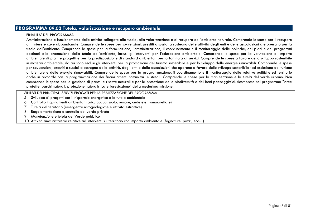## **PROGRAMMA 09.02 Tutela, valorizzazione e recupero ambientale**

### FINALITA' DEL PROGRAMMA

 Amministrazione e funzionamento delle attività collegate alla tutela, alla valorizzazione e al recupero dell'ambiente naturale. Comprende le spese per il recupero di miniere e cave abbandonate. Comprende le spese per sovvenzioni, prestiti o sussidi a sostegno delle attività degli enti e delle associazioni che operano per la tutela dell'ambiente. Comprende le spese per la formulazione, l'amministrazione, il coordinamento e il monitoraggio delle politiche, dei piani e dei programmi destinati alla promozione della tutela dell'ambiente, inclusi gli interventi per l'educazione ambientale. Comprende le spese per la valutazione di impatto ambientale di piani e progetti e per la predisposizione di standard ambientali per la fornitura di servizi. Comprende le spese a favore dello sviluppo sostenibile in materia ambientale, da cui sono esclusi gli interventi per la promozione del turismo sostenibile e per lo sviluppo delle energie rinnovabili. Comprende le spese per sovvenzioni, prestiti o sussidi a sostegno delle attività, degli enti e delle associazioni che operano a favore dello sviluppo sostenibile (ad esclusione del turismo ambientale e delle energie rinnovabili). Comprende le spese per la programmazione, il coordinamento e il monitoraggio delle relative politiche sul territorio anche in raccordo con la programmazione dei finanziamenti comunitari e statali. Comprende le spese per la manutenzione e la tutela del verde urbano. Non comprende le spese per la gestione di parchi e riserve naturali e per la protezione delle biodiversità e dei beni paesaggistici, ricomprese nel programma "Aree protette, parchi naturali, protezione naturalistica e forestazione" della medesima missione.

- 5. Sviluppo di progetti per il risparmio energetico e la tutela ambientale
- 6. Controllo inquinamenti ambientali (aria, acqua, suolo, rumore, onde elettromagnetiche)
- 7. Tutela del territorio (emergenze idrogeologiche e attività estrattive)
- 8. Regolamentazione e controllo del verde privato
- 9. Manutenzione e tutela del Verde pubblico
- 10. Attività amministrative relative ad interventi sul territorio con impatto ambientale (fognature, pozzi, ecc…)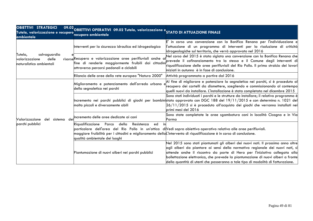| <b>OBIETTIVI STRATEGICI</b><br>Tutela, valorizzazione e recupero recupero ambientale<br>ambientale | 09.02 OBIETTIVI OPERATIVI 09.02 Tutela, valorizzazione e STATO DI ATTUAZIONE FINALE                                                                                                                              |                                                                                                                                                                                                                                                                                                                                                                                                                           |
|----------------------------------------------------------------------------------------------------|------------------------------------------------------------------------------------------------------------------------------------------------------------------------------------------------------------------|---------------------------------------------------------------------------------------------------------------------------------------------------------------------------------------------------------------------------------------------------------------------------------------------------------------------------------------------------------------------------------------------------------------------------|
| salvaguardia<br>Tutela,<br>delle<br>valorizzazione<br>naturalistico ambientali                     | Interventi per la sicurezza idraulica ed idrogeologica                                                                                                                                                           | in corso una convenzione con la Bonifica Renana per l'individuazione e<br>l'attuazione di un programma di interventi per la risoluzione di criticità <br>idrogeologiche sul territorio, che verrà approvato nel 2016                                                                                                                                                                                                      |
|                                                                                                    | risorseRecupero e valorizzazione aree perifluviali anche a<br>attraverso percorsi pedonali e ciclabili                                                                                                           | Nel corso del 2015 è stata siglata una convenzione con la Bonifica Renana che<br>riqualificazione delle aree perifluviali del Rio Pollo. Il primo stralcio dei lavori<br>liniziati in autunno  è in fase di conclusione.                                                                                                                                                                                                  |
|                                                                                                    | Rilancio delle aree della rete europea "Natura 2000"                                                                                                                                                             | Attività programmata a partire dal 2016                                                                                                                                                                                                                                                                                                                                                                                   |
| Valorizzazione<br>sistema dei<br>del<br>parchi pubblici                                            | Miglioramento e potenziamento dell'arredo urbano e<br>della segnaletica nei parchi                                                                                                                               | Al fine di migliorare e potenziare la segnaletica nei parchi, si è proceduto al<br>recupero dei cartelli da dismettere, scegliendo e commissionando al contempo<br>quelli nuovi da installare. L'installazione è stata completata nel dicembre 2015                                                                                                                                                                       |
|                                                                                                    | molto piccoli e diversamente abili                                                                                                                                                                               | Sono stati individuati i parchi e le strutture da installare; il relativo programma è<br> Incremento nei parchi pubblici di giochi per bambini <mark>stato approvato con DGC 188 del 19/11/2015 e con determina n. 1021 del</mark><br>26/11/2015 si è proceduto all'acquisto dei giochi che verranno installati nei<br>primi mesi del 2016                                                                                |
|                                                                                                    | Incremento delle aree dedicate ai cani                                                                                                                                                                           | Sono state completate le aree sgambatura cani in località Cicogna e in Via<br>Parma                                                                                                                                                                                                                                                                                                                                       |
|                                                                                                    | Resistenza<br>Riqualificazione<br>Parco<br>della<br>ed<br>maggiore fruibilità per i cittadini e miglioramento della L'intervento di riqualificazione è in corso di conclusione.<br>qualità ambientale dei luoghi | particolare dell'area del Rio Pollo in un'ottica divedi sopra obiettivo operativo relativo alle aree perifluviali.                                                                                                                                                                                                                                                                                                        |
|                                                                                                    | Piantumazione di nuovi alberi nei parchi pubblici                                                                                                                                                                | Nel 2015 sono stati piantumati gli alberi dei nuovi nati. Il prossimo anno oltre <br>agli alberi da piantare ai sensi della normativa regionale dei nuovi nati, si<br>attende anche il riscontro da parte di Hera per l'iniziativa collegata alla<br>bollettazione elettronica, che prevede la piantumazione di nuovi alberi a fronte<br>della quantità di utenti che passeranno a tale tipo di modalità di fatturazione. |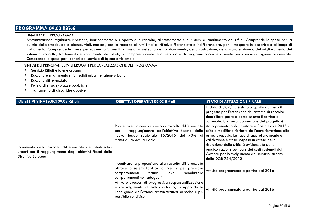# **PROGRAMMA 09.03 Rifiuti**

#### FINALITA' DEL PROGRAMMA

 Amministrazione, vigilanza, ispezione, funzionamento o supporto alla raccolta, al trattamento e ai sistemi di smaltimento dei rifiuti. Comprende le spese per la pulizia delle strade, delle piazze, viali, mercati, per la raccolta di tutti i tipi di rifiuti, differenziata e indifferenziata, per il trasporto in discarica o al luogo di trattamento. Comprende le spese per sovvenzioni, prestiti o sussidi a sostegno del funzionamento, della costruzione, della manutenzione o del miglioramento dei sistemi di raccolta, trattamento e smaltimento dei rifiuti, ivi compresi i contratti di servizio e di programma con le aziende per i servizi di igiene ambientale. Comprende le spese per i canoni del servizio di igiene ambientale.

- •Servizio Rifiuti e igiene urbana
- •Raccolta e smaltimento rifiuti solidi urbani e igiene urbana
- •Raccolta differenziata
- •Pulizia di strade/piazze pubbliche
- •Trattamento di discariche abusive

| <b>OBIETTIVI STRATEGICI 09.03 Rifiuti</b>                                                                                                     | <b>OBIETTIVI OPERATIVI 09.03 Rifiuti</b>                                                                                                                                                                                                                       | <b>STATO DI ATTUAZIONE FINALE</b>                                                                                                                                                                                                                                                                                                                                                                                                                                                                                           |
|-----------------------------------------------------------------------------------------------------------------------------------------------|----------------------------------------------------------------------------------------------------------------------------------------------------------------------------------------------------------------------------------------------------------------|-----------------------------------------------------------------------------------------------------------------------------------------------------------------------------------------------------------------------------------------------------------------------------------------------------------------------------------------------------------------------------------------------------------------------------------------------------------------------------------------------------------------------------|
| Incremento della raccolta differenziata dei rifiuti solidi<br>urbani per il raggiungimento degli obiettivi fissati dalla<br>Direttiva Europea | Progettare, un nuovo sistema di raccolta differenziata stata presentata dal gestore a fine ottobre 2015 in<br>per il raggiungimento dell'obiettivo fissato dalla esito a modifiche richieste dall'amministrazione alla<br>nuova<br>materiali avviati a riciclo | In data $31/07/15$ è stato acquisito da Hera il<br>progetto per l'estensione del sistema di raccolta<br>domiciliare porta a porta su tutto il territorio<br>comunale. Una seconda versione del progetto è<br>legge regionale 16/2015 del 70% di prima proposta. La fase di approfondimento e<br>validazione è stata sospesa in attesa della<br>risoluzione delle criticità evidenziate dalla<br>rendicontazione puntuale dei costi sostenuti dal<br>Gestore per lo svolgimento del servizio, ai sensi<br>della DGR 754/2012 |
|                                                                                                                                               | Incentivare la propensione alla raccolta differenziata<br>attraverso sistemi tariffari o incentivi per premiare<br>penalizzare<br>virtuosi<br>$e$ o<br>comportamenti<br>comportamenti non adeguati                                                             | Attività programmata a partire dal 2016                                                                                                                                                                                                                                                                                                                                                                                                                                                                                     |
|                                                                                                                                               | Attivare processi di progressiva responsabilizzazione<br>e coinvolgimento di tutti i cittadini, sviluppando le<br>linee guida dell'azione amministrativa su scelte il più<br>possibile condivise.                                                              | Attività programmata a partire dal 2016                                                                                                                                                                                                                                                                                                                                                                                                                                                                                     |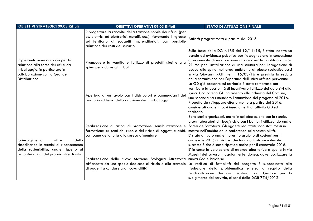| <b>OBIETTIVI STRATEGICI 09.03 Rifiuti</b>                                                                                                                  | <b>OBIETTIVI OPERATIVI 09.03 Rifiuti</b>                                                                                                                                                                                              | <b>STATO DI ATTUAZIONE FINALE</b>                                                                                                                                                                                                                                                                                                                                                                                                                                   |
|------------------------------------------------------------------------------------------------------------------------------------------------------------|---------------------------------------------------------------------------------------------------------------------------------------------------------------------------------------------------------------------------------------|---------------------------------------------------------------------------------------------------------------------------------------------------------------------------------------------------------------------------------------------------------------------------------------------------------------------------------------------------------------------------------------------------------------------------------------------------------------------|
| Implementazione di azioni per la<br>riduzione alla fonte dei rifiuti da<br>imballaggio, in particolare in<br>collaborazione con la Grande<br>Distribuzione | Riprogettare la raccolta della frazione nobile dei rifiuti (per<br>es. elettrici ed elettronici, metalli, ecc.) favorendo l'ingresso<br>sul territorio di soggetti imprenditoriali, con possibile<br>riduzione dei costi del servizio | Attività programmata a partire dal 2016                                                                                                                                                                                                                                                                                                                                                                                                                             |
|                                                                                                                                                            | Promuovere la vendita e l'utilizzo di prodotti sfusi e alla<br>spina per ridurre gli imballi                                                                                                                                          | Sulla base della DG n.185 del 12/11/15, è stato indetto un<br>bando ad evidenza pubblica per l'assegnazione in concessione<br>quinquennale di una porzione di area verde pubblica di max<br>21 mq per l'installazione di una struttura per l'erogazione di<br>acqua alla spina, nell'area antistante al plesso scolastico Jussi<br>in via Giovanni XXIII. Per il 15/03/16 è prevista la seduta<br>della commissione per l'apertura dell'unica offerta pervenuta.    |
|                                                                                                                                                            | Apertura di un tavolo con i distributori e commercianti del<br>territorio sul tema della riduzione degli imballaggi                                                                                                                   | La GD già presente sul territorio è stata contattata per<br>verificare la possibilità di incentivare l'utilizzo dei detersivi alla<br>spina. Una catena GD ha aderito alla richiesta del Comune,<br>una seconda ha rimandato l'attuazione del progetto al 2016.<br>Progetto da sviluppare ulteriormente a partire dal 2016,<br>considerati anche i nuovi insediamenti di attività GD sul<br>territorio                                                              |
| Coinvolgimento<br>della<br>attivo<br>cittadinanza in termini di ripensamento                                                                               | Realizzazione di azioni di promozione, sensibilizzazione e<br>formazione sui temi del riuso e del riciclo di oggetti e abiti,<br>così come della lotta allo spreco alimentare                                                         | Sono stati organizzati, anche in collaborazione con le scuole,<br>alcuni laboratori di riuso/riciclo con i bambini utilizzando anche<br>l'area dell'ortoteca. Gli oggetti realizzati sono stati messi in<br>mostra nell'ambito delle conferenze sulla sostenibilità.<br>E' stato attivato anche il prestito gratuito di costumi per il<br>carnevale 2015; iniziativa che ha riscontrato un notevole<br>successo è che è stata ripetuta anche per il carnevale 2016. |
| della sostenibilità, anche rispetto al<br>tema dei rifiuti, del proprio stile di vita                                                                      | Realizzazione della nuova Stazione Ecologica Attrezzata nuova Sea e Ricicleria<br>affiancata da uno spazio dedicato al riciclo e allo scambio<br>di oggetti a cui dare una nuova utilità                                              | E' in corso la valutazione di un'area alternativa a quella in via<br>Maestri del Lavoro, maggiormente idonea, dove localizzare la<br>La verifica di fattibilità del progetto è subordinata alla<br>risoluzione della problematica emersa a seguito della<br>rendicontazione dei costi sostenuti dal Gestore per lo<br>svolgimento del servizio, ai sensi della DGR 754/2012                                                                                         |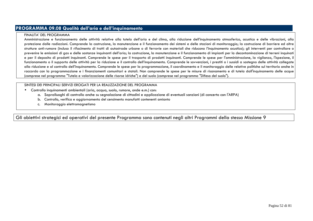## **PROGRAMMA 09.08 Qualità dell'aria e dell'inquinamento**

#### FINALITA' DEL PROGRAMMA

Amministrazione e funzionamento delle attività relative alla tutela dell'aria e del clima, alla riduzione dell'inquinamento atmosferico, acustico e delle vibrazioni, alla protezione dalle radiazioni. Comprende la costruzione, la manutenzione e il funzionamento dei sistemi e delle stazioni di monitoraggio; la costruzione di barriere ed altre strutture anti-rumore (incluso il rifacimento di tratti di autostrade urbane o di ferrovie con materiali che riducono l'inquinamento acustico); gli interventi per controllare o prevenire le emissioni di gas e delle sostanze inquinanti dell'aria; la costruzione, la manutenzione e il funzionamento di impianti per la decontaminazione di terreni inquinati e per il deposito di prodotti inquinanti. Comprende le spese per il trasporto di prodotti inquinanti. Comprende le spese per l'amministrazione, la vigilanza, l'ispezione, il funzionamento o il supporto delle attività per la riduzione e il controllo dell'inquinamento. Comprende le sovvenzioni, i prestiti o i sussidi a sostegno delle attività collegate alla riduzione e al controllo dell'inquinamento. Comprende le spese per la programmazione, il coordinamento e il monitoraggio delle relative politiche sul territorio anche in raccordo con la programmazione e i finanziamenti comunitari e statali. Non comprende le spese per le misure di risanamento e di tutela dall'inquinamento delle acque (comprese nel programma "Tutela e valorizzazione delle risorse idriche") e del suolo (comprese nel programma "Difesa del suolo").

#### SINTESI DEI PRINCIPALI SERVIZI EROGATI PER LA REALIZZAZIONE DEL PROGRAMMA

- Controllo inquinamenti ambientali (aria, acqua, suolo, rumore, onde e.m.) con:
	- a. Sopralluoghi di controllo anche su segnalazione di cittadini e applicazione di eventuali sanzioni (di concerto con l'ARPA)
	- b. Controllo, verifica e aggiornamento del censimento manufatti contenenti amianto
	- c. Monitoraggio elettromagnetismo

Gli obiettivi strategici ed operativi del presente Programma sono contenuti negli altri Programmi della stessa Missione 9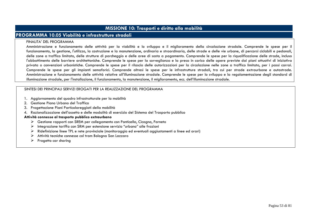## **MISSIONE 10: Trasporti e diritto alla mobilità**

## **PROGRAMMA 10.05 Viabilità e infrastrutture stradali**

#### FINALITA' DEL PROGRAMMA

 Amministrazione e funzionamento delle attività per la viabilità e lo sviluppo e il miglioramento della circolazione stradale. Comprende le spese per il funzionamento, la gestione, l'utilizzo, la costruzione e la manutenzione, ordinaria e straordinaria, delle strade e delle vie urbane, di percorsi ciclabili e pedonali, delle zone a traffico limitato, delle strutture di parcheggio e delle aree di sosta a pagamento. Comprende le spese per la riqualificazione delle strade, incluso l'abbattimento delle barriere architettoniche. Comprende le spese per la sorveglianza e la presa in carico delle opere previste dai piani attuativi di iniziativa privata o convenzioni urbanistiche. Comprende le spese per il rilascio delle autorizzazioni per la circolazione nelle zone a traffico limitato, per i passi carrai. Comprende le spese per gli impianti semaforici. Comprende altresì le spese per le infrastrutture stradali, tra cui per strade extraurbane e autostrade. Amministrazione e funzionamento delle attività relative all'illuminazione stradale. Comprende le spese per lo sviluppo e la regolamentazione degli standard di illuminazione stradale, per l'installazione, il funzionamento, la manutenzione, il miglioramento, ecc. dell'illuminazione stradale.

#### SINTESI DEI PRINCIPALI SERVIZI EROGATI PER LA REALIZZAZIONE DEL PROGRAMMA

- 1. Aggiornamento del quadro infrastrutturale per la mobilità
- 2. Gestione Piano Urbano del Traffico
- 3. Progettazione Piani Particolareggiati della mobilità
- 4. Razionalizzazione dell'assetto e delle modalità di esercizio del Sistema del Trasporto pubblico

#### **Attività connesse al trasporto pubblico extraurbano**

- $\triangleright$  Gestione rapporti con SREM per collegamento con Ponticella, Cicogna, Farneto<br>
Integratione tariffe con SBM per estensione consiste "urbane" alle frazioni
- Integrazione tariffa con SRM per estensione servizio "urbano" alle frazioni<br>Natifiatative dince TPL e aste agostratale (mentregrazio ed sucetuali mentre
- $\triangleright$  Ridefinizione linee TPL e rete provinciale (monitoraggio ed eventuali aggiustamenti a linee ed orari)<br>A thirith teatishe compasse ed tram Release San Luzzare
- $\triangleright$  Attività tecniche connesse col tram Bologna San Lazzaro
- $\triangleright$  Progetto car sharing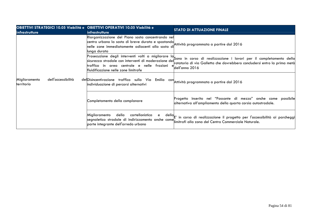| <b>OBIETTIVI STRATEGICI 10.05 Viabilità e OBIETTIVI OPERATIVI 10.05 Viabilità e</b><br>infrastrutture | <i>infrastrutture</i>                                                                                                                                                                                                | STATO DI ATTUAZIONE FINALE                                                                                                                                                                                          |
|-------------------------------------------------------------------------------------------------------|----------------------------------------------------------------------------------------------------------------------------------------------------------------------------------------------------------------------|---------------------------------------------------------------------------------------------------------------------------------------------------------------------------------------------------------------------|
|                                                                                                       | Riorganizzazione del Piano sosta concentrando nel<br>centro urbano la sosta di breve durata e spostando Attività programmata a partire dal 2016<br>nelle zone immediatamente adiacenti alla sosta di<br>lunga durata |                                                                                                                                                                                                                     |
|                                                                                                       | sicurezza stradale con interventi di moderazione del<br>traffico in area centrale e nelle frazioni<br>fluidificazione nelle zone limitrofe                                                                           | Prosecuzione degli interventi volti a migliorare la Sono in corso di realizzazione i lavori per il completamento della<br>otatoria di via Galletta che dovrebbero concludersi entro la prima metà<br>dell'anno 2016 |
| Miglioramento<br>dell'accessibilità<br>territorio                                                     | del Disincentivazione traffico sulla Via Emilia con Attività programmata apartire dal 2016<br>individuazione di percorsi alternativi                                                                                 |                                                                                                                                                                                                                     |
|                                                                                                       | Completamento della complanare                                                                                                                                                                                       | Progetto inserito nel "Passante di mezzo" anche come possibile<br>alternativa all'ampliamento della quarta corsia autostradale.                                                                                     |
|                                                                                                       | della<br>cartellonistica<br>Miglioramento<br>e<br>segnaletica stradale di indirizzamento anche come<br>parte integrante dell'arredo urbano                                                                           | della $\vert$ E' in corso di realizzazione il progetto per l'accessibilità ai parcheggi $\vert$<br>limitrofi alla zona del Centro Commerciale Naturale.                                                             |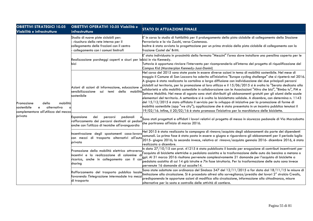| <b>OBIETTIVI STRATEGICI 10.05</b><br>Viabilità e infrastrutture                                              | <b>OBIETTIVI OPERATIVI 10.05 Viabilità e</b><br>infrastrutture                                                                                                                                                                              | <b>STATO DI ATTUAZIONE FINALE</b>                                                                                                                                                                                                                                                                                                                                                                                                                                                                                                                                                                                                                                                                                                                                                                                                                                                                                                                                                                                                                                                                                                                        |
|--------------------------------------------------------------------------------------------------------------|---------------------------------------------------------------------------------------------------------------------------------------------------------------------------------------------------------------------------------------------|----------------------------------------------------------------------------------------------------------------------------------------------------------------------------------------------------------------------------------------------------------------------------------------------------------------------------------------------------------------------------------------------------------------------------------------------------------------------------------------------------------------------------------------------------------------------------------------------------------------------------------------------------------------------------------------------------------------------------------------------------------------------------------------------------------------------------------------------------------------------------------------------------------------------------------------------------------------------------------------------------------------------------------------------------------------------------------------------------------------------------------------------------------|
|                                                                                                              | Studio di nuove piste ciclabili per:<br>ricucitura della rete interna per il<br>collegamento delle frazioni con il centro<br>collegamento con i comuni limitrofi                                                                            | E' in corso lo studio di fattibilità per il prolungamento della pista ciclabile di collegamento della Stazione<br>Ferroviaria e la via Zucchi, verso Castenaso.<br>Inoltre è stata avviata la progettazione per un primo stralcio della pista ciclabile di collegamento con la<br>ffrazione Castel de' Britti.                                                                                                                                                                                                                                                                                                                                                                                                                                                                                                                                                                                                                                                                                                                                                                                                                                           |
|                                                                                                              | Realizzazione parcheggi coperti e sicuri per lebici in via Kennedy.<br>bici                                                                                                                                                                 | E' stata individuata in prossimità della fermata "Mezzini" l'area dove installare una pensilina coperta per le<br>Tuttavia è opportuno rinviare l'intervento per ricomprenderlo all'interno del progetto di riqualificazione del<br>Campus Kid (Marsterplan Kennedy-Jussi-Donini)                                                                                                                                                                                                                                                                                                                                                                                                                                                                                                                                                                                                                                                                                                                                                                                                                                                                        |
| della<br>mobilità<br>Promozione<br>alternativa<br>sostenibile<br>e<br>complementare all'utilizzo del mezzo   | Azioni di azioni di informazione, educazione e<br>sensibilizzazione<br>mobilità<br>temi della<br>sui<br>sostenibile                                                                                                                         | Nel corso del 2015 sono state poste in essere diverse azioni in tema di mobilità sostenibile. Nel mese di<br>maggio il Comune di San Lazzaro ha aderito all'iniziativa "Europe cycling challenge" che si ripeterà nel 2016.<br>A giugno è stata realizzata la cartolina a larga diffusione con individuazione dei due principali percorsi<br>ciclabili sul territorio, per la promozione al loro utilizzo e il 15/06/2015 si è svolta la "Serata dedicata alla<br>solidarietà e alla mobilità sostenibile in collaborazione con le Associazioni "Altro che bici", "Bimbo tu", PM e<br>Settore Mobilità. Nel mese di agosto sono stati distribuiti gli abbonamenti gratuiti per gli alunni delle scuole<br>elementari del territorio. A settembre si è svolta la biciclettata solidale. A dicembre, con determina n. 1143<br>del 15/12/2015 è stato affidato il servizio per lo sviluppo di iniziative per la promozione di forme di<br>mobilità sostenibile (app "we city"); applicazione che è stata presentata in un incontro pubblico tenutosi il<br>19/02/16. Infine, il 20/02/16 è stata promossa l'iniziativa per la marchiatura delle biciclette. |
| privato                                                                                                      | dei<br>pedonali<br>Espansione<br>percorsi<br>rafforzamento dei percorsi destinati ai pedonicone che partiranno all'inizio di marzo 2016.<br>Il che partiranno all'inizio di marzo 2016.<br>anche con l'utilizzo di tecniche all'avanguardia | Sono stati progettati e affidati i lavori relativi al progetto di messa in sicurezza pedonale di Via Marzabotto                                                                                                                                                                                                                                                                                                                                                                                                                                                                                                                                                                                                                                                                                                                                                                                                                                                                                                                                                                                                                                          |
|                                                                                                              | Incentivazione degli spostamenti casa-lavoro<br>con mezzi di trasporto alternativi all'auto<br>privata                                                                                                                                      | Nel 2015 è stata realizzata la campagna di rinnovo/acquisto degli abbonamenti da parte dei dipendenti<br>comunali. La prima fase è stata posta in essere a giugno e riguardava gli abbonamenti per il periodo luglio<br>2015- giugno 2016; la seconda invece, relativa al rinnovo/acquisto gennaio 2016- dicembre 2016, è stata<br>Irealizzata a dicembre.                                                                                                                                                                                                                                                                                                                                                                                                                                                                                                                                                                                                                                                                                                                                                                                               |
|                                                                                                              | Promozione della mobilità elettrica attraversa<br>incentivi e la realizzazione di colonnine d<br>ricarica, anche in collegamento con il car<br>sharing                                                                                      | $\ $ n data 27/10/15 con prot. 41215 è stato pubblicato il bando per erogazione di contributi incentivanti per<br>l'acquisto di biciclette elettriche a pedalata assistita e la trasformazione delle auto da benzina a metano o<br>gpl. Al 31 marzo 2016 risultano pervenute complessivamente 21 domande per l'acquisto di biciclette a<br>pedalata assistita di cui 14 già istruite e 7in fase istruttoria. Per la trasformazione delle auto sono invece<br>pervenute 16 domande di cui accolte 14.                                                                                                                                                                                                                                                                                                                                                                                                                                                                                                                                                                                                                                                     |
| Rafforzamento del trasporto pubblico locale<br>favorendo l'integrazione intermodale tra mezz<br>di trasporto |                                                                                                                                                                                                                                             | Sono state adottate con ordinanza del Sindaco 347 del 12/11/2015 a far data dal 18/11/15 le misure di<br>limitazione alla circolazione. Si è proceduto altresì alla sorveglianza/presidio dei lavori 2º stralcio Crealis,<br>predisponendo le opportune azioni di modifica alla circolazione, informazione alla cittadinanza, misure<br>alternative per la sosta e controllo delle attività di cantiere.                                                                                                                                                                                                                                                                                                                                                                                                                                                                                                                                                                                                                                                                                                                                                 |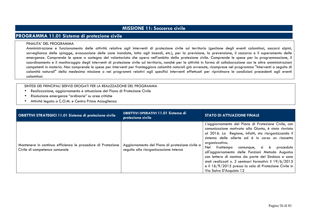# **MISSIONE 11: Soccorso civile**

### **PROGRAMMA 11.01 Sistema di protezione civile**

#### FINALITA' DEL PROGRAMMA

 Amministrazione e funzionamento delle attività relative agli interventi di protezione civile sul territorio (gestione degli eventi calamitosi, soccorsi alpini, sorveglianza delle spiagge, evacuazione delle zone inondate, lotta agli incendi, etc.), per la previsione, la prevenzione, il soccorso e il superamento delle emergenze. Comprende le spese a sostegno del volontariato che opera nell'ambito della protezione civile. Comprende le spese per la programmazione, il coordinamento e il monitoraggio degli interventi di protezione civile sul territorio, nonché per le attività in forma di collaborazione con le altre amministrazioni competenti in materia. Non comprende le spese per interventi per fronteggiare calamità naturali già avvenute, ricomprese nel programma "Interventi a seguito di calamità naturali" della medesima missione o nei programmi relativi agli specifici interventi effettuati per ripristinare le condizioni precedenti agli eventi calamitosi.

- •Realizzazione, aggiornamento e attuazione del Piano di Protezione Civile
- •Risoluzione emergenze "ordinarie" su aree critiche
- •Attività legata a C.O.M. e Centro Prima Accoglienza

| <b>OBIETTIVI STRATEGICI 11.01 Sistema di protezione civile</b>                               | OBIETTIVI OPERATIVI 11.01 Sistema di<br>protezione civile                               | <b>STATO DI ATTUAZIONE FINALE</b>                                                                                                                                                                                                                                                                                                                                                                                                                                                                                                            |
|----------------------------------------------------------------------------------------------|-----------------------------------------------------------------------------------------|----------------------------------------------------------------------------------------------------------------------------------------------------------------------------------------------------------------------------------------------------------------------------------------------------------------------------------------------------------------------------------------------------------------------------------------------------------------------------------------------------------------------------------------------|
| Mantenere in continua efficienza le procedure di Protezione<br>Civile di competenza comunale | Aggiornamento del Piano di protezione civile a<br>seguito alla riorganizzazione interna | L'aggiornamento del Piano di Protezione Civile, con<br>comunicazione motivata alla Giunta, è stato rinviato<br>al 2016. La Regione, infatti, sta riorganizzando il<br>sistema delle allerte ed è in corso un riassetto<br>organizzativo.<br>Nel frattempo comunque, si è<br>proceduto<br>all'aggiornamento delle Funzioni Metodo Augustus<br>con lettera di nomina da parte del Sindaco e sono<br>stati realizzati n. 2 seminari formativi: il 19/6/2015<br>e il 16/9/2015 presso la sala di Protezione Civile in<br>Via Salvo D'Acquisto 12 |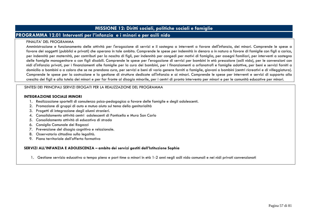# **MISSIONE 12: Diritti sociali, politiche sociali e famiglie**

## **PROGRAMMA 12.01 Interventi per l'infanzia e i minori e per asili nido**

#### FINALITA' DEL PROGRAMMA

 Amministrazione e funzionamento delle attività per l'erogazione di servizi e il sostegno a interventi a favore dell'infanzia, dei minori. Comprende le spese a favore dei soggetti (pubblici e privati) che operano in tale ambito. Comprende le spese per indennità in denaro o in natura a favore di famiglie con figli a carico, per indennità per maternità, per contributi per la nascita di figli, per indennità per congedi per motivi di famiglia, per assegni familiari, per interventi a sostegno delle famiglie monogenitore o con figli disabili. Comprende le spese per l'erogazione di servizi per bambini in età prescolare (asili nido), per le convenzioni con nidi d'infanzia privati, per i finanziamenti alle famiglie per la cura dei bambini, per i finanziamenti a orfanotrofi e famiglie adottive, per beni e servizi forniti a domicilio a bambini o a coloro che se ne prendono cura, per servizi e beni di vario genere forniti a famiglie, giovani o bambini (centri ricreativi e di villeggiatura). Comprende le spese per la costruzione e la gestione di strutture dedicate all'infanzia e ai minori. Comprende le spese per interventi e servizi di supporto alla crescita dei figli e alla tutela dei minori e per far fronte al disagio minorile, per i centri di pronto intervento per minori e per le comunità educative per minori.

#### SINTESI DEI PRINCIPALI SERVIZI EROGATI PER LA REALIZZAZIONE DEL PROGRAMMA

#### **INTEGRAZIONE SOCIALE MINORI**

- 1. Realizzazione sportelli di consulenza psico-pedagogica a favore delle famiglie e degli adolescenti.
- 2. Promozione di gruppi di auto e mutuo aiuto sul tema della genitorialità
- 3. Progetti di integrazione degli alunni stranieri.
- 4. Consolidamento attività centri adolescenti di Ponticella e Mura San Carlo
- 5. Consolidamento attività di educativa di strada
- 6. Consiglio Comunale dei Ragazzi
- 7. Prevenzione del disagio cognitivo e relazionale.
- 8. Osservatorio cittadino sulla legalità.
- 9. Piano territoriale dell'offerta formativa

#### **SERVIZI ALL'INFANZIA E ADOLESCENZA – ambito dei servizi gestiti dall'Istituzione Sophia**

1. Gestione servizio educativo a tempo pieno e part time a minori in età 1-2 anni negli asili nido comunali e nei nidi privati convenzionati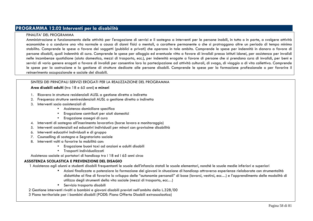## **PROGRAMMA 12.02 Interventi per la disabilità**

#### FINALITA' DEL PROGRAMMA

 Amministrazione e funzionamento delle attività per l'erogazione di servizi e il sostegno a interventi per le persone inabili, in tutto o in parte, a svolgere attività economiche o a condurre una vita normale a causa di danni fisici o mentali, a carattere permanente o che si protraggono oltre un periodo di tempo minimo stabilito. Comprende le spese a favore dei soggetti (pubblici e privati) che operano in tale ambito. Comprende le spese per indennità in danaro a favore di persone disabili, quali indennità di cura. Comprende le spese per alloggio ed eventuale vitto a favore di invalidi presso istituti idonei, per assistenza per invalidi nelle incombenze quotidiane (aiuto domestico, mezzi di trasporto, ecc.), per indennità erogate a favore di persone che si prendono cura di invalidi, per beni e servizi di vario genere erogati a favore di invalidi per consentire loro la partecipazione ad attività culturali, di svago, di viaggio o di vita collettiva. Comprende le spese per la costruzione e la gestione di strutture dedicate alle persone disabili. Comprende le spese per la formazione professionale o per favorire il reinserimento occupazionale e sociale dei disabili.

#### SINTESI DEI PRINCIPALI SERVIZI EROGATI PER LA REALIZZAZIONE DEL PROGRAMMA

**Area disabili adulti (**tra 18 e 65 anni) **e minori** 

- 1. Ricovero in strutture residenziali AUSL a gestione diretta o indiretta
- 2. Frequenza strutture semiresidenziali AUSL a gestione diretta o indiretta
- 3. Interventi socio assistenziali di
	- Assistenza domiciliare specifica
	- Erogazione contributi per aiuti domestici
	- Erogazione assegni di cura
- 4. Interventi di sostegno all'inserimento lavorativo (borse lavoro e monitoraggio)
- 5. Interventi assistenziali ed educativi individuali per minori con gravissime disabilità
- 6. Interventi educativi individuali e di gruppo
- 7. Counselling di sostegno e Segretariato sociale
- 8. Interventi volti a favorire la mobilità con:
	- Erogazione buoni taxi ad anziani e adulti disabili
	- Trasporti individualizzati

Assistenza sociale ai portatori di handicap tra i 18 ed i 65 anni circa

#### **ASSISTENZA SCOLASTICA E PREVENZIONE DEL DISAGIO**

1 Assistenza agli alunni e studenti disabili frequentanti le scuole dell'infanzia statali le scuole elementari, nonché le scuole medie inferiori e superiori

- Azioni finalizzate a potenziare la formazione dei giovani in situazione di handicap attraverso esperienze rielaborate con strumentalità didattiche al fine di favorire lo sviluppo delle "autonomie personali" di base (lavarsi, vestirsi, ecc…) e l'apprendimento delle modalità di utilizzo degli strumenti della vita sociale (mezzi di trasporto, ecc…)
- Servizio trasporto disabili

2 Gestione interventi rivolti a bambini e giovani disabili previsti nell'ambito della L.328/00

3 Piano territoriale per i bambini disabili (PODE: Piano Offerta Disabili extrascolastica)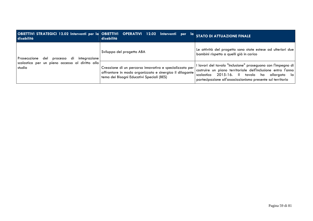| disabilità                                                                                                      | OBIETTIVI STRATEGICI 12.02 Interventi per la OBIETTIVI OPERATIVI 12.02 Interventi per la<br>disabilità                                                          | <b>STATO DI ATTUAZIONE FINALE</b>                                                                                                                                                                                                                |
|-----------------------------------------------------------------------------------------------------------------|-----------------------------------------------------------------------------------------------------------------------------------------------------------------|--------------------------------------------------------------------------------------------------------------------------------------------------------------------------------------------------------------------------------------------------|
| processo di<br>Prosecuzione<br>del<br>integrazione<br>scolastica per un pieno accesso al diritto allo<br>studio | Sviluppo del progetto ABA                                                                                                                                       | Le attività del progetto sono state estese ad ulteriori due<br>bambini rispetto a quelli già in carico                                                                                                                                           |
|                                                                                                                 | Creazione di un percorso innovativo e specializzato per<br>affrontare in modo organizzato e sinergico il dilagante<br>tema dei Bisogni Educativi Speciali (BES) | l lavori del tavolo "Inclusione" proseguono con l'impegno di  <br>costruire un piano territoriale dell'inclusione entro l'anno<br>2015-16. Il tavolo ha allargato la<br>scolastico<br>partecipazione all'associazionismo presente sul territorio |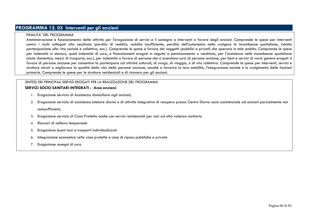# **PROGRAMMA 12. 03 Interventi per gli anziani**

#### FINALITA' DEL PROGRAMMA

 Amministrazione e funzionamento delle attività per l'erogazione di servizi e il sostegno a interventi a favore degli anziani. Comprende le spese per interventi contro i rischi collegati alla vecchiaia (perdita di reddito, reddito insufficiente, perdita dell'autonomia nello svolgere le incombenze quotidiane, ridotta partecipazione alla vita sociale e collettiva, ecc.). Comprende le spese a favore dei soggetti (pubblici e privati) che operano in tale ambito. Comprende le spese per indennità in danaro, quali indennità di cura, e finanziamenti erogati in seguito a pensionamento o vecchiaia, per l'assistenza nelle incombenze quotidiane (aiuto domestico, mezzi di trasporto, ecc.), per indennità a favore di persone che si prendono cura di persone anziane, per beni e servizi di vario genere erogati a favore di persone anziane per consentire la partecipare ad attività culturali, di svago, di viaggio, o di vita collettiva. Comprende le spese per interventi, servizi e strutture mirati a migliorare la qualità della vita delle persone anziane, nonché a favorire la loro mobilità, l'integrazione sociale e lo svolgimento delle funzioni primarie. Comprende le spese per le strutture residenziali e di ricovero per gli anziani.

#### SINTESI DEI PRINCIPALI SERVIZI EROGATI PER LA REALIZZAZIONE DEL PROGRAMMA

#### **SERVIZI SOCIO SANITARI INTEGRATI - Area anziani:**

- 1. Erogazione servizio di Assistenza domiciliare agli anziani;
- 2. Erogazione servizio di assistenza tutelare diurna e di attività integrative di recupero presso Centro Diurno socio assistenziale ad anziani parzialmente non autosufficienti;
- 3. Erogazione servizio di Casa Protetta anche con servizi residenziali per casi ad alta valenza sanitaria
- 4. Ricoveri di sollievo temporanei
- 5. Erogazione buoni taxi e trasporti individualizzati
- 6. Integrazione economica rette case protette e case di riposo pubbliche e private
- 7. Erogazione assegni di cura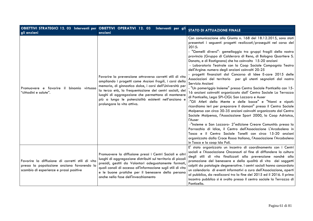| gli anziani                                                                                                                               | OBIETTIVI STRATEGICI 12. 03 Interventi per OBIETTIVI OPERATIVI 12. 03 Interventi per gli<br>anziani                                                                                                                                                                                                                                                                                       | <b>STATO DI ATTUAZIONE FINALE</b>                                                                                                                                                                                                                                                                                                                                                                                                                                                                                                                                                                                                                                                                                                                                                                                                                                                                                                                                                                                                                                                                                                                                                                                                                                                                                                                                                                                        |
|-------------------------------------------------------------------------------------------------------------------------------------------|-------------------------------------------------------------------------------------------------------------------------------------------------------------------------------------------------------------------------------------------------------------------------------------------------------------------------------------------------------------------------------------------|--------------------------------------------------------------------------------------------------------------------------------------------------------------------------------------------------------------------------------------------------------------------------------------------------------------------------------------------------------------------------------------------------------------------------------------------------------------------------------------------------------------------------------------------------------------------------------------------------------------------------------------------------------------------------------------------------------------------------------------------------------------------------------------------------------------------------------------------------------------------------------------------------------------------------------------------------------------------------------------------------------------------------------------------------------------------------------------------------------------------------------------------------------------------------------------------------------------------------------------------------------------------------------------------------------------------------------------------------------------------------------------------------------------------------|
| Promuovere e favorire il binomio virtuoso<br>"cittadini e salute".                                                                        | Favorire la prevenzione attraverso corretti stili di vita<br>ampliando i progetti come Anziani fragili, i corsi della<br>memoria, di ginnastica dolce, i corsi dell'Università per<br>la terza età, la frequentazione dei centri sociali, dei<br>luoghi di aggregazione che permettono di mantenere<br>più a lungo le potenzialità esistenti nell'anziano e<br>prolungare la vita attiva. | Con comunicazione alla Giunta n. 168 del 18.12.2015, sono stati<br>presentati i seguenti progetti realizzati/proseguiti nel corso del<br>2015:<br>- "Gemelli diversi"- gemellaggio tra gruppi fragili della nostra<br>provincia (Gruppo di Calderara di Reno, di Bologna Quartiere S.<br>Donato, e di Rastignano) che ha coinvolto 15-20 anziani<br>- Laboratorio Teatrale con la Coop Sociale Compagnia Teatro<br>dell'Argine: numero degli anziani coinvolti 20-25<br>progetti finanziati dal Concorso di Idee E-care 2015 delle<br>Associazioni del territorio per gli utenti segnalati dal nostro<br>Servizio Anziani<br>- "Un pomeriggio Insieme" presso Centro Sociale Ponticella con 15-<br>16 anziani coinvolti organizzato dall' Centro Sociale La Terrazza<br>di Ponticella, Lega SPI-CIGL San Lazzaro e Auser<br>-"Gli Atleti della Mente e delle bocce" e "Nonni e nipoti:<br>ricordiamo ieri per preparare il domani" presso il Centro Sociale<br>Malpensa con circa 30-35 anziani coinvolti organizzato dal Centro<br>Sociale Malpensa, l'Associazione Sport 2000, la Coop Adriatca,<br>l'Auser<br>-"Insieme a San Lazzaro- 2° edizione Creare Comunità: presso la<br>Parrocchia di Idice, il Centro dell'Associazione L'Arcobaleno in<br>Tasca e il Centro Sociale Tonelli con circa 15-20 anziani<br>organizzato dalla Croce Rossa Italiana, l'Associazione l'Arcobaleno<br>in Tasca e la coop Ida Poli. |
| Favorire la diffusione di corretti stili di vita<br>presso la popolazione anziana favorendo lo<br>scambio di esperienze e prassi positive | Promuovere la diffusione pressi i Centri Sociali e altri<br>luoghi di aggregazione distribuiti sul territorio di piccoli<br>presidi, gestiti da Volontari adeguatamente formati,<br>quali canali di accesso all'informazione sugli stili di vita<br>e le buone pratiche per il benessere della persona<br>anche nella fase dell'invecchiamento                                            | E' stato organizzato un incontro di coordinamento con i Centri<br>sociali e l'Associazione Onconauti al fine di diffondere la cultura<br>degli stili di vita finalizzati alla prevenzione nonché alla<br>promozione del benessere e della qualità di vita dei soggetti<br>colpiti da patologie degenerative. I centri sociali hanno concordato<br>un calendario di eventi informativi a cura dell'Associazione, aperti<br>al pubblico, da realizzarsi tra la fine del 2015 ed il 2016. Il primo<br>incontro pubblico si è svolto presso il centro sociale la Terrazza di<br>Ponticella.                                                                                                                                                                                                                                                                                                                                                                                                                                                                                                                                                                                                                                                                                                                                                                                                                                  |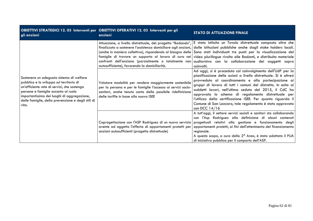| gli anziani                                                                                                                                                                                                                                                                              | OBIETTIVI STRATEGICI 12. 03 Interventi per OBIETTIVI OPERATIVI 12. 03 Interventi per gli<br>anziani                                                                                                                           | <b>STATO DI ATTUAZIONE FINALE</b>                                                                                                                                                                                                                                                                                                                                                                                                                                                                                                                                                 |
|------------------------------------------------------------------------------------------------------------------------------------------------------------------------------------------------------------------------------------------------------------------------------------------|-------------------------------------------------------------------------------------------------------------------------------------------------------------------------------------------------------------------------------|-----------------------------------------------------------------------------------------------------------------------------------------------------------------------------------------------------------------------------------------------------------------------------------------------------------------------------------------------------------------------------------------------------------------------------------------------------------------------------------------------------------------------------------------------------------------------------------|
| Sostenere un adeguato sistema di welfare<br>pubblico e lo sviluppo sul territorio di<br>un'efficiente rete di servizi, che sostenga<br>persone e famiglie accanto al ruolo<br>importantissimo dei luoghi di aggregazione,<br>delle famiglie, della prevenzione e degli stili di<br>vita. | confronti dell'anziano (parzialmente o totalmente non<br>autosufficiente), favorendo la domiciliarità.                                                                                                                        | Attuazione, a livello distrettuale, del progetto "Badando", E stato istituito un Tavolo distrettuale composto oltre che<br>finalizzato a sostenere l'assistenza domiciliare agli anziani, dalle istituzioni pubbliche anche dagli stake holders locali.<br>(anche in maniera collettiva), rispondendo al bisogno delle Sono stati individuati tre punti per la visualizzazione del<br>famiglie di trovare un supporto al lavoro di cura nei video plurilingue rivolto alle Badanti, e distribuito materiale<br>audiovisivo con la collaborazione dei soggetti sopra<br>coinvolti. |
|                                                                                                                                                                                                                                                                                          | Valutare modalità per rendere maggiormente sostenibile<br>per la persona e per le famiglie l'accesso ai servizi socio-<br>sanitari, anche tenuto conto della possibile ridefinizione<br>delle tariffe in base alla nuova ISEE | Ad oggi, si è proceduto col coinvolgimento dell'UdP per la<br>pianificazione delle azioni a livello distrettuale. Si è altresì<br>provveduto al coordinamento e alla partecipazione ai<br>gruppi di lavoro di tutti i comuni del distretto. In esito ai<br>suddetti lavori, nell'ultima seduta del 2015, il CdC ha<br>approvato lo schema di regolamento distrettuale per<br>l'utilizzo della certificazione ISEE. Per quanto riguarda il<br>Comune di San Lazzaro, tale regolamento è stato approvato<br>con DCC $14/16$                                                         |
|                                                                                                                                                                                                                                                                                          | avente ad oggetto l'offerta di appartamenti protetti per<br>anziani autosufficienti (progetto distrettuale)                                                                                                                   | A tutt'oggi, il settore servizi sociali e sanitari sta collaborando<br>con l'Asp Rodriguez alla definizione di alcuni contenuti<br>Coprogettazione con l'ASP Rodriguez di un nuovo servizio progettuali relativi alla gestione e funzionamento degli<br>appartamenti protetti, ai fini dell'ottenimento del finanziamento<br>regionale.<br>A questo scopo, a cura della 2 <sup>^</sup> Area, è stato adottato il PUA<br>di iniziativa pubblica per il comparto dell'ASP.                                                                                                          |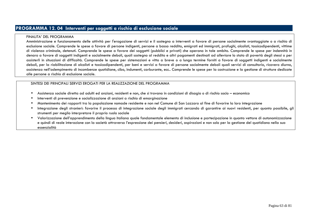## **PROGRAMMA 12. 04 Interventi per soggetti a rischio di esclusione sociale**

### FINALITA' DEL PROGRAMMA

 Amministrazione e funzionamento delle attività per l'erogazione di servizi e il sostegno a interventi a favore di persone socialmente svantaggiate o a rischio di esclusione sociale. Comprende le spese a favore di persone indigenti, persone a basso reddito, emigrati ed immigrati, profughi, alcolisti, tossicodipendenti, vittime di violenza criminale, detenuti. Comprende le spese a favore dei soggetti (pubblici e privati) che operano in tale ambito. Comprende le spese per indennità in denaro a favore di soggetti indigenti e socialmente deboli, quali sostegno al reddito e altri pagamenti destinati ad alleviare lo stato di povertà degli stessi o per assisterli in situazioni di difficoltà. Comprende le spese per sistemazioni e vitto a breve o a lungo termine forniti a favore di soggetti indigenti e socialmente deboli, per la riabilitazione di alcolisti e tossicodipendenti, per beni e servizi a favore di persone socialmente deboli quali servizi di consultorio, ricovero diurno, assistenza nell'adempimento di incombenze quotidiane, cibo, indumenti, carburante, ecc.. Comprende le spese per la costruzione e la gestione di strutture dedicate alle persone a rischio di esclusione sociale.

- •Assistenza sociale diretta ad adulti ed anziani, residenti e non, che si trovano in condizioni di disagio o di rischio socio – economico
- •Interventi di prevenzione e socializzazione di anziani a rischio di emarginazione
- •Mantenimento dei rapporti tra la popolazione nomade residente e non nel Comune di San Lazzaro al fine di favorire la loro integrazione
- • Integrazione degli stranieri: favorire il processo di integrazione sociale degli immigrati cercando di garantire ai nuovi residenti, per quanto possibile, gli strumenti per meglio interpretare il proprio ruolo sociale
- Valorizzazione dell'apprendimento della lingua italiana quale fondamentale elemento di inclusione e partecipazione in quanto vettore di autonomizzazione e quindi di reale interazione con la società attraverso l'espressione dei pensieri, desideri, aspirazioni e non solo per la gestione del quotidiano nella sua essenzialità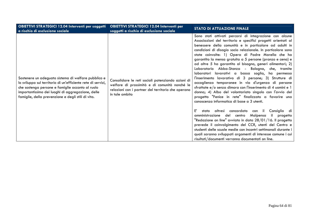| OBIETTIVI STRATEGICI 12.04 Interventi per soggetti<br>a rischio di esclusione sociale                                                                                                                                                                                              | <b>OBIETTIVI STRATEGICI 12.04 Interventi per</b><br>soggetti a rischio di esclusione sociale                                                                               | <b>STATO DI ATTUAZIONE FINALE</b>                                                                                                                                                                                                                                                                                                                                                                                                                                                                                                                                                                                                                                                                                                                                                                                                                                                                                                                                                                                                                                                                                                                                                                                                                                                                                       |
|------------------------------------------------------------------------------------------------------------------------------------------------------------------------------------------------------------------------------------------------------------------------------------|----------------------------------------------------------------------------------------------------------------------------------------------------------------------------|-------------------------------------------------------------------------------------------------------------------------------------------------------------------------------------------------------------------------------------------------------------------------------------------------------------------------------------------------------------------------------------------------------------------------------------------------------------------------------------------------------------------------------------------------------------------------------------------------------------------------------------------------------------------------------------------------------------------------------------------------------------------------------------------------------------------------------------------------------------------------------------------------------------------------------------------------------------------------------------------------------------------------------------------------------------------------------------------------------------------------------------------------------------------------------------------------------------------------------------------------------------------------------------------------------------------------|
| Sostenere un adeguato sistema di welfare pubblico e<br>lo sviluppo sul territorio di un'efficiente rete di servizi,<br>che sostenga persone e famiglie accanto al ruolo<br>importantissimo dei luoghi di aggregazione, delle<br>famiglie, della prevenzione e degli stili di vita. | Consolidare le reti sociali potenziando azioni di<br>welfare di prossimità e di comunità nonché le<br>relazioni con i partner del territorio che operano<br>in tale ambito | Sono stati attivati percorsi di integrazione con alcune<br>Associazioni del territorio e specifici progetti orientati al<br>benessere della comunità e in particolare ad adulti in<br>condizioni di disagio socio relazionale. In particolare sono<br>state coinvolte: 1) Opera di Padre Marella che ha<br>garantito la mensa gratuita a 5 persone (pranzo e cena) e<br>ad altre 5 ha garantito al bisogno, generi alimentari; 2)<br>Laboratorio Abba-Stanza - Bologna, che, tramite<br>laboratori lavorativi a bassa soglia, ha permesso<br>l'inserimento lavorativo di 3 persone; 3) Strutture di<br>accoglienza temporanee in via d'urgenza di persone<br>sfrattate e/o senza dimora con l'inserimento di 4 uomini e 1<br>donna; 4) Albo del volontariato singolo con l'avvio del<br>progetto "Fenice in rete" finalizzato a favorire una<br>conoscenza informatica di base a 3 utenti.<br>E'<br>stato altresì concordato con il<br>Consiglio di<br>amministrazione del centro Malpensa il<br>progetto<br>"Redazione on line" avviato in data 28/01/16. Il progetto<br>prevede il coinvolgimento del CCR, utenti del Centro e<br>studenti delle scuole medie con incontri settimanali durante i<br>quali saranno sviluppati argomenti di interesse comune i cui<br>risultati/documenti verranno documentati on line. |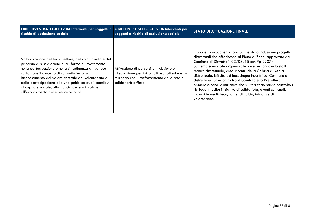| OBIETTIVI STRATEGICI 12.04 Interventi per soggetti a OBIETTIVI STRATEGICI 12.04 Interventi per<br>rischio di esclusione sociale                                                                                                                                                                                                                                                                                                                     | soggetti a rischio di esclusione sociale                                                                                                                            | <b>STATO DI ATTUAZIONE FINALE</b>                                                                                                                                                                                                                                                                                                                                                                                                                                                                                                                                                                                                                             |
|-----------------------------------------------------------------------------------------------------------------------------------------------------------------------------------------------------------------------------------------------------------------------------------------------------------------------------------------------------------------------------------------------------------------------------------------------------|---------------------------------------------------------------------------------------------------------------------------------------------------------------------|---------------------------------------------------------------------------------------------------------------------------------------------------------------------------------------------------------------------------------------------------------------------------------------------------------------------------------------------------------------------------------------------------------------------------------------------------------------------------------------------------------------------------------------------------------------------------------------------------------------------------------------------------------------|
| Valorizzazione del terzo settore, del volontariato e del<br>principio di sussidiarietà quali forme di investimento<br>nella partecipazione e nella cittadinanza attiva, per<br>rafforzare il concetto di comunità inclusiva.<br>Riconoscimento del valore centrale del volontariato e<br>della partecipazione alla vita pubblica quali contributi<br>al capitale sociale, alla fiducia generalizzata e<br>all'arricchimento delle reti relazionali. | Attivazione di percorsi di inclusione e<br>integrazione per i rifugiati ospitati sul nostro<br>territorio con il rafforzamento della rete di<br>solidarietà diffusa | Il progetto accoglienza profughi è stato incluso nei progetti<br>distrettuali che afferiscono al Piano di Zona, approvato dal<br>Comitato di Distretto il 03/08/15 con Pg 29374.<br>Sul tema sono state organizzate nove riunioni con lo staff<br>tecnico distrettuale, dieci incontri della Cabina di Regia<br>distrettuale, istituita ad hoc, cinque incontri col Comitato di<br>distretto ed un incontro tra il Comitato e la Prefettura.<br>Numerose sono le iniziative che sul territorio hanno coinvolto i<br>richiedenti asilo: iniziative di solidarietà, eventi comunali,<br>incontri in mediateca, tornei di calcio, iniziative di<br>volontariato. |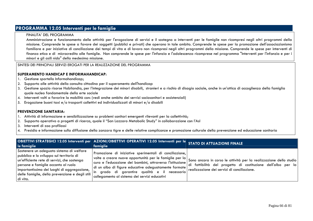## **PROGRAMMA 12.05 Interventi per le famiglie**

### FINALITA' DEL PROGRAMMA

 Amministrazione e funzionamento delle attività per l'erogazione di servizi e il sostegno a interventi per le famiglie non ricompresi negli altri programmi della missione. Comprende le spese a favore dei soggetti (pubblici e privati) che operano in tale ambito. Comprende le spese per la promozione dell'associazionismo familiare e per iniziative di conciliazione dei tempi di vita e di lavoro non ricompresi negli altri programmi della missione. Comprende le spese per interventi di finanza etica e di microcredito alle famiglie. Non comprende le spese per l'infanzia e l'adolescenza ricomprese nel programma "Interventi per l'infanzia e per i minori e gli asili nido" della medesima missione.

### SINTESI DEI PRINCIPALI SERVIZI EROGATI PER LA REALIZZAZIONE DEL PROGRAMMA

### **SUPERAMENTO HANDICAP E INFORMAHANDICAP:**

- 1.Gestione sportello Informahandicap;
- Supporto alle attività della consulta cittadina per il superamento dell'handicap 2.
- Gestione spazio risorse Habilandia, per l'integrazione dei minori disabili, stranieri e a rischio di disagio sociale, anche in un'ottica di accoglienza della famiglia 3.quale nucleo fondamentale della erte sociale
- . Interventi volti a favorire la mobilità con: (vedi anche ambito dei servizi sociosanitari e assistenziali) 4.
- 5.Erogazione buoni taxi e/o trasporti collettivi ed individualizzati di minori e/o disabili

#### **PREVENZIONE SANITARIA:**

- 1. Attività di informazione e sensibilizzazione su problemi sanitari emergenti rilevanti per la collettività;
- Supporto operativo a progetti di ricerca, quale il "San Lazzaro Metabolic Study" in collaborazione con l'Asl 2.
- 3.Interventi di zoo profilassi
- 4. Presidio e informazione sulla diffusione della zanzara tigre e delle relative complicanze e promozione culturale della prevenzione ed educazione sanitaria

| le famiglie                                                                                                                                                                                                                                                                              | OBIETTIVI STRATEGICI 12.05 Interventi per AZIONI/OBIETTIVI OPERATIVI 12.05 Interventi per le<br>famiglie                                                                                                                                                                                                                                  | <b>STATO DI ATTUAZIONE FINALE</b>                                                                                                                                                   |
|------------------------------------------------------------------------------------------------------------------------------------------------------------------------------------------------------------------------------------------------------------------------------------------|-------------------------------------------------------------------------------------------------------------------------------------------------------------------------------------------------------------------------------------------------------------------------------------------------------------------------------------------|-------------------------------------------------------------------------------------------------------------------------------------------------------------------------------------|
| Sostenere un adeguato sistema di welfare<br>pubblico e lo sviluppo sul territorio di<br>un'efficiente rete di servizi, che sostenga<br>persone e famiglie accanto al ruolo<br>importantissimo dei luoghi di aggregazione,<br>delle famiglie, della prevenzione e degli stili<br>di vita. | Promozione di iniziative sperimentali di conciliazione,<br>volte a creare nuove opportunità per le famiglie per la<br>cura e l'educazione dei bambini, attraverso l'istituzione<br>di un albo di figure educative adeguatamente formate<br>In grado di garantire qualità e il necessario<br>collegamento al sistema dei servizi educativi | Sono ancora in corso le attività per la realizzazione dello studio  <br>di fattibilità del progetto di costituzione dell'albo per la<br>realizzazione dei servizi di conciliazione. |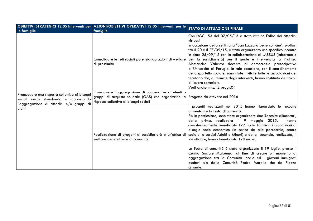|                                                     | OBIETTIVI STRATEGICI 12.05 Interventi per AZIONI/OBIETTIVI OPERATIVI 12.05 Interventi per le                                 | <b>STATO DI ATTUAZIONE FINALE</b>                                                                                                                                                                                                                                                                                                                                                                                                                                                                                                                                                                                                                                                                                                                             |  |
|-----------------------------------------------------|------------------------------------------------------------------------------------------------------------------------------|---------------------------------------------------------------------------------------------------------------------------------------------------------------------------------------------------------------------------------------------------------------------------------------------------------------------------------------------------------------------------------------------------------------------------------------------------------------------------------------------------------------------------------------------------------------------------------------------------------------------------------------------------------------------------------------------------------------------------------------------------------------|--|
| le famiglie                                         | famiglie                                                                                                                     |                                                                                                                                                                                                                                                                                                                                                                                                                                                                                                                                                                                                                                                                                                                                                               |  |
|                                                     | Consolidare le reti sociali potenziando azioni di welfare<br>di prossimità                                                   | Con DGC 53 del 07/05/15 è stato istituito l'albo dei cittadini<br>virtuosi.<br>In occasione della settimana "San Lazzaro bene comune", svoltasi  <br>tra il 20 e il 27/09/15, è stato organizzato uno specifico incontro<br>in data 25/09/15 con la collaborazione di LABSUS (laboratorio<br>per la sussidiarietà) per il quale è intervenuta la Prof.ssa<br>Alessandra Valastro docente di democrazia partecipativa<br>all'Università di Perugia. In tale occasione, con il coordinamento<br>dello sportello sociale, sono state invitate tutte le associazioni del<br>territorio che, al termine degli interventi, hanno costituito dei tavoli  <br>di lavoro settoriale.<br>Vedi anche miss.12 progr.04                                                    |  |
| Promuovere una risposta collettiva ai bisogni       | Promuovere l'aggregazione di cooperative di utenti o                                                                         |                                                                                                                                                                                                                                                                                                                                                                                                                                                                                                                                                                                                                                                                                                                                                               |  |
| sociali anche stimolando e supportando              | gruppi di acquisto solidale (GAS) che organizzino la Progetto da attivare nel 2016<br>risposta collettiva ai bisogni sociali |                                                                                                                                                                                                                                                                                                                                                                                                                                                                                                                                                                                                                                                                                                                                                               |  |
| l'aggregazione di cittadini e/o gruppi di<br>utenti | Realizzazione di progetti di sussidiarietà in un'ottica di<br>welfare generativo e di comunità                               | progetti realizzati nel 2015 hanno riguardato le raccolte<br>alimentari e la festa di comunità.<br>Più in particolare, sono state organizzate due Raccolte alimentari;<br>della prima, realizzata il 9 maggio 2015,<br>hanno<br>complessivamente beneficiato 177 nuclei familiari in condizioni di<br>disagio socio economico (in carico sia alle parrocchie, centro<br>sociale e servizi Adulti e Minori) e della seconda, realizzata, il<br>24 ottobre, hanno beneficiato 179 nuclei.<br>La Festa di comunità è stata organizzata il 19 luglio, presso il<br>Centro Sociale Malpensa, al fine di creare un momento di<br>aggregazione tra la Comunità locale ed i giovani immigrati  <br>ospitati sia dalla Comunità Padre Marella che da Piazza<br>Grande. |  |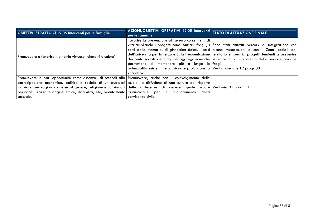| <b>OBIETTIVI STRATEGICI 12.05 Interventi per le famiglie</b>                                                                                                                                                                                                                                                                                                                                                                                                                         | AZIONI/OBIETTIVI OPERATIVI 12.05 Interventi STATO DI ATTUAZIONE FINALE<br>per le famiglie                                                                                                                    |                                                                                                                                                                                                                                                                                                                                                                                                                            |
|--------------------------------------------------------------------------------------------------------------------------------------------------------------------------------------------------------------------------------------------------------------------------------------------------------------------------------------------------------------------------------------------------------------------------------------------------------------------------------------|--------------------------------------------------------------------------------------------------------------------------------------------------------------------------------------------------------------|----------------------------------------------------------------------------------------------------------------------------------------------------------------------------------------------------------------------------------------------------------------------------------------------------------------------------------------------------------------------------------------------------------------------------|
| l Promuovere e favorire il binomio virtuoso "cittadini e salute".                                                                                                                                                                                                                                                                                                                                                                                                                    | Favorire la prevenzione attraverso corretti stili di  <br>permettono di mantenere più a lungo le fragili.<br>potenzialità esistenti nell'anziano e prolungare la Vedi anche miss 12 progr 03<br>vita attiva. | vita ampliando i progetti come Anziani fragili, i Sono stati attivati percorsi di integrazione con<br>corsi della memoria, di ginnastica dolce, i corsi alcune Associazioni e con i Centri sociali del<br>dell'Università per la terza età, la frequentazione territorio e specifici progetti tendenti a prevenire<br>dei centri sociali, dei luoghi di aggregazione che le situazioni di isolamento delle persone anziane |
| Promuovere le pari opportunità come assenza di ostacoli alla Promuovere, anche con il coinvolgimento delle<br>partecipazione economica, politica e sociale di un qualsiasi scuole, la diffusione di una cultura del rispetto<br>individuo per ragioni connesse al genere, religione e convinzioni delle differenze di genere, quale valore Vedimiss 01 progr 11<br>personali, razza e origine etnica, disabilità, età, orientamento irrinunciabile per il miglioramento<br>sessuale. | della l<br>l convivenza civile                                                                                                                                                                               |                                                                                                                                                                                                                                                                                                                                                                                                                            |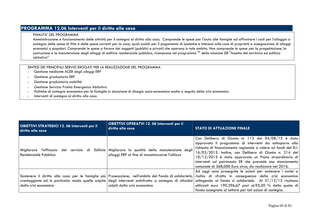# **PROGRAMMA 12.06 Interventi per il diritto alla casa**

#### FINALITA' DEL PROGRAMMA

 Amministrazione e funzionamento delle attività per il sostegno al diritto alla casa. Comprende le spese per l'aiuto alle famiglie ad affrontare i costi per l'alloggio a sostegno delle spese di fitto e delle spese correnti per la casa, quali sussidi per il pagamento di ipoteche e interessi sulle case di proprietà e assegnazione di alloggi economici o popolari. Comprende le spese a favore dei soggetti (pubblici e privati) che operano in tale ambito. Non comprende le spese per la progettazione, la costruzione e la manutenzione degli alloggi di edilizia residenziale pubblica, ricomprese nel programma "" della missione 08 "Assetto del territorio ed edilizia abitativa"

- -Gestione mediante ACER degli alloggi ERP
- Gestione graduatoria ERP
- Gestione graduatoria mobilità
- Gestione Servizio Pronta Emergenza Abitativa
- Politiche di sostegno economico per le famiglie in situazione di disagio socio-economico anche a seguito della crisi economica
- Interventi di sostegno al diritto alla casa

| <b>OBIETTIVI STRATEGICI 12. 06 Interventi per il</b><br>diritto alla casa | <b>OBIETTIVI OPERATVI 12. 06 Interventi per il</b><br>diritto alla casa                                                | <b>STATO DI ATTUAZIONE FINALE</b>                                                                                                                                                                                                                                                                                                                                                                                                                                                                                        |
|---------------------------------------------------------------------------|------------------------------------------------------------------------------------------------------------------------|--------------------------------------------------------------------------------------------------------------------------------------------------------------------------------------------------------------------------------------------------------------------------------------------------------------------------------------------------------------------------------------------------------------------------------------------------------------------------------------------------------------------------|
| Migliorare l'efficacia del<br>Residenziale Pubblica                       | servizio di Edilizia Migliorare la qualità della manutenzione degli<br>alloggi ERP al fine di massimizzarne l'utilizzo | Con Delibera di Giunta nr 113 del 04/08/15 è stato<br>approvato il programma di interventi da sottoporre alla<br>richiesta di finanziamento regionale a valere sui fondi del D.I.<br>16/03/2015. Inoltre, con Delibera di Giunta n. 214 del<br>10/12/2015 è stato approvato un Piano straordinario di<br>interventi sul patrimonio ER che prevede uno stanziamento<br>comunale di 368,000 Euro circa, da realizzare nel 2016.                                                                                            |
| dalla crisi economica                                                     | colpiti dalla crisi economica                                                                                          | Ad oggi sono proseguite le azioni per sostenere i nuclei a<br>Sostenere il diritto alla casa per le famiglie più Prosecuzione, nell'ambito del Fondo di solidarietà, rischio di sfratto in conseguenza della crisi economica<br>svantaggiate ed in particolar modo quelle colpite degli interventi antisfratto a sostegno di cittadini attingendo al fondo si solidarietà. Al 31/12/15 risultano<br>utilizzati euro 190.396,67 pari al.95,20 % della quota di<br>fondo assegnato al settore per tali azioni di sostegno. |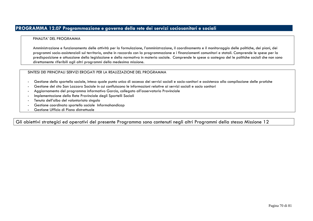#### FINALITA' DEL PROGRAMMA

Amministrazione e funzionamento delle attività per la formulazione, l'amministrazione, il coordinamento e il monitoraggio delle politiche, dei piani, deiprogrammi socio-assistenziali sul territorio, anche in raccordo con la programmazione e i finanziamenti comunitari e statali. Comprende le spese per la predisposizione e attuazione della legislazione e della normativa in materia sociale. Comprende le spese a sostegno del le politiche sociali che non sono direttamente riferibili agli altri programmi della medesima missione.

### SINTESI DEI PRINCIPALI SERVIZI EROGATI PER LA REALIZZAZIONE DEL PROGRAMMA

- Gestione dello sportello sociale, inteso quale punto unico di accesso dei servizi sociali e socio-sanitari e assistenza alla compilazione delle pratiche
- Gestione del sito San Lazzaro Sociale in cui confluiscono le informazioni relative ai servizi sociali e socio sanitari
- Aggiornamento del programma informativo Garcia, collegato all'osservatorio Provinciale
- Implementazione della Rete Provinciale degli Sportelli Sociali
- Tenuta dell'albo del volontariato singolo
- Gestione coordinata sportello sociale Informahandicap
- Gestione Ufficio di Piano distrettuale

### Gli obiettivi strategici ed operativi del presente Programma sono contenuti negli altri Programmi della stessa Missione 12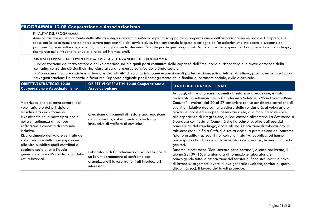# **PROGRAMMA 12.08 Cooperazione e Associazionismo**

#### FINALITA' DEL PROGRAMMA

 Amministrazione e funzionamento delle attività e degli interventi a sostegno e per lo sviluppo della cooperazione e dell'associazionismo nel sociale. Comprende le spese per la valorizzazione del terzo settore (non profit) e del servizio civile. Non comprende le spese a sostegno dell'associazionismo che opera a supporto dei programmi precedenti e che, come tali, figurano già come trasferimenti "a sostegno" in quei programmi. Non comprende le spese per la cooperazione allo sviluppo, ricomprese nella missione relativa alle relazioni internazionali.

### SINTESI DEI PRINCIPALI SERVIZI EROGATI PER LA REALIZZAZIONE DEL PROGRAMMA

 - Valorizzazione del terzo settore e del volontariato sociale quali parti costitutive della capacità dell'Ente locale di rispondere alle nuove domande della comunità, senza che ciò significhi rinunciare al carattere universalistico dello Stato sociale

 - Riconoscere il valore sociale e la funzione dell´attività di volontariato come espressione di partecipazione, solidarietà e pluralismo, promuoverne lo sviluppo salvaguardandone l´autonomia e favorirne l´apporto originale per il conseguimento delle finalità di carattere sociale, civile e culturale.

| <b>OBIETTIVI STRATEGICI 12.08</b><br>Cooperazione e Associazionismo                                                                                                                                                                                                                                                                                                                                                                                                | <b>OBIETTIVI OPERATIVI 12.08 Cooperazione e</b><br>Associazionismo                                                                                           | <b>STATO DI ATTUAZIONE FINALE</b>                                                                                                                                                                                                                                                                                                                                                                                                                                                                                                                                                                                                                                                                                                                                                                                                                                                          |
|--------------------------------------------------------------------------------------------------------------------------------------------------------------------------------------------------------------------------------------------------------------------------------------------------------------------------------------------------------------------------------------------------------------------------------------------------------------------|--------------------------------------------------------------------------------------------------------------------------------------------------------------|--------------------------------------------------------------------------------------------------------------------------------------------------------------------------------------------------------------------------------------------------------------------------------------------------------------------------------------------------------------------------------------------------------------------------------------------------------------------------------------------------------------------------------------------------------------------------------------------------------------------------------------------------------------------------------------------------------------------------------------------------------------------------------------------------------------------------------------------------------------------------------------------|
| Valorizzazione del terzo settore, del<br>volontariato e del principio di<br>sussidiarietà quali forme di<br>investimento nella partecipazione e<br>nella cittadinanza attiva, per<br>rafforzare il concetto di comunità<br>inclusiva.<br>Riconoscimento del valore centrale del<br>volontariato e della partecipazione<br>alla vita pubblica quali contributi al<br>capitale sociale, alla fiducia<br>generalizzata e all'arricchimento delle<br>reti relazionali. | Creazione di momenti di festa e aggregazione<br>della comunità, valorizzando anche forme<br>innovative di welfare di comunità                                | Ad oggi, al fine di creare momenti di festa e aggregazione, è stata<br>realizzata la settimana della Cittadinanza Solidale - "San Lazzaro Bene<br>Comune" - svoltasi dal 20 al 27 settembre con un consistente cartellone di<br>eventi e iniziative dedicati alla cultura della solidarietà, al volontariato<br>giovanile locale ed europeo, al servizio civile, alla mobilità sostenibile,<br>alle esperienze di integrazione, all'educazione alimentare. La Settimana si<br>è conclusa con Festa di Comunità che ha coinvolto, oltre agli esercizi<br>commerciali del capoluogo, anche alcune Associazioni di volontariato. In<br>tale occasione, in Sala Città, si è svolta anche la premiazione del concorso<br>"piatto gradito - spreco finito" con una iniziativa pubblica, cui hanno<br>partecipato i bambini della classi vincitrici del concorso, le insegnanti ed i<br>genitori. |
|                                                                                                                                                                                                                                                                                                                                                                                                                                                                    | Laboratorio di Cittadinanza attiva: creazione di<br>un forum permanente di confronto per<br>organizzare il lavoro tra tutti gli interlocutori<br>interessati | Durante la settimana "San Lazzaro bene comune", è stata realizzata, il<br>giorno 25/09/15, una giornata di formazione laboratoriale<br>coinvolgendo tutte le associazioni del territorio. Sono stati costituiti tavoli<br>di lavoro su argomenti aventi rilievo generale (welfare, territorio, sport,<br>disabilità, ecc). Il lavoro dei tavoli prosegue.                                                                                                                                                                                                                                                                                                                                                                                                                                                                                                                                  |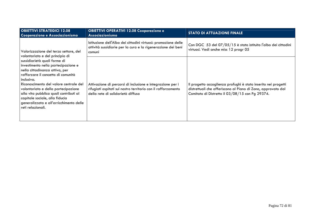| <b>OBIETTIVI STRATEGICI 12.08</b><br>Cooperazione e Associazionismo                                                                                                                                                                                                                                                                                                                                                                                                | <b>OBIETTIVI OPERATIVI 12.08 Cooperazione e</b><br>Associazionismo                                                                                               | <b>STATO DI ATTUAZIONE FINALE</b>                                                                                                                                                 |
|--------------------------------------------------------------------------------------------------------------------------------------------------------------------------------------------------------------------------------------------------------------------------------------------------------------------------------------------------------------------------------------------------------------------------------------------------------------------|------------------------------------------------------------------------------------------------------------------------------------------------------------------|-----------------------------------------------------------------------------------------------------------------------------------------------------------------------------------|
| Valorizzazione del terzo settore, del<br>volontariato e del principio di<br>sussidiarietà quali forme di<br>investimento nella partecipazione e<br>nella cittadinanza attiva, per<br>rafforzare il concetto di comunità<br>inclusiva.<br>Riconoscimento del valore centrale del<br>volontariato e della partecipazione<br>alla vita pubblica quali contributi al<br>capitale sociale, alla fiducia<br>generalizzata e all'arricchimento delle<br>reti relazionali. | Istituzione dell'Albo dei cittadini virtuosi: promozione delle<br>attività sussidiarie per la cura e la rigenerazione dei beni<br>comuni                         | Con DGC 53 del 07/05/15 è stato istituito l'albo dei cittadini<br>virtuosi. Vedi anche miss 12 progr 05                                                                           |
|                                                                                                                                                                                                                                                                                                                                                                                                                                                                    | Attivazione di percorsi di inclusione e integrazione per i<br>rifugiati ospitati sul nostro territorio con il rafforzamento<br>della rete di solidarietà diffusa | Il progetto accoglienza profughi è stato inserito nei progetti<br>distrettuali che afferiscono al Piano di Zona, approvato dal<br>Comitato di Distretto il 03/08/15 con Pg 29374. |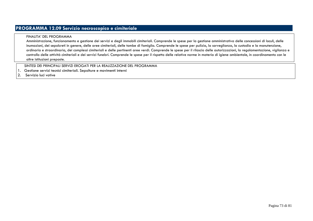# **PROGRAMMA 12.09 Servizio necroscopico e cimiteriale**

### FINALITA' DEL PROGRAMMA

 Amministrazione, funzionamento e gestione dei servizi e degli immobili cimiteriali. Comprende le spese per la gestione amministrativa delle concessioni di loculi, delle inumazioni, dei sepolcreti in genere, delle aree cimiteriali, delle tombe di famiglia. Comprende le spese per pulizia, la sorveglianza, la custodia e la manutenzione, ordinaria e straordinaria, dei complessi cimiteriali e delle pertinenti aree verdi. Comprende le spese per il rilascio delle autorizzazioni, la regolamentazione, vigilanza e controllo delle attività cimiteriali e dei servizi funebri. Comprende le spese per il rispetto delle relative norme in materia di igiene ambientale, in coordinamento con le altre istituzioni preposte.

### SINTESI DEI PRINCIPALI SERVIZI EROGATI PER LA REALIZZAZIONE DEL PROGRAMMA

- 1. Gestione servizi tecnici cimiteriali. Sepolture e movimenti interni
- 2. Servizio luci votive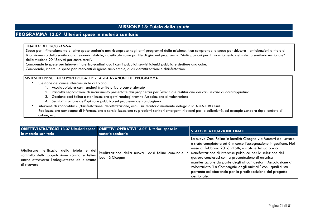## **MISSIONE 13: Tutela della salute**

### **PROGRAMMA 13.07 Ulteriori spese in materia sanitaria**

#### FINALITA' DEL PROGRAMMA

 Spese per il finanziamento di altre spese sanitarie non ricomprese negli altri programmi della missione. Non comprende le spese per chiusura - anticipazioni a titolo di finanziamento della sanità dalla tesoreria statale, classificate come partite di giro nel programma "Anticipazioni per il finanziamento del sistema sanitario nazionale" della missione 99 "Servizi per conto terzi".

Comprende le spese per interventi igienico-sanitari quali canili pubblici, servizi igienici pubblici e strutture analoghe.

Comprende, inoltre, le spese per interventi di igiene ambientale, quali derattizzazioni e disinfestazioni.

### SINTESI DEI PRINCIPALI SERVIZI EROGATI PER LA REALIZZAZIONE DEL PROGRAMMA

- • Gestione del canile intercomunale di Loiano
	- 1. Accalappiatura cani randagi tramite privato convenzionato
	- 2. Raccolta segnalazioni di smarrimento presentate dai proprietari per l'eventuale restituzione dei cani in caso di accalappiatura
	- 3. Gestione oasi felina e sterilizzazione gatti randagi tramite Associazione di volontariato
	- 4. Sensibilizzazione dell'opinione pubblica sul problema del randagismo
- •Interventi di zooprofilassi (disinfestazione, derattizzazione, ecc...) sul territorio mediante delega alla A.U.S.L. BO Sud
- Realizzazione campagne di informazione e sensibilizzazione su problemi sanitari emergenti rilevanti per la collettività, ad esempio zanzara tigre, ondate di calore, ecc…

| <b>OBIETTIVI STRATEGICI 13.07 Ulteriori spese       OBIETTIVI OPERATIVI 13.07 Ulteriori spese in</b><br>in materia sanitaria                                | materia sanitaria | <b>STATO DI ATTUAZIONE FINALE</b>                                                                                                                                                                                                                                                                                                                                                                                                                                                                                                                                                 |
|-------------------------------------------------------------------------------------------------------------------------------------------------------------|-------------------|-----------------------------------------------------------------------------------------------------------------------------------------------------------------------------------------------------------------------------------------------------------------------------------------------------------------------------------------------------------------------------------------------------------------------------------------------------------------------------------------------------------------------------------------------------------------------------------|
| l'efficacia della tutela e del <br>Migliorare<br>controllo della popolazione canina e felina<br>anche attraverso l'adeguatezza delle strutte<br>di ricovero | località Cicogna  | La nuova Oasi Felina in località Cicogna via Maestri del Lavoro<br>è stata completata ed è in corso l'assegnazione in gestione. Nel<br>mese di febbraio 2016 infatti, è stata effettuata una<br>Realizzazione della nuova oasi felina comunale in manifestazione di interesse pubblica per la selezione del<br>gestore conclusasi con la presentazione di un'unica<br>manifestazione da parte degli attuali gestori l'Associazione di<br>volontariato "La Compagnia degli animali" con i quali si sta<br>pertanto collaborando per la predisposizione del progetto<br>gestionale. |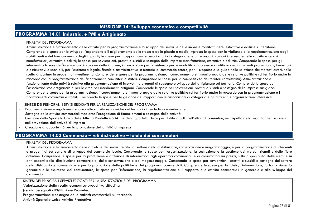## **MISSIONE 14: Sviluppo economico e competitività**

## **PROGRAMMA 14.01 Industria, e PMI e Artigianato**

#### FINALITA' DEL PROGRAMMA

Amministrazione e funzionamento delle attività per la programmazione e lo sviluppo dei servizi e delle imprese manifatturiere, estrattive e edilizie sul territorio. Comprende le spese per lo sviluppo, l'espansione o il miglioramento delle stesse e delle piccole e medie imprese; le spese per la vigilanza e la regolamentazione degli stabilimenti e del funzionamento degli impianti; le spese per i rapporti con le associazioni di categoria e le altre organizzazioni interessate nelle attività e servizi manifatturieri, estrattivi e edilizi; le spese per sovvenzioni, prestiti o sussidi a sostegno delle imprese manifatturiere, estrattive e edilizie. Comprende le spese per gli interventi a favore dell'internazionalizzazione delle imprese, in particolare per l'assistenza per le modalità di accesso e di utilizzo degli strumenti promozionali, finanziari e assicurativi disponibili, per l'assistenza legale, fiscale e amministrativa in materia di commercio estero, per il supporto e la guida nella selezione dei mercati esteri, nella scelta di partner in progetti di investimento. Comprende le spese per la programmazione, il coordinamento e il monitoraggio delle relative politiche sul territorio anche in raccordo con la programmazione dei finanziamenti comunitari e statali. Comprende le spese per la competitività dei territori (attrattività). Amministrazione e funzionamento delle attività relative alla programmazione di interventi e progetti di sostegno e sviluppo dell'artigianato sul territorio. Comprende le spese per l'associazionismo artigianale e per le aree per insediamenti artigiani. Comprende le spese per sovvenzioni, prestiti o sussidi a sostegno delle imprese artigiane. Comprende le spese per la programmazione, il coordinamento e il monitoraggio delle relative politiche sul territorio anche in raccordo con la programmazione e i finanziamenti comunitari e statali. Comprende le spese per la gestione dei rapporti con le associazioni di categoria e gli altri enti e organizzazioni interessati.

### SINTESI DEI PRINCIPALI SERVIZI EROGATI PER LA REALIZZAZIONE DEL PROGRAMMA

- Programmazione e regolamentazione delle attività economiche del territorio in sede fissa e ambulante -
- -Sostegno delle attività commerciali mediante l'erogazione di finanziamenti a sostegno delle attività
- -Gestione dello Sportello Unico delle Attività Produttive SUAP) e dello Sportello Unico per l'Edilizia SUE, nell'ottica di consentire, nel rispetto della legalità, iter più snelli nell'attivazione dell'attività di impresa
- Creazione di opportunità per la promozione dell'attività di impresa -

## **PROGRAMMA 14.02 Commercio – reti distributive – tutela dei consumatori**

#### FINALITA' DEL PROGRAMMA

Amministrazione e funzionamento delle attività e dei servizi relativi al settore della distribuzione, conservazione e magazzinaggio, e per la programmazione di interventi e progetti di sostegno e di sviluppo del commercio locale. Comprende le spese per l'organizzazione, la costruzione e la gestione dei mercati rionali e delle fiere cittadine. Comprende le spese per la produzione e diffusione di informazioni agli operatori commerciali e ai consumatori sui prezzi, sulla disponibilità delle merci e su altri aspetti della distribuzione commerciale, della conservazione e del magazzinaggio. Comprende le spese per sovvenzioni, prestiti o sussidi a sostegno del settore della distribuzione commerciale e per la promozione delle politiche e dei programmi commerciali. Comprende le spese per la tutela, l'informazione, la formazione, la garanzia e la sicurezza del consumatore; le spese per l'informazione, la regolamentazione e il supporto alle attività commerciali in generale e allo sviluppo del commercio.

SINTESI DEI PRINCIPALI SERVIZI EROGATI PER LA REALIZZAZIONE DEL PROGRAMMA

Valorizzazione della realtà economico-produttiva cittadina

(servizi assegnati all'Istituzione Prometeo)

Programmazione e sostegno delle attività commerciali sul territorio

Attività Sportello Unico Attività Produttive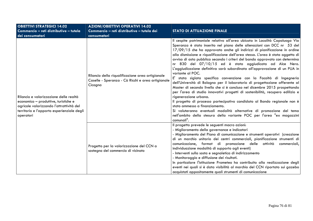| <b>OBIETTIVI STRATEGICI 14.02</b>                                                                                                                                                     | <b>AZIONI/OBIETTIVI OPERATIVI 14.02</b>                                                                          |                                                                                                                                                                                                                                                                                                                                                                                                                                                                                                                                                                                                                                                                                                                                                                                                                                                                                                                                                                                                                                                                                                                                                                                                 |
|---------------------------------------------------------------------------------------------------------------------------------------------------------------------------------------|------------------------------------------------------------------------------------------------------------------|-------------------------------------------------------------------------------------------------------------------------------------------------------------------------------------------------------------------------------------------------------------------------------------------------------------------------------------------------------------------------------------------------------------------------------------------------------------------------------------------------------------------------------------------------------------------------------------------------------------------------------------------------------------------------------------------------------------------------------------------------------------------------------------------------------------------------------------------------------------------------------------------------------------------------------------------------------------------------------------------------------------------------------------------------------------------------------------------------------------------------------------------------------------------------------------------------|
| Commercio - reti distributive - tutela                                                                                                                                                | Commercio - reti distributive - tutela dei                                                                       | <b>STATO DI ATTUAZIONE FINALE</b>                                                                                                                                                                                                                                                                                                                                                                                                                                                                                                                                                                                                                                                                                                                                                                                                                                                                                                                                                                                                                                                                                                                                                               |
| dei consumatori                                                                                                                                                                       | consumatori                                                                                                      |                                                                                                                                                                                                                                                                                                                                                                                                                                                                                                                                                                                                                                                                                                                                                                                                                                                                                                                                                                                                                                                                                                                                                                                                 |
| Rilancio e valorizzazione delle realtà<br>economico - produttive, turistiche e<br>agricole valorizzando l'attrattività del<br>territorio e l'apporto esperienziale degli<br>operatori | Rilancio della riqualificazione area artigianale<br>Caselle - Speranza - Cà Ricchi e area artigianale<br>Cicogna | Il cespite patrimoniale relativo all'area ubicata in Località Capoluogo Via<br>Speranza è stato inserito nel piano delle alienazioni con DCC nr 53 del<br>17/09/15 che ha approvato anche gli indirizzi di pianificazione in ordine<br>alla dismissione e riqualificazione dell'area stessa. L'area è stata oggetto di<br>avviso di asta pubblica secondo i criteri del bando approvato con determina<br>nr 830 del 07/10/15 ed è stata aggiudicata ad Alce Nero.<br>L'aggiudicazione definitiva sarà subordinata all'approvazione di un PUA in<br>variante al POC.<br>E' stata siglata specifica convenzione con la Facoltà di Ingegneria<br>dell'Università di Bologna per il laboratorio di progettazione afferente al<br>Master di secondo livello che si è concluso nel dicembre 2015 prospettando<br>per l'area di studio innovativi progetti di sostenibilità, recupero edilizio e<br>rigenerazione urbana.<br>Il progetto di processo partecipativo candidato al Bando regionale non è<br>stato ammesso a finanziamento.<br>Si valuteranno eventuali modalità alternative di promozione del tema<br>nell'ambito della stesura della variante POC per l'area "ex magazzini<br>comunali". |
|                                                                                                                                                                                       | Progetto per la valorizzazione del CCN a<br>sostegno del commercio di vicinato                                   | Il progetto prevede le seguenti macro azioni:<br>- Miglioramento della governance e indicatori<br>- Miglioramento del Piano di comunicazione e strumenti operativi (creazione<br>di un marchio unitario dei centri commerciali, pianificazione strumenti di<br>comunicazione, format di promozione delle attività commerciali,<br>individuazione modalità di supporto agli eventi)<br>Interventi sulla sosta e segnaletica di indirizzamento<br>- Monitoraggio e diffusione dei risultati.<br>In particolare l'istituzione Prometeo ha contribuito alla realizzazione degli<br>eventi nei quali si è data visibilità al marchio del CCN riportato sui gazebo<br>acquistati appositamente quali strumenti di comunicazione                                                                                                                                                                                                                                                                                                                                                                                                                                                                       |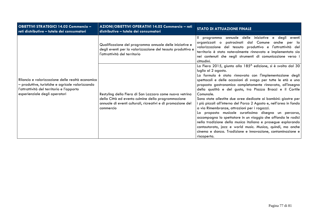| <b>OBIETTIVI STRATEGICI 14.02 Commercio -</b><br>reti distributive - tutela dei consumatori                                                                                        | AZIONI/OBIETTIVI OPERATIVI 14.02 Commercio - reti<br>distributive - tutela dei consumatori                                                                                                | <b>STATO DI ATTUAZIONE FINALE</b>                                                                                                                                                                                                                                                                                                                                                                                                                                                                                                                                                                                                                                                                                                                                                                                                                                                             |
|------------------------------------------------------------------------------------------------------------------------------------------------------------------------------------|-------------------------------------------------------------------------------------------------------------------------------------------------------------------------------------------|-----------------------------------------------------------------------------------------------------------------------------------------------------------------------------------------------------------------------------------------------------------------------------------------------------------------------------------------------------------------------------------------------------------------------------------------------------------------------------------------------------------------------------------------------------------------------------------------------------------------------------------------------------------------------------------------------------------------------------------------------------------------------------------------------------------------------------------------------------------------------------------------------|
| Rilancio e valorizzazione delle realtà economico<br>- produttive, turistiche e agricole valorizzando<br>l'attrattività del territorio e l'apporto<br>esperienziale degli operatori | Qualificazione del programma annuale delle iniziative e<br>degli eventi per la valorizzazione del tessuto produttivo e<br>l'attrattività del territorio                                   | annuale delle iniziative e degli eventi<br>programma<br>patrocinati dal Comune anche per la<br>organizzati o<br>valorizzazione del tessuto produttivo e l'attrattività del<br>territorio è stato notevolmente rinnovato e implementato sia<br>nei contenuti che negli strumenti di comunicazione verso i<br>cittadini.                                                                                                                                                                                                                                                                                                                                                                                                                                                                                                                                                                        |
|                                                                                                                                                                                    | Restyling della Fiera di San Lazzaro come nuova vetrina<br>della Città ed evento culmine della programmazione<br>annuale di eventi culturali, ricreativi e di promozione del<br>commercio | La Fiera 2015, giunta alla 185 <sup>^</sup> edizione, si è svolta dal 30<br>luglio al 2 agosto.<br>La formula è stata rinnovata con l'implementazione degli<br>spettacoli e delle occasioni di svago per tutte le età e una<br>proposta gastronomica completamente rinnovata, all'insegna<br>della qualità e del gusto, tra Piazza Bracci e il Cortile<br>Comunale.<br>Sono state allestite due aree dedicate ai bambini: giostre per<br>più piccoli all'interno del Parco 2 Agosto e, nell'area in fondo<br>a via Rimembranze, attrazioni per i ragazzi.<br>La proposta musicale curatissima disegna un percorso,<br>accompagna lo spettatore in un viaggio che affonda le radici<br>nella tradizione della musica italiana e prosegue esplorando<br>cantautorato, jazz e world music. Musica, quindi, ma anche<br>cinema e danza. Tradizione e innovazione, contaminazione e<br>riscoperta. |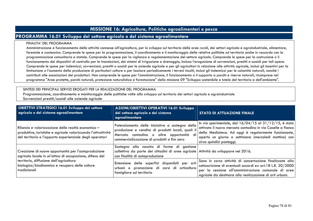# **MISSIONE 16: Agricoltura, Politiche agroalimentari e pesca**

# **PROGRAMMA 16.01 Sviluppo del settore agricolo e del sistema agroalimentare**

#### FINALITA' DEL PROGRAMMA

Amministrazione e funzionamento delle attività connesse all'agricoltura, per lo sviluppo sul territorio delle aree rurali, dei settori agricolo e agroindustriale, alimentare, forestale e zootecnico. Comprende le spese per la programmazione, il coordinamento e il monitoraggio delle relative politiche sul territorio anche in raccordo con la programmazione comunitaria e statale. Comprende le spese per la vigilanza e regolamentazione del settore agricolo. Comprende le spese per la costruzione o il funzionamento dei dispositivi di controllo per le inondazioni, dei sistemi di irrigazione e drenaggio, inclusa l'erogazione di sovvenzioni, prestiti o sussidi per tali opere. Comprende le spese per indennizzi, sovvenzioni, prestiti o sussidi per le aziende agricole e per gli agricoltori in relazione alle attività agricole, inclusi gli incentivi per la limitazione o l'aumento della produzione di particolari colture o per lasciare periodicamente i terreni incolti, inclusi gli indennizzi per le calamità naturali, nonché i contributi alle associazioni dei produttori. Non comprende le spese per l'amministrazione, il funzionamento o il supporto a parchi e riserve naturali, ricomprese nel programma "Aree protette, parchi naturali, protezione naturalistica e forestazione" della missione 09 "Sviluppo sostenibile e tutela del territorio e dell'ambiente".

### SINTESI DEI PRINCIPALI SERVIZI EROGATI PER LA REALIZZAZIONE DEL PROGRAMMA

 Programmazione, coordinamento e monitoraggio delle politiche volte allo sviluppo sul territorio dei settori agricolo e agroindustriale Sovvenzioni prestiti/sussidi alle aziende agricole

| <b>OBIETTIVI STRATEGICI 16.01 Sviluppo del settore</b><br>agricolo e del sistema agroalimentare                                                                                 | AZIONI/OBIETTIVI OPERATIVI 16.01 Sviluppo<br>del settore agricolo e del sistema<br>agroalimentare                                                                                             | <b>STATO DI ATTUAZIONE FINALE</b>                                                                                                                                                                                                                                      |
|---------------------------------------------------------------------------------------------------------------------------------------------------------------------------------|-----------------------------------------------------------------------------------------------------------------------------------------------------------------------------------------------|------------------------------------------------------------------------------------------------------------------------------------------------------------------------------------------------------------------------------------------------------------------------|
| Rilancio e valorizzazione delle realtà economico –<br>produttive, turistiche e agricole valorizzando l'attrattività<br>del territorio e l'apporto esperienziale degli operatori | Potenziamento delle iniziative a sostegno della<br>produzione e vendita di prodotti locali, quali il<br>Mercato contadino o altre opportunità di<br>commercializzazione di prodotti a Km zero | In via sperimentale, dal $16/04/15$ al $31/12/15$ , è stato<br>attivato il nuovo mercato contadino in via Caselle a fianco<br>della Mediateca. Ad oggi è regolarmente funzionante,<br>aperto un giorno a settimana (mercoledì mattina) con<br>circa quindici posteggi. |
| Creazione di nuove opportunità per l'autoproduzione<br>agricola locale in un'ottica di occupazione, difesa del                                                                  | Sostegno alla nascita di forme di gestione<br>collettiva da parte dei cittadini di aree agricole Attività da sviluppare nel 2016.<br>con finalità di autoproduzione                           |                                                                                                                                                                                                                                                                        |
| territorio, diffusione dell'agricoltura<br>biologica/biodinamica e recupero delle colture<br>tradizionali                                                                       | Estensione delle superfici disponibili per orti<br>urbani e promozione di corsi di orticoltura<br>famigliare sul territorio                                                                   | Sono in corso attività di concertazione finalizzate alla<br>sottoscrizione di eventuali accordi ex art.18 L.R. 20/2000 $\vert$<br>per la cessione all'amministrazione comunale di aree<br>agricole da destinare alla realizzazione di orti urbani.                     |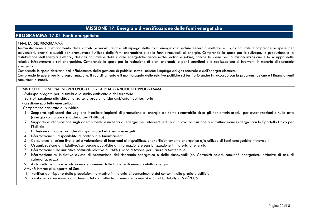# **MISSIONE 17: Energia e diversificazione delle fonti energetiche**

# **PROGRAMMA 17.01 Fonti energetiche**

### FINALITA' DEL PROGRAMMA

 Amministrazione e funzionamento delle attività e servizi relativi all'impiego delle fonti energetiche, incluse l'energia elettrica e il gas naturale. Comprende le spese per sovvenzioni, prestiti o sussidi per promuovere l'utilizzo delle fonti energetiche e delle fonti rinnovabili di energia. Comprende le spese per lo sviluppo, la produzione e la distribuzione dell'energia elettrica, del gas naturale e delle risorse energetiche geotermiche, eolica e solare, nonché le spese per la razionalizzazione e lo sviluppo delle relative infrastrutture e reti energetiche. Comprende le spese per la redazione di piani energetici e per i contributi alla realizzazione di interventi in materia di risparmio energetico.

Comprende le spese derivanti dall'affidamento della gestione di pubblici servizi inerenti l'impiego del gas naturale e dell'energia elettrica.

Comprende le spese per la programmazione, il coordinamento e il monitoraggio delle relative politiche sul territorio anche in raccordo con la programmazione e i finanziamenti comunitari e statali.

### SINTESI DEI PRINCIPALI SERVIZI EROGATI PER LA REALIZZAZIONE DEL PROGRAMMA

- Sviluppo progetti per la tutela e lo studio ambientale del territorio
- Sensibilizzazione alla cittadinanza sulle problematiche ambientali del territorio
- Gestione sportello energetico:

Competenze orientate al pubblico

- 1. Supporto agli utenti che vogliono installare impianti di produzione di energia da fonte rinnovabile circa gli iter amministrativi per autorizzazioni e nulla osta (sinergia con lo Sportello Unico per l'Edilizia)
- 2. Supporto e informazione sugli adempimenti in materia di energia per interventi edilizi di nuova costruzione o ristrutturazione (sinergia con lo Sportello Unico per l'Edilizia)
- 3. Diffusione di buone pratiche di risparmio ed efficienza energetici
- 4. Informazione su disponibilità di contributi e finanziamenti
- 5. Consulenza di primo livello sulla valutazione di interventi di riqualificazione/efficientamento energetico e/o utilizzo di fonti energetiche rinnovabili
- 6. Organizzazione di iniziative/campagne pubbliche di informazione e sensibilizzazione in materia di energia
- 7. Informazione sulle iniziative comunali relative al PAES (Piano d'Azione per l'Energia Sostenibile)
- 8. Informazione su iniziative civiche di promozione del risparmio energetico o delle rinnovabili (es. Comunità solari, comunità energetica, iniziative di ass. di categoria, ecc...)
- 9. Aiuto nella lettura e valutazione dei consumi dalle bollette di energia elettrica e gas

#### Attività interne di supporto al Sue

- 1. verifica del rispetto delle prescrizioni normative in materia di contenimento dei consumi nelle pratiche edilizie
- 2.  $\,$ verifiche a campione o su richiesta del committente ai sensi dei commi 4 e 5, art.8 del dlgs 192/2005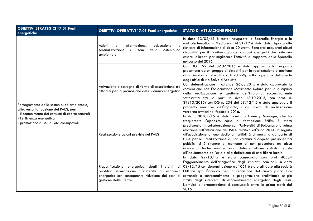| <b>OBIETTIVI STRATEGICI 17.01 Fonti</b><br>energetiche                                                                                                                                                                 | <b>OBIETTIVI OPERATIVI 17.01 Fonti energetiche</b>                                                                              | <b>STATO DI ATTUAZIONE FINALE</b>                                                                                                                                                                                                                                                                                                                                                                                                                                                                                                                                                                                                                                                           |
|------------------------------------------------------------------------------------------------------------------------------------------------------------------------------------------------------------------------|---------------------------------------------------------------------------------------------------------------------------------|---------------------------------------------------------------------------------------------------------------------------------------------------------------------------------------------------------------------------------------------------------------------------------------------------------------------------------------------------------------------------------------------------------------------------------------------------------------------------------------------------------------------------------------------------------------------------------------------------------------------------------------------------------------------------------------------|
| Perseguimento della sostenibilità ambientale,<br>attraverso l'attuazione del PAES, per:<br>- il contenimento dei consumi di risorse naturali<br>- l'efficienza energetica<br>- promozione di stili di vita consapevoli | Azioni<br>di<br>Informazione,<br>educazione<br>$\epsilon$<br>sensibilizzazione<br>della sostenibilità<br>sui temi<br>ambientale | In data 13/02/15 è stato inaugurato lo Sportello Energia e lo<br>scaffale tematico in Mediateca. Al 31/12 è stata data risposta alle<br>richieste di informazione di circa 20 utenti. Sono stai acquistati alcuni<br>dispositivi per il monitoraggio dei consumi energetici che potranno<br>essere utilizzati per migliorare l'attività di supporto dello Sportello<br>nel corso del 2016.                                                                                                                                                                                                                                                                                                  |
|                                                                                                                                                                                                                        | Attivazione e sostegno di forme di associazione tra<br>cittadini per la promozione del risparmio energetico                     | Con DG n.99 del 09.07.2015 è stata approvata la proposta<br>presentata da un gruppo di cittadini per la realizzazione e gestione<br>di un impianto fotovoltaico di 20 kWp sulla copertura della sede<br>degli uffici di via Salvo d'Acquisto;<br>Con determinazione n. 672 del 26.08.2015 è stata approvata la<br>convenzione con l'Associazione Movimento Solare per la disciplina<br>della realizzazione e gestione dell'impianto, successivamente<br>sottoscritta tra le parti in data 13.10.2015, con prot. n.<br>39313/2015; con DG n. 234 del 29/12/15 è stato approvato il<br>progetto esecutivo dell'impianto, i cui lavori di realizzazione<br>verranno avviati nel febbraio 2016. |
|                                                                                                                                                                                                                        | Realizzazione azioni previste nel PAES                                                                                          | In data 30/04/15 è stato nominato l'Energy Manager, che ha<br>frequentato l'apposito corso di formazione ENEA. E' stata<br>predisposta, in collaborazione con l'Università di Bologna, una prima<br>relazione sull'attuazione del PAES relativa all'anno 2014. In seguito<br>all'acquisizione di uno studio di fattibilità di massima da parte di<br>CISA per la realizzazione di una caldaia a cippato presso edifici<br>pubblici, si è ritenuto al momento di non procedere ad alcun<br>intervento finché non saranno definite alcune criticità legate<br>all'inquinamento dell'aria e alla definizione di una filiera locale                                                             |
|                                                                                                                                                                                                                        | energetico con conseguente riduzione dei costi di<br>gestione delle utenze                                                      | In data $22/10/15$ è stata consegnata con prot $40584$<br>l'aggiornamento dell'anagrafica degli impianti comunali. In data<br>Riqualificazione energetica degli impianti di $03/12/15$ con determinazione nr. 1061 è stato affidato alla società<br>pubblica illuminazione finalizzata al risparmio EXITone spa l'incarico per la redazione del nuovo piano luce<br>comunale e contestualmente la progettazione preliminare su più<br>stralci degli interventi di efficientamento energetico degli stessi.<br>L'attività di progettazione si concluderà entro la prima metà del<br>2016                                                                                                     |